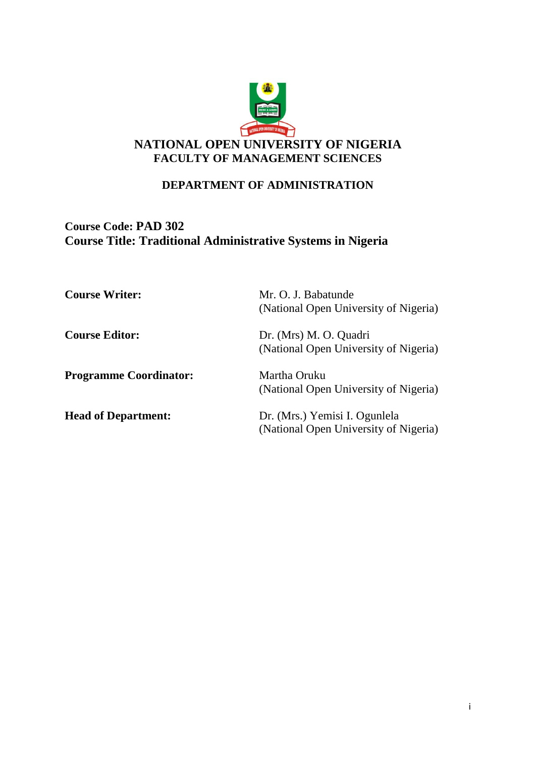

#### **DEPARTMENT OF ADMINISTRATION**

## **Course Code: PAD 302 Course Title: Traditional Administrative Systems in Nigeria**

| <b>Course Writer:</b>         | Mr. O. J. Babatunde<br>(National Open University of Nigeria)           |
|-------------------------------|------------------------------------------------------------------------|
| <b>Course Editor:</b>         | Dr. (Mrs) M. O. Quadri<br>(National Open University of Nigeria)        |
| <b>Programme Coordinator:</b> | Martha Oruku<br>(National Open University of Nigeria)                  |
| <b>Head of Department:</b>    | Dr. (Mrs.) Yemisi I. Ogunlela<br>(National Open University of Nigeria) |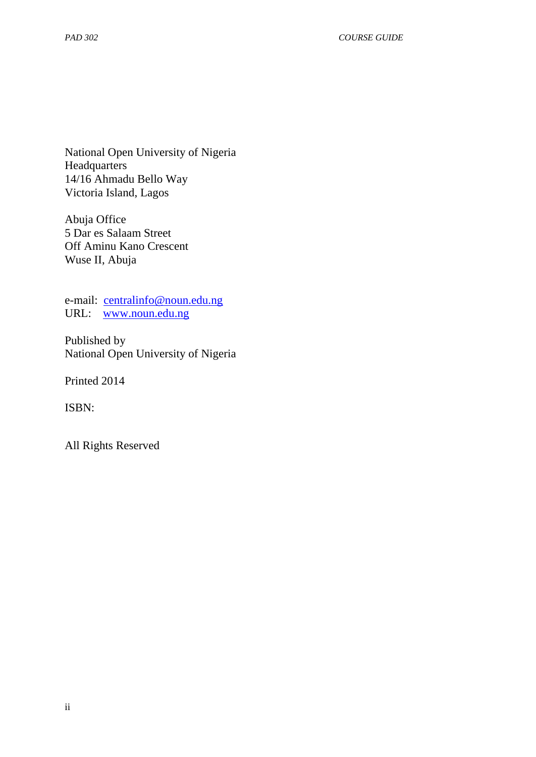National Open University of Nigeria **Headquarters** 14/16 Ahmadu Bello Way Victoria Island, Lagos

Abuja Office 5 Dar es Salaam Street Off Aminu Kano Crescent Wuse II, Abuja

e-mail: [centralinfo@noun.edu.ng](mailto:centralinfo@noun.edu.ng) URL: [www.noun.edu.ng](http://www.noun.edu.ng/)

Published by National Open University of Nigeria

Printed 2014

ISBN:

All Rights Reserved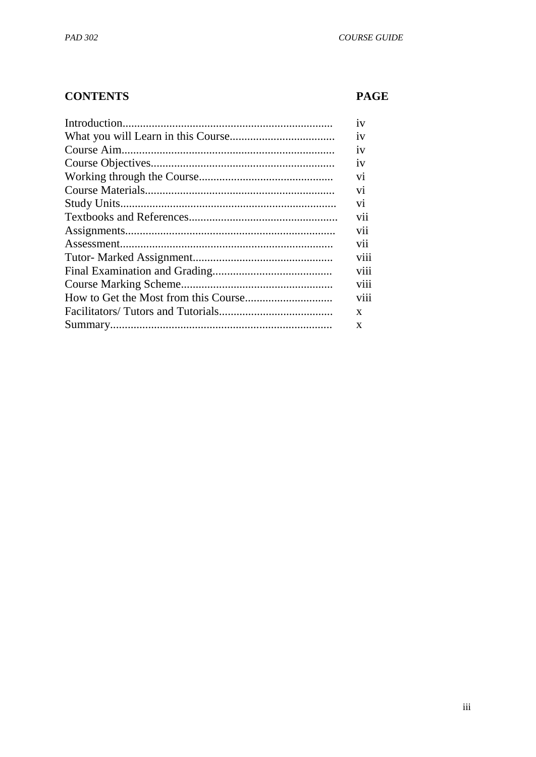# **CONTENTS**

# **PAGE**

| 1V             |
|----------------|
| 1V             |
| 1V             |
| 1V             |
| V <sub>1</sub> |
| V <sub>1</sub> |
| V <sub>1</sub> |
| vii            |
| V11            |
| V <sub>1</sub> |
| viii           |
| V111           |
| V111           |
| viii           |
| X              |
| X              |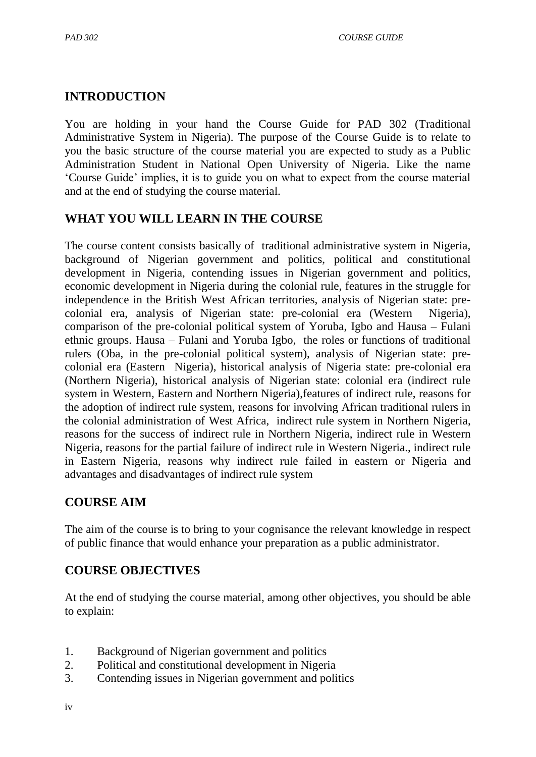## **INTRODUCTION**

You are holding in your hand the Course Guide for PAD 302 (Traditional Administrative System in Nigeria). The purpose of the Course Guide is to relate to you the basic structure of the course material you are expected to study as a Public Administration Student in National Open University of Nigeria. Like the name "Course Guide" implies, it is to guide you on what to expect from the course material and at the end of studying the course material.

## **WHAT YOU WILL LEARN IN THE COURSE**

The course content consists basically of traditional administrative system in Nigeria, background of Nigerian government and politics, political and constitutional development in Nigeria, contending issues in Nigerian government and politics, economic development in Nigeria during the colonial rule, features in the struggle for independence in the British West African territories, analysis of Nigerian state: precolonial era, analysis of Nigerian state: pre-colonial era (Western Nigeria), comparison of the pre-colonial political system of Yoruba, Igbo and Hausa – Fulani ethnic groups. Hausa – Fulani and Yoruba Igbo, the roles or functions of traditional rulers (Oba, in the pre-colonial political system), analysis of Nigerian state: precolonial era (Eastern Nigeria), historical analysis of Nigeria state: pre-colonial era (Northern Nigeria), historical analysis of Nigerian state: colonial era (indirect rule system in Western, Eastern and Northern Nigeria),features of indirect rule, reasons for the adoption of indirect rule system, reasons for involving African traditional rulers in the colonial administration of West Africa, indirect rule system in Northern Nigeria, reasons for the success of indirect rule in Northern Nigeria, indirect rule in Western Nigeria, reasons for the partial failure of indirect rule in Western Nigeria., indirect rule in Eastern Nigeria, reasons why indirect rule failed in eastern or Nigeria and advantages and disadvantages of indirect rule system

## **COURSE AIM**

The aim of the course is to bring to your cognisance the relevant knowledge in respect of public finance that would enhance your preparation as a public administrator.

## **COURSE OBJECTIVES**

At the end of studying the course material, among other objectives, you should be able to explain:

- 1. Background of Nigerian government and politics
- 2. Political and constitutional development in Nigeria
- 3. Contending issues in Nigerian government and politics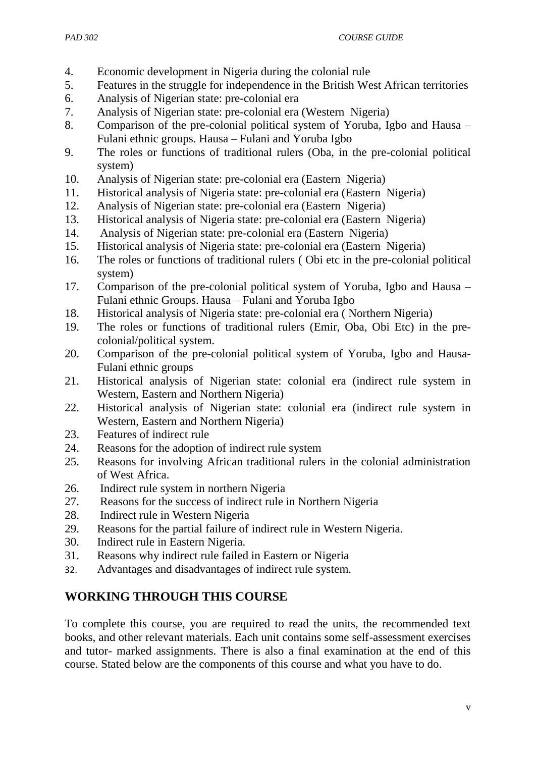- 4. Economic development in Nigeria during the colonial rule
- 5. Features in the struggle for independence in the British West African territories
- 6. Analysis of Nigerian state: pre-colonial era
- 7. Analysis of Nigerian state: pre-colonial era (Western Nigeria)
- 8. Comparison of the pre-colonial political system of Yoruba, Igbo and Hausa Fulani ethnic groups. Hausa – Fulani and Yoruba Igbo
- 9. The roles or functions of traditional rulers (Oba, in the pre-colonial political system)
- 10. Analysis of Nigerian state: pre-colonial era (Eastern Nigeria)
- 11. Historical analysis of Nigeria state: pre-colonial era (Eastern Nigeria)
- 12. Analysis of Nigerian state: pre-colonial era (Eastern Nigeria)
- 13. Historical analysis of Nigeria state: pre-colonial era (Eastern Nigeria)
- 14. Analysis of Nigerian state: pre-colonial era (Eastern Nigeria)
- 15. Historical analysis of Nigeria state: pre-colonial era (Eastern Nigeria)
- 16. The roles or functions of traditional rulers ( Obi etc in the pre-colonial political system)
- 17. Comparison of the pre-colonial political system of Yoruba, Igbo and Hausa Fulani ethnic Groups. Hausa – Fulani and Yoruba Igbo
- 18. Historical analysis of Nigeria state: pre-colonial era ( Northern Nigeria)
- 19. The roles or functions of traditional rulers (Emir, Oba, Obi Etc) in the precolonial/political system.
- 20. Comparison of the pre-colonial political system of Yoruba, Igbo and Hausa-Fulani ethnic groups
- 21. Historical analysis of Nigerian state: colonial era (indirect rule system in Western, Eastern and Northern Nigeria)
- 22. Historical analysis of Nigerian state: colonial era (indirect rule system in Western, Eastern and Northern Nigeria)
- 23. Features of indirect rule
- 24. Reasons for the adoption of indirect rule system
- 25. Reasons for involving African traditional rulers in the colonial administration of West Africa.
- 26. Indirect rule system in northern Nigeria
- 27. Reasons for the success of indirect rule in Northern Nigeria
- 28. Indirect rule in Western Nigeria
- 29. Reasons for the partial failure of indirect rule in Western Nigeria.
- 30. Indirect rule in Eastern Nigeria.
- 31. Reasons why indirect rule failed in Eastern or Nigeria
- 32. Advantages and disadvantages of indirect rule system.

# **WORKING THROUGH THIS COURSE**

To complete this course, you are required to read the units, the recommended text books, and other relevant materials. Each unit contains some self-assessment exercises and tutor- marked assignments. There is also a final examination at the end of this course. Stated below are the components of this course and what you have to do.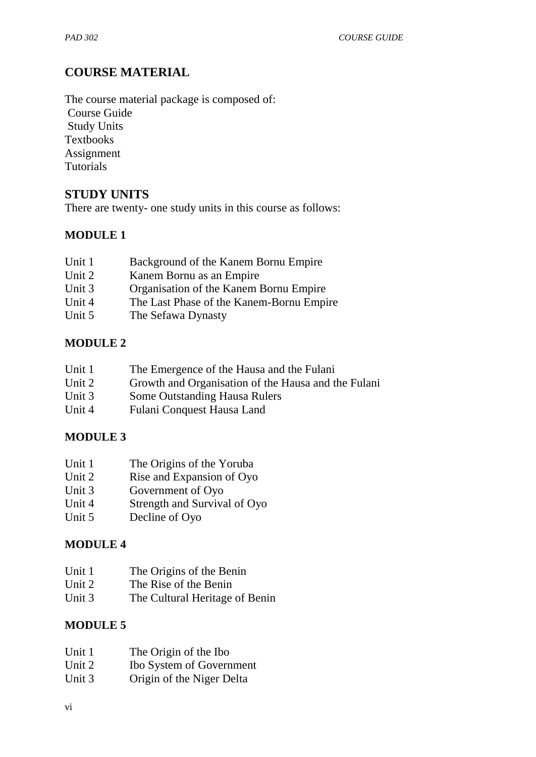## **COURSE MATERIAL**

The course material package is composed of: Course Guide Study Units Textbooks Assignment **Tutorials** 

## **STUDY UNITS**

There are twenty- one study units in this course as follows:

## **MODULE 1**

| Unit 1 | Background of the Kanem Bornu Empire     |
|--------|------------------------------------------|
| Unit 2 | Kanem Bornu as an Empire                 |
| Unit 3 | Organisation of the Kanem Bornu Empire   |
| Unit 4 | The Last Phase of the Kanem-Bornu Empire |
| Unit 5 | The Sefawa Dynasty                       |

#### **MODULE 2**

| Unit 1 |  |  | The Emergence of the Hausa and the Fulani |
|--------|--|--|-------------------------------------------|
|--------|--|--|-------------------------------------------|

- Unit 2 Growth and Organisation of the Hausa and the Fulani
- Unit 3 Some Outstanding Hausa Rulers
- Unit 4 Fulani Conquest Hausa Land

#### **MODULE 3**

| Unit 1 | The Origins of the Yoruba |
|--------|---------------------------|
|        |                           |

- Unit 2 Rise and Expansion of Oyo<br>Unit 3 Government of Oyo
- Government of Oyo
- Unit 4 Strength and Survival of Oyo
- Unit 5 Decline of Oyo

#### **MODULE 4**

- Unit 1 The Origins of the Benin
- Unit 2 The Rise of the Benin
- Unit 3 The Cultural Heritage of Benin

#### **MODULE 5**

| Unit 1<br>The Origin of the Ibo |  |
|---------------------------------|--|
|---------------------------------|--|

- Unit 2 Ibo System of Government
- Unit 3 Origin of the Niger Delta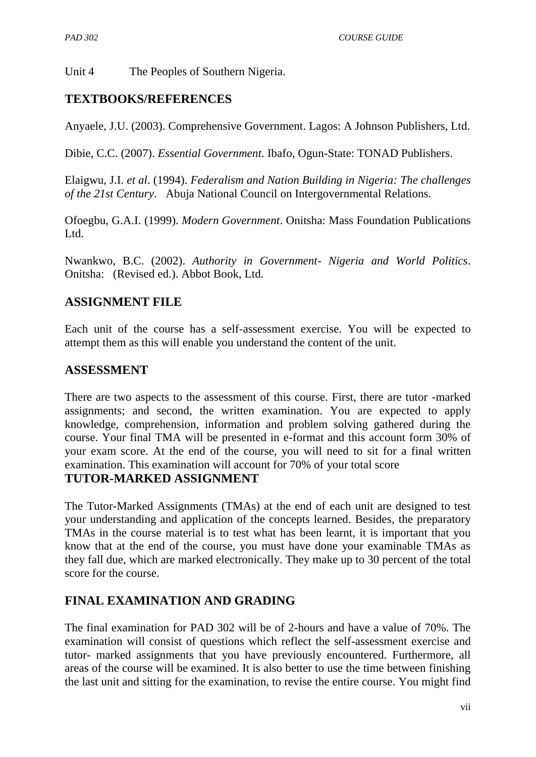Unit 4 The Peoples of Southern Nigeria.

## **TEXTBOOKS/REFERENCES**

Anyaele, J.U. (2003). Comprehensive Government. Lagos: A Johnson Publishers, Ltd.

Dibie, C.C. (2007). *Essential Government*. Ibafo, Ogun-State: TONAD Publishers.

Elaigwu, J.I. *et al*. (1994). *Federalism and Nation Building in Nigeria: The challenges of the 21st Century*. Abuja National Council on Intergovernmental Relations.

Ofoegbu, G.A.I. (1999). *Modern Government*. Onitsha: Mass Foundation Publications Ltd.

Nwankwo, B.C. (2002). *Authority in Government- Nigeria and World Politics*. Onitsha: (Revised ed.). Abbot Book, Ltd.

## **ASSIGNMENT FILE**

Each unit of the course has a self-assessment exercise. You will be expected to attempt them as this will enable you understand the content of the unit.

#### **ASSESSMENT**

There are two aspects to the assessment of this course. First, there are tutor -marked assignments; and second, the written examination. You are expected to apply knowledge, comprehension, information and problem solving gathered during the course. Your final TMA will be presented in e-format and this account form 30% of your exam score. At the end of the course, you will need to sit for a final written examination. This examination will account for 70% of your total score

## **TUTOR-MARKED ASSIGNMENT**

The Tutor-Marked Assignments (TMAs) at the end of each unit are designed to test your understanding and application of the concepts learned. Besides, the preparatory TMAs in the course material is to test what has been learnt, it is important that you know that at the end of the course, you must have done your examinable TMAs as they fall due, which are marked electronically. They make up to 30 percent of the total score for the course.

## **FINAL EXAMINATION AND GRADING**

The final examination for PAD 302 will be of 2-hours and have a value of 70%. The examination will consist of questions which reflect the self-assessment exercise and tutor- marked assignments that you have previously encountered. Furthermore, all areas of the course will be examined. It is also better to use the time between finishing the last unit and sitting for the examination, to revise the entire course. You might find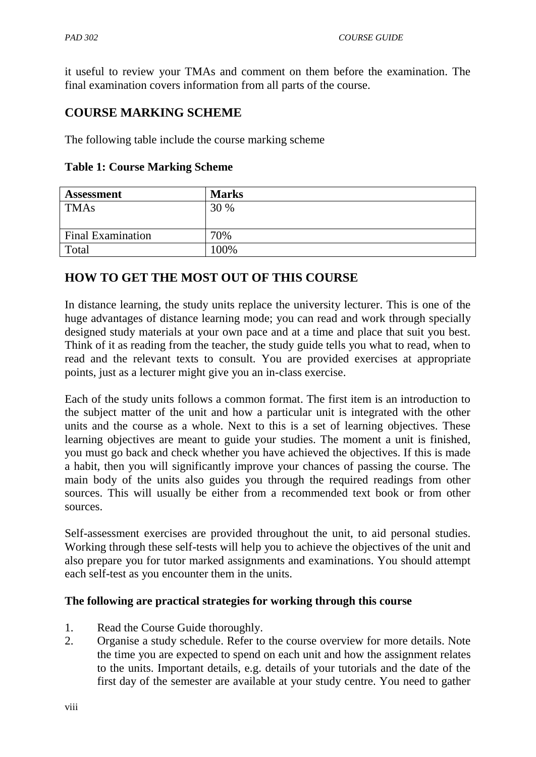it useful to review your TMAs and comment on them before the examination. The final examination covers information from all parts of the course.

## **COURSE MARKING SCHEME**

The following table include the course marking scheme

|  | <b>Table 1: Course Marking Scheme</b> |  |
|--|---------------------------------------|--|
|  |                                       |  |

| <b>Assessment</b>        | <b>Marks</b> |
|--------------------------|--------------|
| <b>TMAs</b>              | 30 %         |
|                          |              |
| <b>Final Examination</b> | 70%          |
| Total                    | 100%         |

## **HOW TO GET THE MOST OUT OF THIS COURSE**

In distance learning, the study units replace the university lecturer. This is one of the huge advantages of distance learning mode; you can read and work through specially designed study materials at your own pace and at a time and place that suit you best. Think of it as reading from the teacher, the study guide tells you what to read, when to read and the relevant texts to consult. You are provided exercises at appropriate points, just as a lecturer might give you an in-class exercise.

Each of the study units follows a common format. The first item is an introduction to the subject matter of the unit and how a particular unit is integrated with the other units and the course as a whole. Next to this is a set of learning objectives. These learning objectives are meant to guide your studies. The moment a unit is finished, you must go back and check whether you have achieved the objectives. If this is made a habit, then you will significantly improve your chances of passing the course. The main body of the units also guides you through the required readings from other sources. This will usually be either from a recommended text book or from other sources.

Self-assessment exercises are provided throughout the unit, to aid personal studies. Working through these self-tests will help you to achieve the objectives of the unit and also prepare you for tutor marked assignments and examinations. You should attempt each self-test as you encounter them in the units.

#### **The following are practical strategies for working through this course**

- 1. Read the Course Guide thoroughly.
- 2. Organise a study schedule. Refer to the course overview for more details. Note the time you are expected to spend on each unit and how the assignment relates to the units. Important details, e.g. details of your tutorials and the date of the first day of the semester are available at your study centre. You need to gather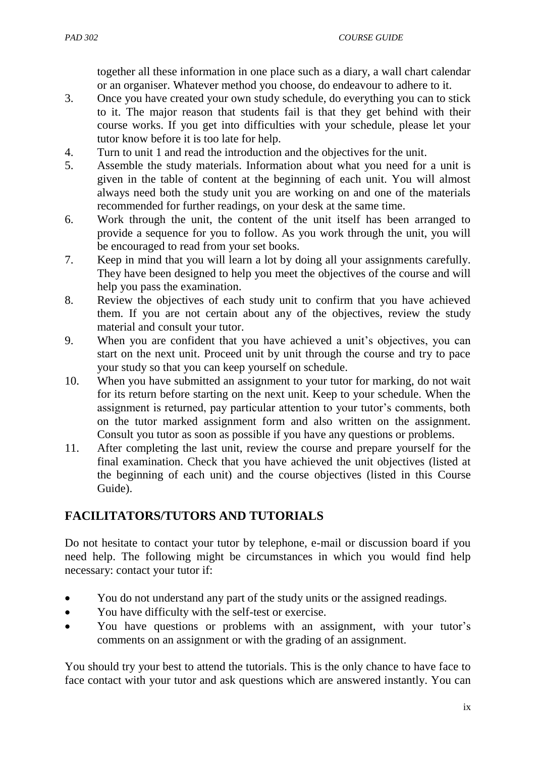together all these information in one place such as a diary, a wall chart calendar or an organiser. Whatever method you choose, do endeavour to adhere to it.

- 3. Once you have created your own study schedule, do everything you can to stick to it. The major reason that students fail is that they get behind with their course works. If you get into difficulties with your schedule, please let your tutor know before it is too late for help.
- 4. Turn to unit 1 and read the introduction and the objectives for the unit.
- 5. Assemble the study materials. Information about what you need for a unit is given in the table of content at the beginning of each unit. You will almost always need both the study unit you are working on and one of the materials recommended for further readings, on your desk at the same time.
- 6. Work through the unit, the content of the unit itself has been arranged to provide a sequence for you to follow. As you work through the unit, you will be encouraged to read from your set books.
- 7. Keep in mind that you will learn a lot by doing all your assignments carefully. They have been designed to help you meet the objectives of the course and will help you pass the examination.
- 8. Review the objectives of each study unit to confirm that you have achieved them. If you are not certain about any of the objectives, review the study material and consult your tutor.
- 9. When you are confident that you have achieved a unit"s objectives, you can start on the next unit. Proceed unit by unit through the course and try to pace your study so that you can keep yourself on schedule.
- 10. When you have submitted an assignment to your tutor for marking, do not wait for its return before starting on the next unit. Keep to your schedule. When the assignment is returned, pay particular attention to your tutor's comments, both on the tutor marked assignment form and also written on the assignment. Consult you tutor as soon as possible if you have any questions or problems.
- 11. After completing the last unit, review the course and prepare yourself for the final examination. Check that you have achieved the unit objectives (listed at the beginning of each unit) and the course objectives (listed in this Course Guide).

# **FACILITATORS/TUTORS AND TUTORIALS**

Do not hesitate to contact your tutor by telephone, e-mail or discussion board if you need help. The following might be circumstances in which you would find help necessary: contact your tutor if:

- You do not understand any part of the study units or the assigned readings.
- You have difficulty with the self-test or exercise.
- You have questions or problems with an assignment, with your tutor's comments on an assignment or with the grading of an assignment.

You should try your best to attend the tutorials. This is the only chance to have face to face contact with your tutor and ask questions which are answered instantly. You can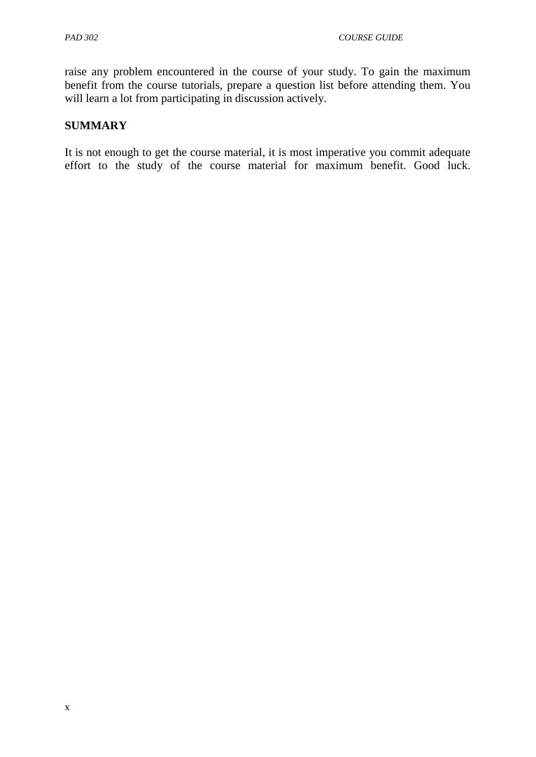raise any problem encountered in the course of your study. To gain the maximum benefit from the course tutorials, prepare a question list before attending them. You will learn a lot from participating in discussion actively.

#### **SUMMARY**

It is not enough to get the course material, it is most imperative you commit adequate effort to the study of the course material for maximum benefit. Good luck.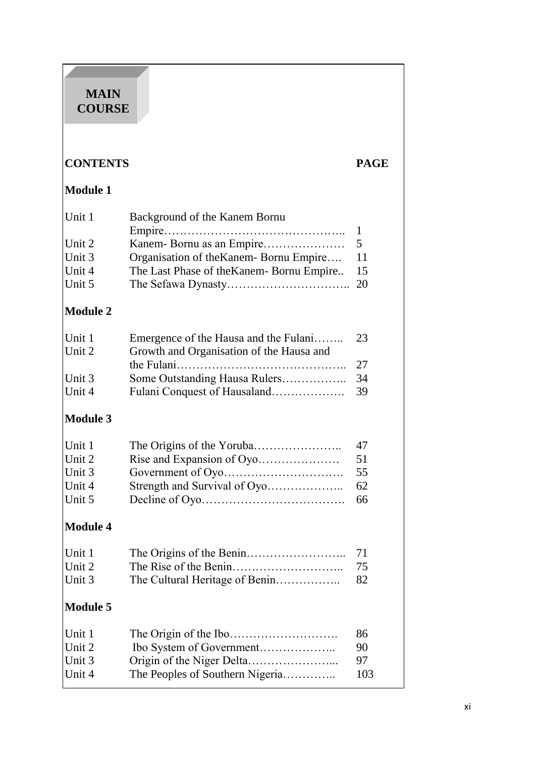## **MAIN COURSE**

# **CONTENTS PAGE**

# **Module 1**

| Background of the Kanem Bornu<br>Unit 1             |    |
|-----------------------------------------------------|----|
|                                                     |    |
| Unit 2                                              |    |
| Organisation of the Kanem-Bornu Empire 11<br>Unit 3 |    |
| The Last Phase of the Kanem-Bornu Empire<br>Unit 4  | 15 |
| Unit 5                                              |    |

# **Module 2**

| Unit 1 | Emergence of the Hausa and the Fulani    | -23 |
|--------|------------------------------------------|-----|
| Unit 2 | Growth and Organisation of the Hausa and |     |
|        |                                          |     |
| Unit 3 |                                          |     |
| Unit 4 |                                          | -39 |

# **Module 3**

| Unit 1 | 47 |
|--------|----|
| Unit 2 | 51 |
| Unit 3 | 55 |
| Unit 4 |    |
| Unit 5 |    |

# **Module 4**

| Unit 1 |  |
|--------|--|
| Unit 2 |  |
| Unit 3 |  |

# **Module 5**

| Unit 1<br>Unit 2 |                                 | 86<br>90 |
|------------------|---------------------------------|----------|
| Unit 3           |                                 | 97       |
| Unit 4           | The Peoples of Southern Nigeria | 103      |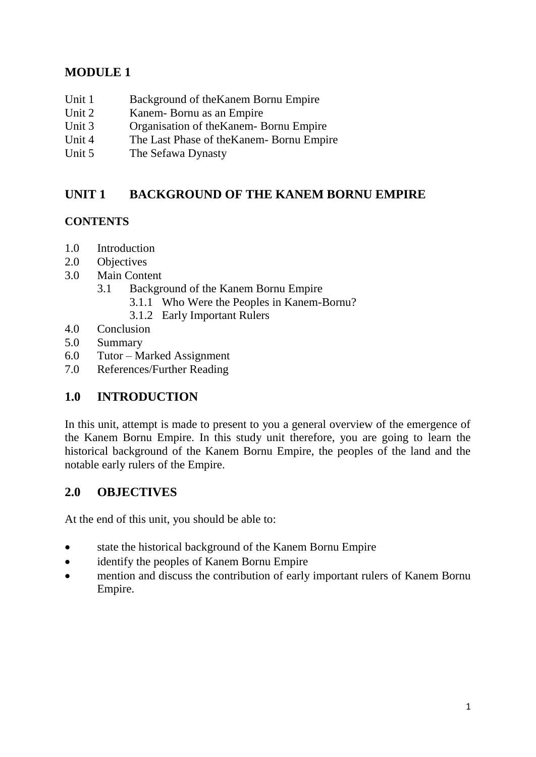# **MODULE 1**

- Unit 1 Background of the Kanem Bornu Empire
- Unit 2 Kanem- Bornu as an Empire
- Unit 3 Organisation of theKanem- Bornu Empire
- Unit 4 The Last Phase of theKanem- Bornu Empire
- Unit 5 The Sefawa Dynasty

## **UNIT 1 BACKGROUND OF THE KANEM BORNU EMPIRE**

## **CONTENTS**

- 1.0 Introduction
- 2.0 Objectives
- 3.0 Main Content
	- 3.1 Background of the Kanem Bornu Empire
		- 3.1.1 Who Were the Peoples in Kanem-Bornu?
		- 3.1.2 Early Important Rulers
- 4.0 Conclusion
- 5.0 Summary
- 6.0 Tutor Marked Assignment
- 7.0 References/Further Reading

## **1.0 INTRODUCTION**

In this unit, attempt is made to present to you a general overview of the emergence of the Kanem Bornu Empire. In this study unit therefore, you are going to learn the historical background of the Kanem Bornu Empire, the peoples of the land and the notable early rulers of the Empire.

## **2.0 OBJECTIVES**

At the end of this unit, you should be able to:

- state the historical background of the Kanem Bornu Empire
- identify the peoples of Kanem Bornu Empire
- mention and discuss the contribution of early important rulers of Kanem Bornu Empire.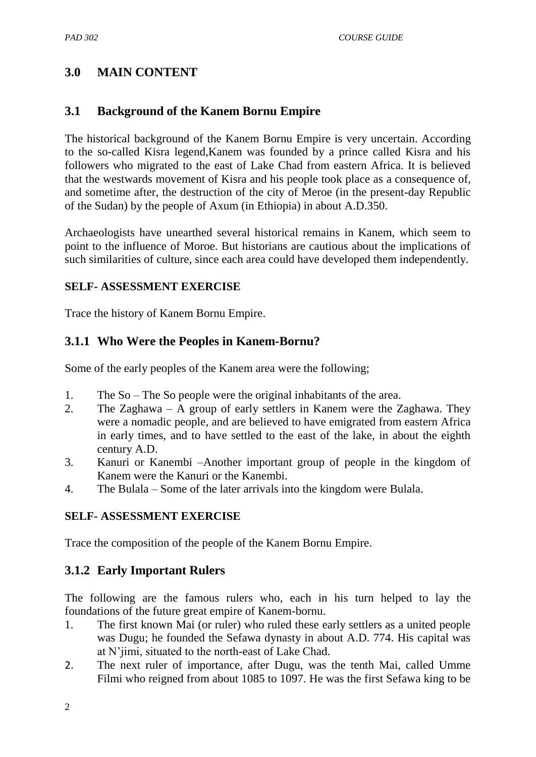# **3.0 MAIN CONTENT**

## **3.1 Background of the Kanem Bornu Empire**

The historical background of the Kanem Bornu Empire is very uncertain. According to the so-called Kisra legend,Kanem was founded by a prince called Kisra and his followers who migrated to the east of Lake Chad from eastern Africa. It is believed that the westwards movement of Kisra and his people took place as a consequence of, and sometime after, the destruction of the city of Meroe (in the present-day Republic of the Sudan) by the people of Axum (in Ethiopia) in about A.D.350.

Archaeologists have unearthed several historical remains in Kanem, which seem to point to the influence of Moroe. But historians are cautious about the implications of such similarities of culture, since each area could have developed them independently.

#### **SELF- ASSESSMENT EXERCISE**

Trace the history of Kanem Bornu Empire.

## **3.1.1 Who Were the Peoples in Kanem-Bornu?**

Some of the early peoples of the Kanem area were the following;

- 1. The So The So people were the original inhabitants of the area.
- 2. The Zaghawa A group of early settlers in Kanem were the Zaghawa. They were a nomadic people, and are believed to have emigrated from eastern Africa in early times, and to have settled to the east of the lake, in about the eighth century A.D.
- 3. Kanuri or Kanembi –Another important group of people in the kingdom of Kanem were the Kanuri or the Kanembi.
- 4. The Bulala Some of the later arrivals into the kingdom were Bulala.

#### **SELF- ASSESSMENT EXERCISE**

Trace the composition of the people of the Kanem Bornu Empire.

## **3.1.2 Early Important Rulers**

The following are the famous rulers who, each in his turn helped to lay the foundations of the future great empire of Kanem-bornu.

- 1. The first known Mai (or ruler) who ruled these early settlers as a united people was Dugu; he founded the Sefawa dynasty in about A.D. 774. His capital was at N"jimi, situated to the north-east of Lake Chad.
- 2. The next ruler of importance, after Dugu, was the tenth Mai, called Umme Filmi who reigned from about 1085 to 1097. He was the first Sefawa king to be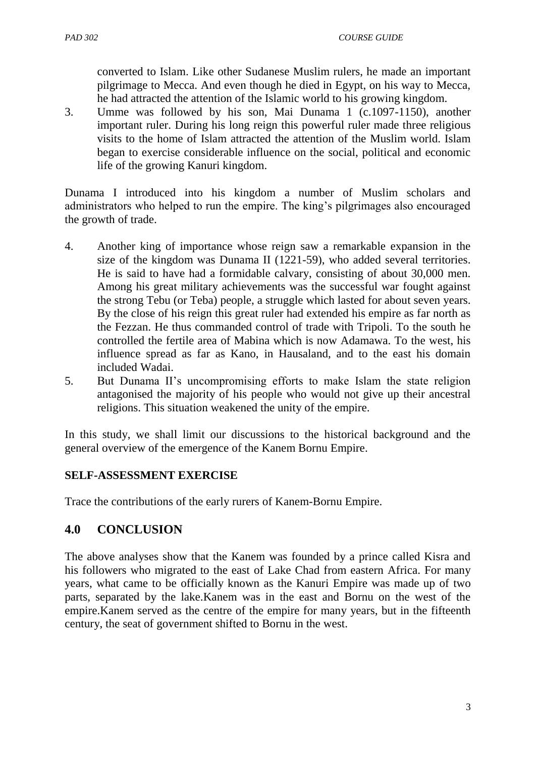converted to Islam. Like other Sudanese Muslim rulers, he made an important pilgrimage to Mecca. And even though he died in Egypt, on his way to Mecca, he had attracted the attention of the Islamic world to his growing kingdom.

3. Umme was followed by his son, Mai Dunama 1 (c.1097-1150), another important ruler. During his long reign this powerful ruler made three religious visits to the home of Islam attracted the attention of the Muslim world. Islam began to exercise considerable influence on the social, political and economic life of the growing Kanuri kingdom.

Dunama I introduced into his kingdom a number of Muslim scholars and administrators who helped to run the empire. The king"s pilgrimages also encouraged the growth of trade.

- 4. Another king of importance whose reign saw a remarkable expansion in the size of the kingdom was Dunama II (1221-59), who added several territories. He is said to have had a formidable calvary, consisting of about 30,000 men. Among his great military achievements was the successful war fought against the strong Tebu (or Teba) people, a struggle which lasted for about seven years. By the close of his reign this great ruler had extended his empire as far north as the Fezzan. He thus commanded control of trade with Tripoli. To the south he controlled the fertile area of Mabina which is now Adamawa. To the west, his influence spread as far as Kano, in Hausaland, and to the east his domain included Wadai.
- 5. But Dunama II"s uncompromising efforts to make Islam the state religion antagonised the majority of his people who would not give up their ancestral religions. This situation weakened the unity of the empire.

In this study, we shall limit our discussions to the historical background and the general overview of the emergence of the Kanem Bornu Empire.

## **SELF-ASSESSMENT EXERCISE**

Trace the contributions of the early rurers of Kanem-Bornu Empire.

## **4.0 CONCLUSION**

The above analyses show that the Kanem was founded by a prince called Kisra and his followers who migrated to the east of Lake Chad from eastern Africa. For many years, what came to be officially known as the Kanuri Empire was made up of two parts, separated by the lake.Kanem was in the east and Bornu on the west of the empire.Kanem served as the centre of the empire for many years, but in the fifteenth century, the seat of government shifted to Bornu in the west.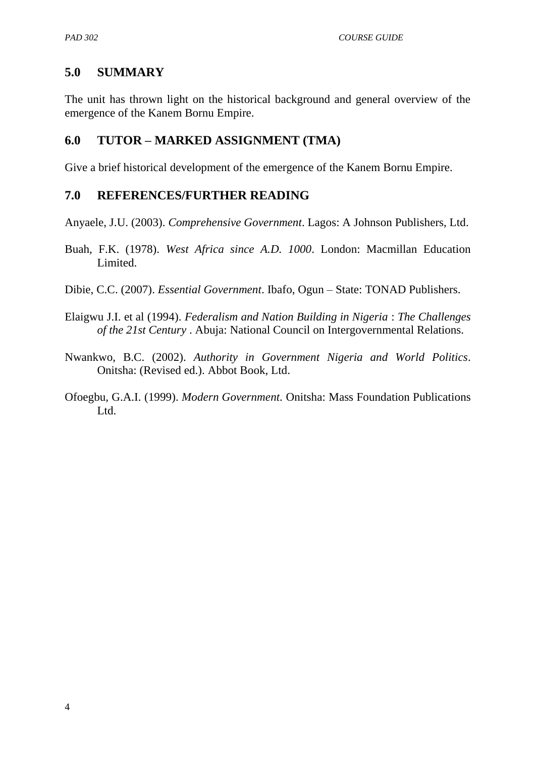## **5.0 SUMMARY**

The unit has thrown light on the historical background and general overview of the emergence of the Kanem Bornu Empire.

#### **6.0 TUTOR – MARKED ASSIGNMENT (TMA)**

Give a brief historical development of the emergence of the Kanem Bornu Empire.

#### **7.0 REFERENCES/FURTHER READING**

Anyaele, J.U. (2003). *Comprehensive Government*. Lagos: A Johnson Publishers, Ltd.

- Buah, F.K. (1978). *West Africa since A.D. 1000*. London: Macmillan Education Limited.
- Dibie, C.C. (2007). *Essential Government*. Ibafo, Ogun State: TONAD Publishers.
- Elaigwu J.I. et al (1994). *Federalism and Nation Building in Nigeria* : *The Challenges of the 21st Century* . Abuja: National Council on Intergovernmental Relations.
- Nwankwo, B.C. (2002). *Authority in Government Nigeria and World Politics*. Onitsha: (Revised ed.). Abbot Book, Ltd.
- Ofoegbu, G.A.I. (1999). *Modern Government.* Onitsha: Mass Foundation Publications L<sub>td</sub>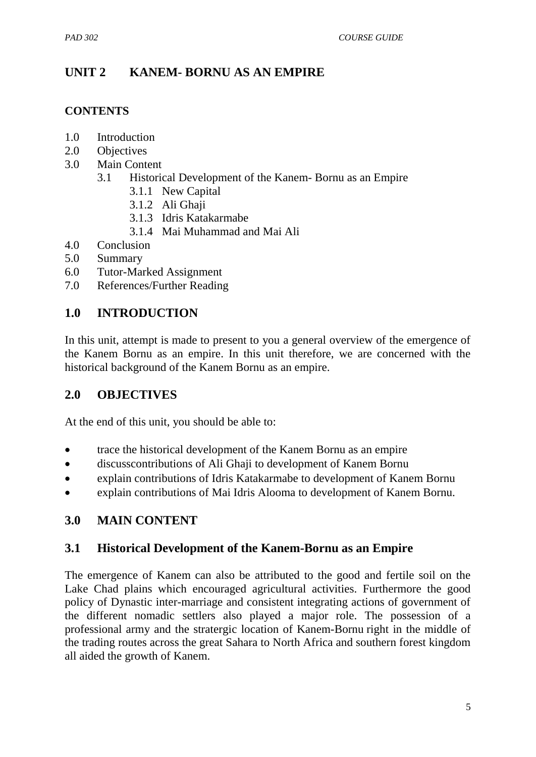## **UNIT 2 KANEM- BORNU AS AN EMPIRE**

#### **CONTENTS**

- 1.0 Introduction
- 2.0 Objectives
- 3.0 Main Content
	- 3.1 Historical Development of the Kanem- Bornu as an Empire
		- 3.1.1 New Capital
		- 3.1.2 Ali Ghaji
		- 3.1.3 Idris Katakarmabe
		- 3.1.4 Mai Muhammad and Mai Ali
- 4.0 Conclusion
- 5.0 Summary
- 6.0 Tutor-Marked Assignment
- 7.0 References/Further Reading

## **1.0 INTRODUCTION**

In this unit, attempt is made to present to you a general overview of the emergence of the Kanem Bornu as an empire. In this unit therefore, we are concerned with the historical background of the Kanem Bornu as an empire.

## **2.0 OBJECTIVES**

At the end of this unit, you should be able to:

- trace the historical development of the Kanem Bornu as an empire
- discusscontributions of Ali Ghaji to development of Kanem Bornu
- explain contributions of Idris Katakarmabe to development of Kanem Bornu
- explain contributions of Mai Idris Alooma to development of Kanem Bornu.

## **3.0 MAIN CONTENT**

## **3.1 Historical Development of the Kanem-Bornu as an Empire**

The emergence of Kanem can also be attributed to the good and fertile soil on the Lake Chad plains which encouraged agricultural activities. Furthermore the good policy of Dynastic inter-marriage and consistent integrating actions of government of the different nomadic settlers also played a major role. The possession of a professional army and the stratergic location of Kanem-Bornu right in the middle of the trading routes across the great Sahara to North Africa and southern forest kingdom all aided the growth of Kanem.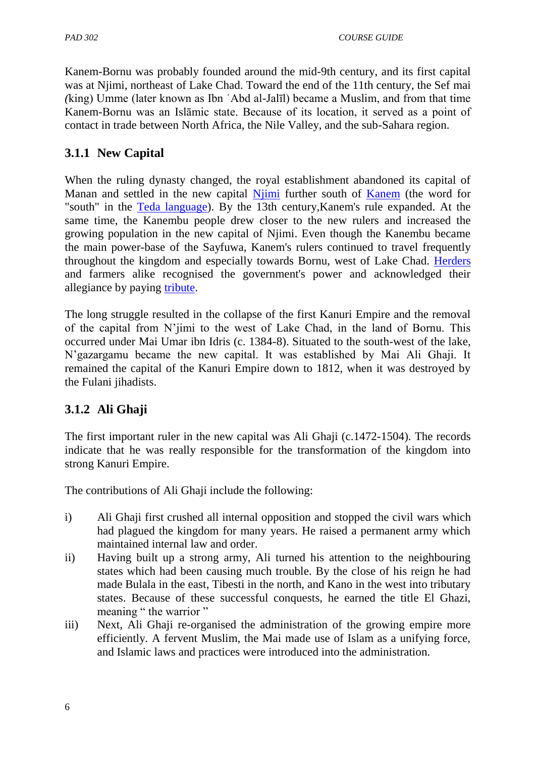Kanem-Bornu was probably founded around the mid-9th century, and its first capital was at Njimi, northeast of Lake Chad. Toward the end of the 11th century, the Sef mai *(*king) Umme (later known as Ibn ʿAbd al-Jalīl) became a Muslim, and from that time Kanem-Bornu was an Islāmic state. Because of its location, it served as a point of contact in trade between North Africa, the Nile Valley, and the sub-Sahara region.

## **3.1.1 New Capital**

When the ruling dynasty changed, the royal establishment abandoned its capital of Manan and settled in the new capital [Njimi](http://en.wikipedia.org/wiki/Njimi) further south of [Kanem](http://en.wikipedia.org/wiki/Kanem_%28region%29) (the word for "south" in the [Teda language\)](http://en.wikipedia.org/wiki/Teda_language). By the 13th century,Kanem's rule expanded. At the same time, the Kanembu people drew closer to the new rulers and increased the growing population in the new capital of Njimi. Even though the Kanembu became the main power-base of the Sayfuwa, Kanem's rulers continued to travel frequently throughout the kingdom and especially towards Bornu, west of Lake Chad. [Herders](http://en.wikipedia.org/wiki/Shepherd) and farmers alike recognised the government's power and acknowledged their allegiance by paying [tribute.](http://en.wikipedia.org/wiki/Tribute)

The long struggle resulted in the collapse of the first Kanuri Empire and the removal of the capital from N"jimi to the west of Lake Chad, in the land of Bornu. This occurred under Mai Umar ibn Idris (c. 1384-8). Situated to the south-west of the lake, N"gazargamu became the new capital. It was established by Mai Ali Ghaji. It remained the capital of the Kanuri Empire down to 1812, when it was destroyed by the Fulani jihadists.

# **3.1.2 Ali Ghaji**

The first important ruler in the new capital was Ali Ghaji (c.1472-1504). The records indicate that he was really responsible for the transformation of the kingdom into strong Kanuri Empire.

The contributions of Ali Ghaji include the following:

- i) Ali Ghaji first crushed all internal opposition and stopped the civil wars which had plagued the kingdom for many years. He raised a permanent army which maintained internal law and order.
- ii) Having built up a strong army, Ali turned his attention to the neighbouring states which had been causing much trouble. By the close of his reign he had made Bulala in the east, Tibesti in the north, and Kano in the west into tributary states. Because of these successful conquests, he earned the title El Ghazi, meaning " the warrior "
- iii) Next, Ali Ghaji re-organised the administration of the growing empire more efficiently. A fervent Muslim, the Mai made use of Islam as a unifying force, and Islamic laws and practices were introduced into the administration.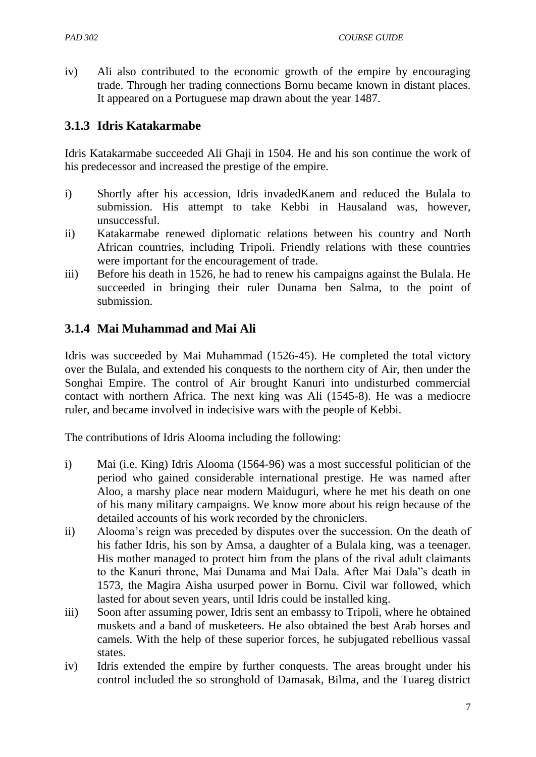iv) Ali also contributed to the economic growth of the empire by encouraging trade. Through her trading connections Bornu became known in distant places. It appeared on a Portuguese map drawn about the year 1487.

## **3.1.3 Idris Katakarmabe**

Idris Katakarmabe succeeded Ali Ghaji in 1504. He and his son continue the work of his predecessor and increased the prestige of the empire.

- i) Shortly after his accession, Idris invadedKanem and reduced the Bulala to submission. His attempt to take Kebbi in Hausaland was, however, unsuccessful.
- ii) Katakarmabe renewed diplomatic relations between his country and North African countries, including Tripoli. Friendly relations with these countries were important for the encouragement of trade.
- iii) Before his death in 1526, he had to renew his campaigns against the Bulala. He succeeded in bringing their ruler Dunama ben Salma, to the point of submission.

## **3.1.4 Mai Muhammad and Mai Ali**

Idris was succeeded by Mai Muhammad (1526-45). He completed the total victory over the Bulala, and extended his conquests to the northern city of Air, then under the Songhai Empire. The control of Air brought Kanuri into undisturbed commercial contact with northern Africa. The next king was Ali (1545-8). He was a mediocre ruler, and became involved in indecisive wars with the people of Kebbi.

The contributions of Idris Alooma including the following:

- i) Mai (i.e. King) Idris Alooma (1564-96) was a most successful politician of the period who gained considerable international prestige. He was named after Aloo, a marshy place near modern Maiduguri, where he met his death on one of his many military campaigns. We know more about his reign because of the detailed accounts of his work recorded by the chroniclers.
- ii) Alooma"s reign was preceded by disputes over the succession. On the death of his father Idris, his son by Amsa, a daughter of a Bulala king, was a teenager. His mother managed to protect him from the plans of the rival adult claimants to the Kanuri throne, Mai Dunama and Mai Dala. After Mai Dala"s death in 1573, the Magira Aisha usurped power in Bornu. Civil war followed, which lasted for about seven years, until Idris could be installed king.
- iii) Soon after assuming power, Idris sent an embassy to Tripoli, where he obtained muskets and a band of musketeers. He also obtained the best Arab horses and camels. With the help of these superior forces, he subjugated rebellious vassal states.
- iv) Idris extended the empire by further conquests. The areas brought under his control included the so stronghold of Damasak, Bilma, and the Tuareg district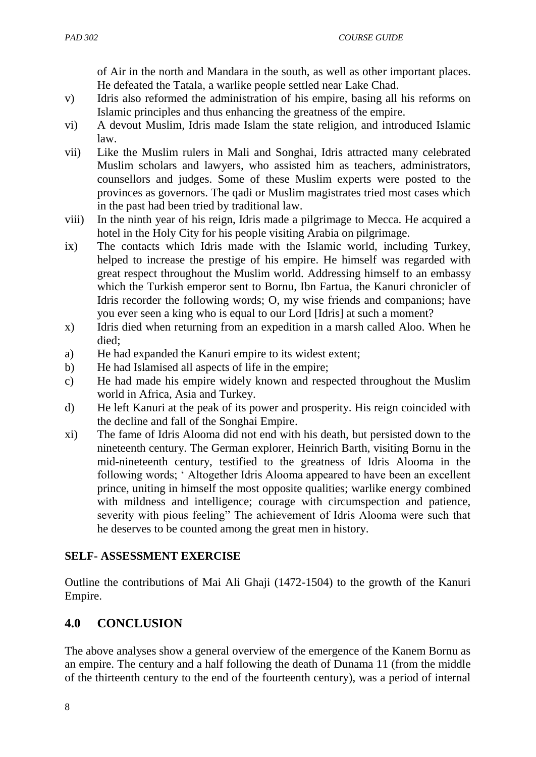of Air in the north and Mandara in the south, as well as other important places. He defeated the Tatala, a warlike people settled near Lake Chad.

- v) Idris also reformed the administration of his empire, basing all his reforms on Islamic principles and thus enhancing the greatness of the empire.
- vi) A devout Muslim, Idris made Islam the state religion, and introduced Islamic law.
- vii) Like the Muslim rulers in Mali and Songhai, Idris attracted many celebrated Muslim scholars and lawyers, who assisted him as teachers, administrators, counsellors and judges. Some of these Muslim experts were posted to the provinces as governors. The qadi or Muslim magistrates tried most cases which in the past had been tried by traditional law.
- viii) In the ninth year of his reign, Idris made a pilgrimage to Mecca. He acquired a hotel in the Holy City for his people visiting Arabia on pilgrimage.
- ix) The contacts which Idris made with the Islamic world, including Turkey, helped to increase the prestige of his empire. He himself was regarded with great respect throughout the Muslim world. Addressing himself to an embassy which the Turkish emperor sent to Bornu, Ibn Fartua, the Kanuri chronicler of Idris recorder the following words; O, my wise friends and companions; have you ever seen a king who is equal to our Lord [Idris] at such a moment?
- x) Idris died when returning from an expedition in a marsh called Aloo. When he died;
- a) He had expanded the Kanuri empire to its widest extent;
- b) He had Islamised all aspects of life in the empire;
- c) He had made his empire widely known and respected throughout the Muslim world in Africa, Asia and Turkey.
- d) He left Kanuri at the peak of its power and prosperity. His reign coincided with the decline and fall of the Songhai Empire.
- xi) The fame of Idris Alooma did not end with his death, but persisted down to the nineteenth century. The German explorer, Heinrich Barth, visiting Bornu in the mid-nineteenth century, testified to the greatness of Idris Alooma in the following words; " Altogether Idris Alooma appeared to have been an excellent prince, uniting in himself the most opposite qualities; warlike energy combined with mildness and intelligence; courage with circumspection and patience, severity with pious feeling" The achievement of Idris Alooma were such that he deserves to be counted among the great men in history.

## **SELF- ASSESSMENT EXERCISE**

Outline the contributions of Mai Ali Ghaji (1472-1504) to the growth of the Kanuri Empire.

# **4.0 CONCLUSION**

The above analyses show a general overview of the emergence of the Kanem Bornu as an empire. The century and a half following the death of Dunama 11 (from the middle of the thirteenth century to the end of the fourteenth century), was a period of internal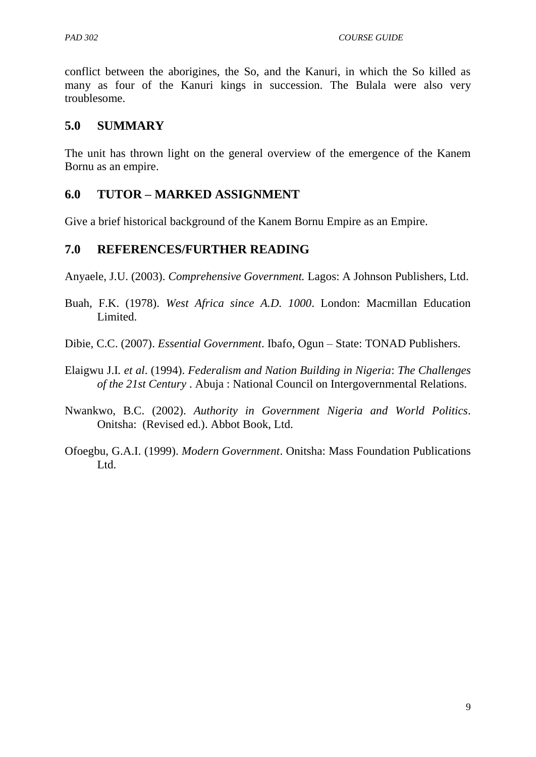conflict between the aborigines, the So, and the Kanuri, in which the So killed as many as four of the Kanuri kings in succession. The Bulala were also very troublesome.

## **5.0 SUMMARY**

The unit has thrown light on the general overview of the emergence of the Kanem Bornu as an empire.

## **6.0 TUTOR – MARKED ASSIGNMENT**

Give a brief historical background of the Kanem Bornu Empire as an Empire.

## **7.0 REFERENCES/FURTHER READING**

Anyaele, J.U. (2003). *Comprehensive Government.* Lagos: A Johnson Publishers, Ltd.

- Buah, F.K. (1978). *West Africa since A.D. 1000*. London: Macmillan Education Limited.
- Dibie, C.C. (2007). *Essential Government*. Ibafo, Ogun State: TONAD Publishers.
- Elaigwu J.I*. et al*. (1994). *Federalism and Nation Building in Nigeria*: *The Challenges of the 21st Century* . Abuja : National Council on Intergovernmental Relations.
- Nwankwo, B.C. (2002). *Authority in Government Nigeria and World Politics*. Onitsha: (Revised ed.). Abbot Book, Ltd.
- Ofoegbu, G.A.I. (1999). *Modern Government*. Onitsha: Mass Foundation Publications Ltd.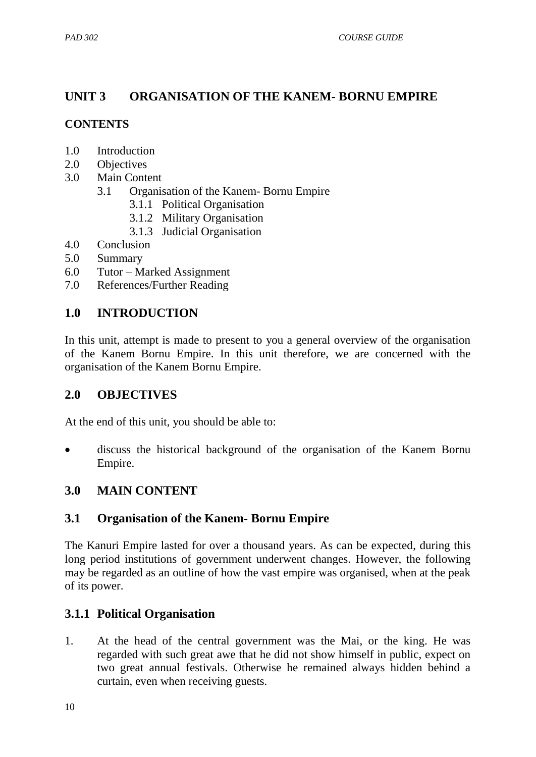## **UNIT 3 ORGANISATION OF THE KANEM- BORNU EMPIRE**

## **CONTENTS**

- 1.0 Introduction
- 2.0 Objectives
- 3.0 Main Content
	- 3.1 Organisation of the Kanem- Bornu Empire
		- 3.1.1 Political Organisation
		- 3.1.2 Military Organisation
		- 3.1.3 Judicial Organisation
- 4.0 Conclusion
- 5.0 Summary
- 6.0 Tutor Marked Assignment
- 7.0 References/Further Reading

## **1.0 INTRODUCTION**

In this unit, attempt is made to present to you a general overview of the organisation of the Kanem Bornu Empire. In this unit therefore, we are concerned with the organisation of the Kanem Bornu Empire.

## **2.0 OBJECTIVES**

At the end of this unit, you should be able to:

 discuss the historical background of the organisation of the Kanem Bornu Empire.

## **3.0 MAIN CONTENT**

## **3.1 Organisation of the Kanem- Bornu Empire**

The Kanuri Empire lasted for over a thousand years. As can be expected, during this long period institutions of government underwent changes. However, the following may be regarded as an outline of how the vast empire was organised, when at the peak of its power.

# **3.1.1 Political Organisation**

1. At the head of the central government was the Mai, or the king. He was regarded with such great awe that he did not show himself in public, expect on two great annual festivals. Otherwise he remained always hidden behind a curtain, even when receiving guests.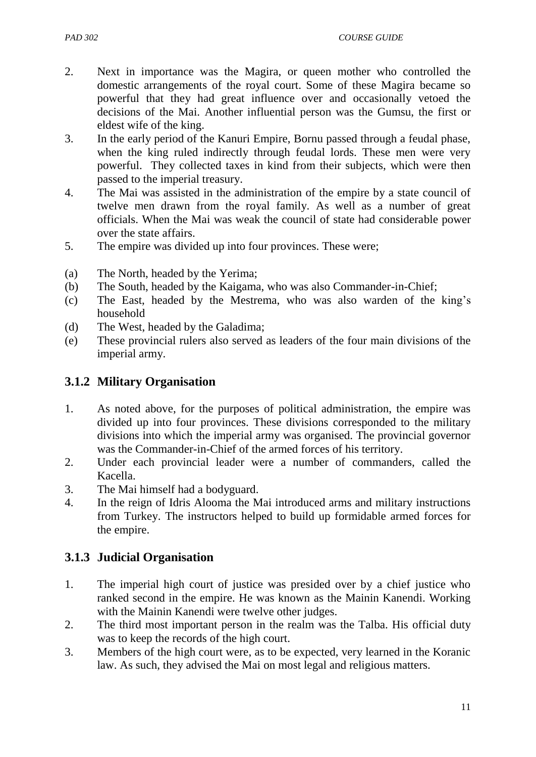- 2. Next in importance was the Magira, or queen mother who controlled the domestic arrangements of the royal court. Some of these Magira became so powerful that they had great influence over and occasionally vetoed the decisions of the Mai. Another influential person was the Gumsu, the first or eldest wife of the king.
- 3. In the early period of the Kanuri Empire, Bornu passed through a feudal phase, when the king ruled indirectly through feudal lords. These men were very powerful. They collected taxes in kind from their subjects, which were then passed to the imperial treasury.
- 4. The Mai was assisted in the administration of the empire by a state council of twelve men drawn from the royal family. As well as a number of great officials. When the Mai was weak the council of state had considerable power over the state affairs.
- 5. The empire was divided up into four provinces. These were;
- (a) The North, headed by the Yerima;
- (b) The South, headed by the Kaigama, who was also Commander-in-Chief;
- (c) The East, headed by the Mestrema, who was also warden of the king"s household
- (d) The West, headed by the Galadima;
- (e) These provincial rulers also served as leaders of the four main divisions of the imperial army.

## **3.1.2 Military Organisation**

- 1. As noted above, for the purposes of political administration, the empire was divided up into four provinces. These divisions corresponded to the military divisions into which the imperial army was organised. The provincial governor was the Commander-in-Chief of the armed forces of his territory.
- 2. Under each provincial leader were a number of commanders, called the Kacella.
- 3. The Mai himself had a bodyguard.
- 4. In the reign of Idris Alooma the Mai introduced arms and military instructions from Turkey. The instructors helped to build up formidable armed forces for the empire.

## **3.1.3 Judicial Organisation**

- 1. The imperial high court of justice was presided over by a chief justice who ranked second in the empire. He was known as the Mainin Kanendi. Working with the Mainin Kanendi were twelve other judges.
- 2. The third most important person in the realm was the Talba. His official duty was to keep the records of the high court.
- 3. Members of the high court were, as to be expected, very learned in the Koranic law. As such, they advised the Mai on most legal and religious matters.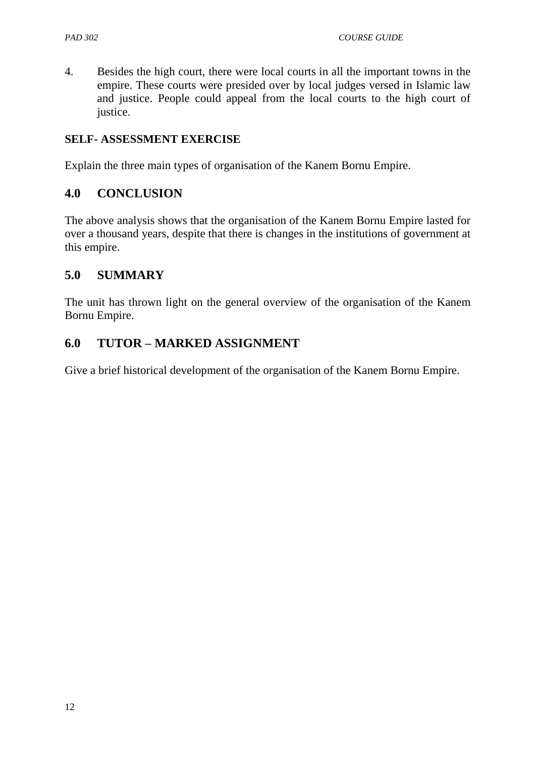4. Besides the high court, there were local courts in all the important towns in the empire. These courts were presided over by local judges versed in Islamic law and justice. People could appeal from the local courts to the high court of justice.

#### **SELF- ASSESSMENT EXERCISE**

Explain the three main types of organisation of the Kanem Bornu Empire.

## **4.0 CONCLUSION**

The above analysis shows that the organisation of the Kanem Bornu Empire lasted for over a thousand years, despite that there is changes in the institutions of government at this empire.

## **5.0 SUMMARY**

The unit has thrown light on the general overview of the organisation of the Kanem Bornu Empire.

## **6.0 TUTOR – MARKED ASSIGNMENT**

Give a brief historical development of the organisation of the Kanem Bornu Empire.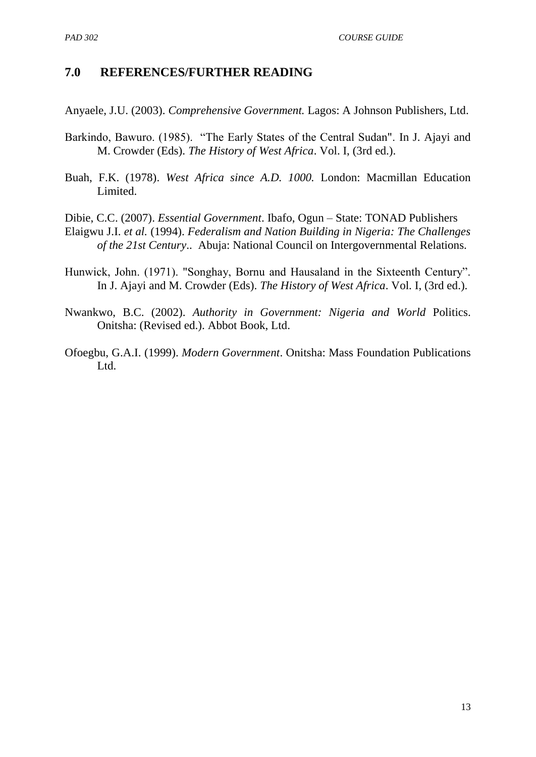## **7.0 REFERENCES/FURTHER READING**

Anyaele, J.U. (2003). *Comprehensive Government.* Lagos: A Johnson Publishers, Ltd.

- Barkindo, Bawuro. (1985). "The Early States of the Central Sudan". In J. Ajayi and M. Crowder (Eds). *The History of West Africa*. Vol. I, (3rd ed.).
- Buah, F.K. (1978). *West Africa since A.D. 1000.* London: Macmillan Education Limited.

Dibie, C.C. (2007). *Essential Government*. Ibafo, Ogun – State: TONAD Publishers Elaigwu J.I. *et al.* (1994). *Federalism and Nation Building in Nigeria: The Challenges of the 21st Century*.. Abuja: National Council on Intergovernmental Relations.

- Hunwick, John. (1971). "Songhay, Bornu and Hausaland in the Sixteenth Century". In J. Ajayi and M. Crowder (Eds). *The History of West Africa*. Vol. I, (3rd ed.).
- Nwankwo, B.C. (2002). *Authority in Government: Nigeria and World* Politics. Onitsha: (Revised ed.). Abbot Book, Ltd.
- Ofoegbu, G.A.I. (1999). *Modern Government*. Onitsha: Mass Foundation Publications Ltd.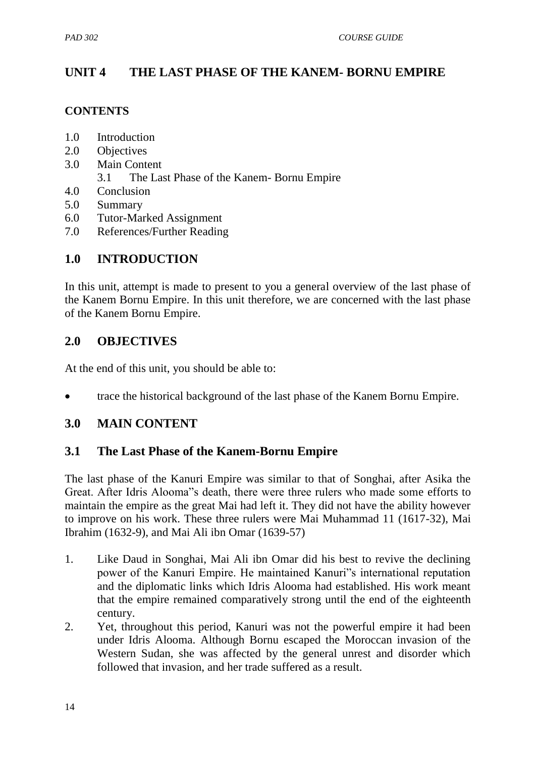## **UNIT 4 THE LAST PHASE OF THE KANEM- BORNU EMPIRE**

#### **CONTENTS**

- 1.0 Introduction
- 2.0 Objectives
- 3.0 Main Content
	- 3.1 The Last Phase of the Kanem- Bornu Empire
- 4.0 Conclusion
- 5.0 Summary
- 6.0 Tutor-Marked Assignment
- 7.0 References/Further Reading

## **1.0 INTRODUCTION**

In this unit, attempt is made to present to you a general overview of the last phase of the Kanem Bornu Empire. In this unit therefore, we are concerned with the last phase of the Kanem Bornu Empire.

## **2.0 OBJECTIVES**

At the end of this unit, you should be able to:

trace the historical background of the last phase of the Kanem Bornu Empire.

## **3.0 MAIN CONTENT**

## **3.1 The Last Phase of the Kanem-Bornu Empire**

The last phase of the Kanuri Empire was similar to that of Songhai, after Asika the Great. After Idris Alooma"s death, there were three rulers who made some efforts to maintain the empire as the great Mai had left it. They did not have the ability however to improve on his work. These three rulers were Mai Muhammad 11 (1617-32), Mai Ibrahim (1632-9), and Mai Ali ibn Omar (1639-57)

- 1. Like Daud in Songhai, Mai Ali ibn Omar did his best to revive the declining power of the Kanuri Empire. He maintained Kanuri"s international reputation and the diplomatic links which Idris Alooma had established. His work meant that the empire remained comparatively strong until the end of the eighteenth century.
- 2. Yet, throughout this period, Kanuri was not the powerful empire it had been under Idris Alooma. Although Bornu escaped the Moroccan invasion of the Western Sudan, she was affected by the general unrest and disorder which followed that invasion, and her trade suffered as a result.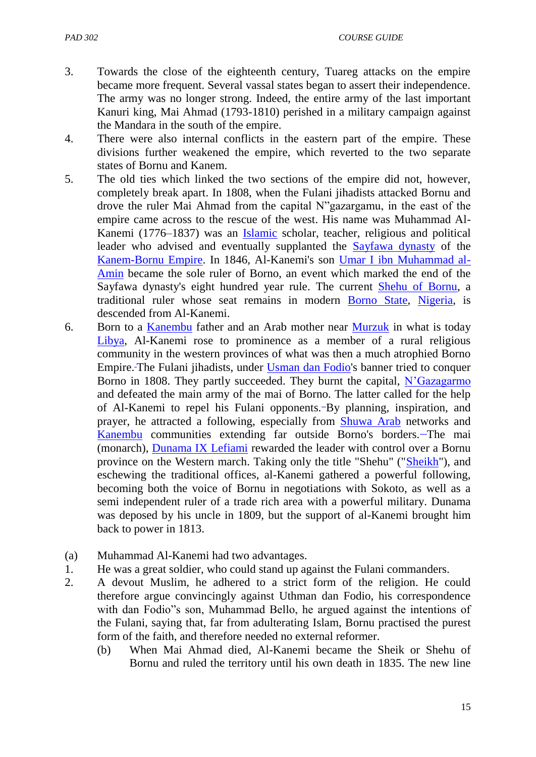- 3. Towards the close of the eighteenth century, Tuareg attacks on the empire became more frequent. Several vassal states began to assert their independence. The army was no longer strong. Indeed, the entire army of the last important Kanuri king, Mai Ahmad (1793-1810) perished in a military campaign against the Mandara in the south of the empire.
- 4. There were also internal conflicts in the eastern part of the empire. These divisions further weakened the empire, which reverted to the two separate states of Bornu and Kanem.
- 5. The old ties which linked the two sections of the empire did not, however, completely break apart. In 1808, when the Fulani jihadists attacked Bornu and drove the ruler Mai Ahmad from the capital N"gazargamu, in the east of the empire came across to the rescue of the west. His name was Muhammad Al-Kanemi (1776–1837) was an [Islamic](http://en.wikipedia.org/wiki/Islamic) scholar, teacher, religious and political leader who advised and eventually supplanted the [Sayfawa dynasty](http://en.wikipedia.org/wiki/Sayfawa_dynasty) of the [Kanem-Bornu Empire.](http://en.wikipedia.org/wiki/Kanem-Bornu_Empire) In 1846, Al-Kanemi's son [Umar I ibn Muhammad al-](http://en.wikipedia.org/wiki/Umar_of_Borno)[Amin](http://en.wikipedia.org/wiki/Umar_of_Borno) became the sole ruler of Borno, an event which marked the end of the Sayfawa dynasty's eight hundred year rule. The current [Shehu of Bornu,](http://en.wikipedia.org/wiki/Shehu_of_Bornu) a traditional ruler whose seat remains in modern [Borno State,](http://en.wikipedia.org/wiki/Borno_State) [Nigeria,](http://en.wikipedia.org/wiki/Nigeria) is descended from Al-Kanemi.
- 6. Born to a [Kanembu](http://en.wikipedia.org/wiki/Kanembu) father and an Arab mother near [Murzuk](http://en.wikipedia.org/wiki/Murzuk) in what is today [Libya,](http://en.wikipedia.org/wiki/Libya) Al-Kanemi rose to prominence as a member of a rural religious community in the western provinces of what was then a much atrophied Borno Empire. The Fulani jihadists, under [Usman dan Fodio'](http://en.wikipedia.org/wiki/Usman_dan_Fodio)s banner tried to conquer Borno in 1808. They partly succeeded. They burnt the capital, [N"Gazagarmo](http://en.wikipedia.org/w/index.php?title=N%E2%80%99Gazagarmo&action=edit&redlink=1) and defeated the main army of the mai of Borno. The latter called for the help of Al-Kanemi to repel his Fulani opponents. By planning, inspiration, and prayer, he attracted a following, especially from [Shuwa Arab](http://en.wikipedia.org/wiki/Shuwa_Arab) networks and [Kanembu](http://en.wikipedia.org/wiki/Kanembu) communities extending far outside Borno's borders. The mai (monarch), [Dunama IX Lefiami](http://en.wikipedia.org/wiki/Dunama_IX_Lefiami) rewarded the leader with control over a Bornu province on the Western march. Taking only the title "Shehu" (["Sheikh"](http://en.wikipedia.org/wiki/Sheikh)), and eschewing the traditional offices, al-Kanemi gathered a powerful following, becoming both the voice of Bornu in negotiations with Sokoto, as well as a semi independent ruler of a trade rich area with a powerful military. Dunama was deposed by his uncle in 1809, but the support of al-Kanemi brought him back to power in 1813.
- (a) Muhammad Al-Kanemi had two advantages.
- 1. He was a great soldier, who could stand up against the Fulani commanders.
- 2. A devout Muslim, he adhered to a strict form of the religion. He could therefore argue convincingly against Uthman dan Fodio, his correspondence with dan Fodio"s son, Muhammad Bello, he argued against the intentions of the Fulani, saying that, far from adulterating Islam, Bornu practised the purest form of the faith, and therefore needed no external reformer.
	- (b) When Mai Ahmad died, Al-Kanemi became the Sheik or Shehu of Bornu and ruled the territory until his own death in 1835. The new line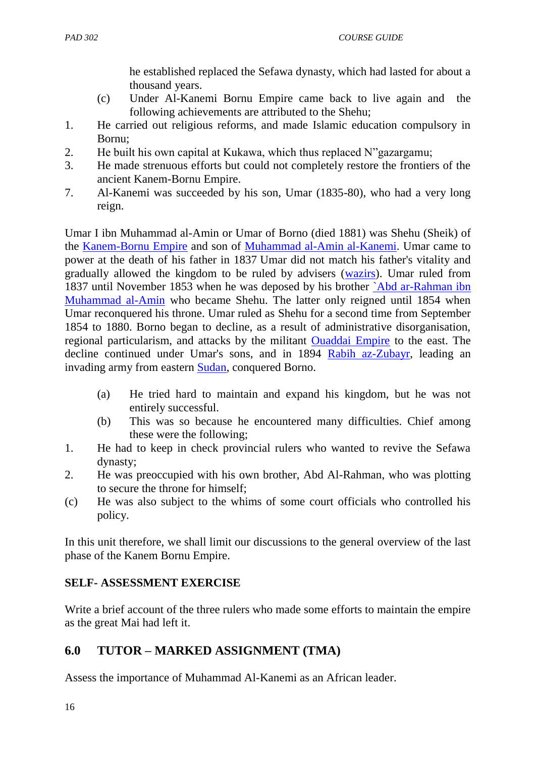he established replaced the Sefawa dynasty, which had lasted for about a thousand years.

- (c) Under Al-Kanemi Bornu Empire came back to live again and the following achievements are attributed to the Shehu;
- 1. He carried out religious reforms, and made Islamic education compulsory in Bornu;
- 2. He built his own capital at Kukawa, which thus replaced N"gazargamu;
- 3. He made strenuous efforts but could not completely restore the frontiers of the ancient Kanem-Bornu Empire.
- 7. Al-Kanemi was succeeded by his son, Umar (1835-80), who had a very long reign.

Umar I ibn Muhammad al-Amin or Umar of Borno (died 1881) was Shehu (Sheik) of the [Kanem-Bornu Empire](http://en.wikipedia.org/wiki/Kanem-Bornu_Empire) and son of [Muhammad al-Amin al-Kanemi.](http://en.wikipedia.org/wiki/Muhammad_al-Amin_al-Kanemi) Umar came to power at the death of his father in 1837 Umar did not match his father's vitality and gradually allowed the kingdom to be ruled by advisers [\(wazirs\)](http://en.wikipedia.org/wiki/Vizier). Umar ruled from 1837 until November 1853 when he was deposed by his brother [`Abd ar-Rahman ibn](http://en.wikipedia.org/wiki/%60Abd_ar-Rahman_ibn_Muhammad_al-Amin)  [Muhammad al-Amin](http://en.wikipedia.org/wiki/%60Abd_ar-Rahman_ibn_Muhammad_al-Amin) who became Shehu. The latter only reigned until 1854 when Umar reconquered his throne. Umar ruled as Shehu for a second time from September 1854 to 1880. Borno began to decline, as a result of administrative disorganisation, regional particularism, and attacks by the militant [Ouaddai Empire](http://en.wikipedia.org/wiki/Ouaddai_Empire) to the east. The decline continued under Umar's sons, and in 1894 [Rabih az-Zubayr,](http://en.wikipedia.org/wiki/Rabih_az-Zubayr) leading an invading army from eastern [Sudan,](http://en.wikipedia.org/wiki/Sudan) conquered Borno.

- (a) He tried hard to maintain and expand his kingdom, but he was not entirely successful.
- (b) This was so because he encountered many difficulties. Chief among these were the following;
- 1. He had to keep in check provincial rulers who wanted to revive the Sefawa dynasty;
- 2. He was preoccupied with his own brother, Abd Al-Rahman, who was plotting to secure the throne for himself;
- (c) He was also subject to the whims of some court officials who controlled his policy.

In this unit therefore, we shall limit our discussions to the general overview of the last phase of the Kanem Bornu Empire.

## **SELF- ASSESSMENT EXERCISE**

Write a brief account of the three rulers who made some efforts to maintain the empire as the great Mai had left it.

# **6.0 TUTOR – MARKED ASSIGNMENT (TMA)**

Assess the importance of Muhammad Al-Kanemi as an African leader.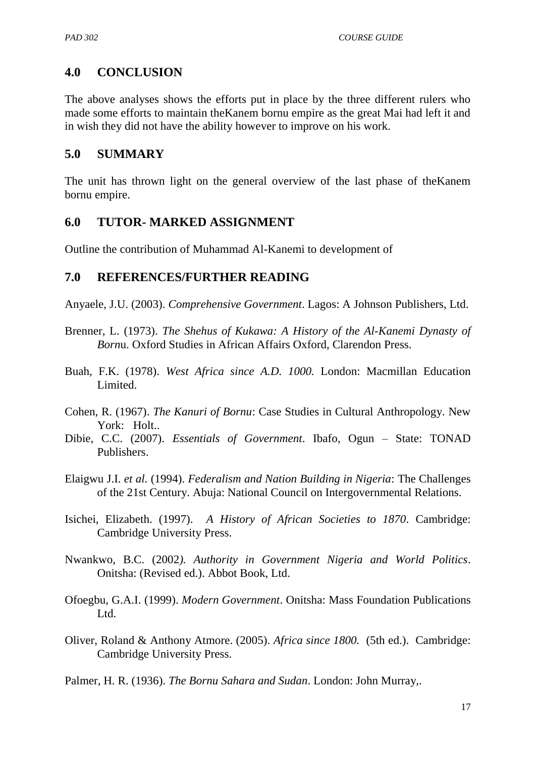## **4.0 CONCLUSION**

The above analyses shows the efforts put in place by the three different rulers who made some efforts to maintain theKanem bornu empire as the great Mai had left it and in wish they did not have the ability however to improve on his work.

## **5.0 SUMMARY**

The unit has thrown light on the general overview of the last phase of theKanem bornu empire.

## **6.0 TUTOR- MARKED ASSIGNMENT**

Outline the contribution of Muhammad Al-Kanemi to development of

## **7.0 REFERENCES/FURTHER READING**

Anyaele, J.U. (2003). *Comprehensive Government*. Lagos: A Johnson Publishers, Ltd.

- Brenner, L. (1973). *The Shehus of Kukawa: A History of the Al-Kanemi Dynasty of Born*u. Oxford Studies in African Affairs Oxford, Clarendon Press.
- Buah, F.K. (1978). *West Africa since A.D. 1000.* London: Macmillan Education Limited.
- Cohen, R. (1967). *The Kanuri of Bornu*: Case Studies in Cultural Anthropology. New York: Holt..
- Dibie, C.C. (2007). *Essentials of Government*. Ibafo, Ogun State: TONAD Publishers.
- Elaigwu J.I. *et al.* (1994). *Federalism and Nation Building in Nigeria*: The Challenges of the 21st Century. Abuja: National Council on Intergovernmental Relations.
- Isichei, Elizabeth. (1997). *A History of African Societies to 1870*. Cambridge: Cambridge University Press.
- Nwankwo, B.C. (2002*). Authority in Government Nigeria and World Politics*. Onitsha: (Revised ed.). Abbot Book, Ltd.
- Ofoegbu, G.A.I. (1999). *Modern Government*. Onitsha: Mass Foundation Publications Ltd.
- Oliver, Roland & Anthony Atmore. (2005). *Africa since 1800.* (5th ed.). Cambridge: Cambridge University Press.
- Palmer, H. R. (1936). *The Bornu Sahara and Sudan*. London: John Murray,.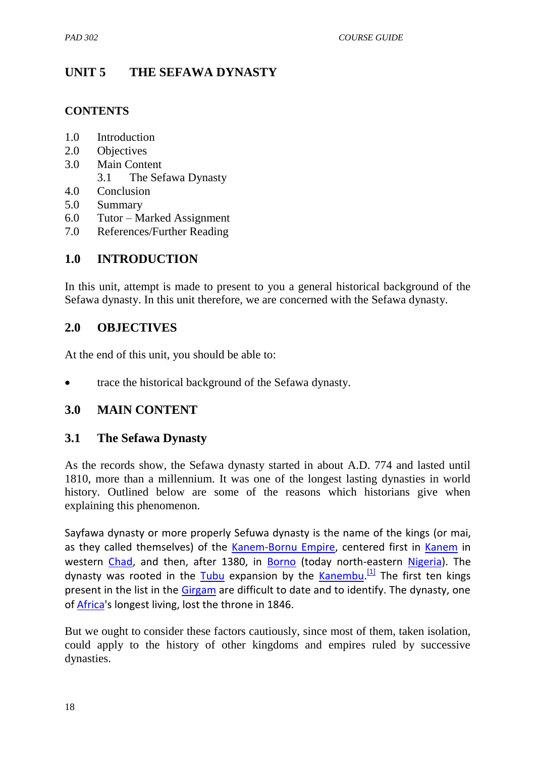# **UNIT 5 THE SEFAWA DYNASTY**

#### **CONTENTS**

- 1.0 Introduction
- 2.0 Objectives
- 3.0 Main Content 3.1 The Sefawa Dynasty
- 4.0 Conclusion
- 5.0 Summary
- 6.0 Tutor Marked Assignment
- 7.0 References/Further Reading

## **1.0 INTRODUCTION**

In this unit, attempt is made to present to you a general historical background of the Sefawa dynasty. In this unit therefore, we are concerned with the Sefawa dynasty.

## **2.0 OBJECTIVES**

At the end of this unit, you should be able to:

• trace the historical background of the Sefawa dynasty.

## **3.0 MAIN CONTENT**

## **3.1 The Sefawa Dynasty**

As the records show, the Sefawa dynasty started in about A.D. 774 and lasted until 1810, more than a millennium. It was one of the longest lasting dynasties in world history. Outlined below are some of the reasons which historians give when explaining this phenomenon.

Sayfawa dynasty or more properly Sefuwa dynasty is the name of the kings (or mai, as they called themselves) of the [Kanem-Bornu Empire,](http://en.wikipedia.org/wiki/Kanem-Bornu_Empire) centered first in [Kanem](http://en.wikipedia.org/wiki/Kanem_Region) in western [Chad,](http://en.wikipedia.org/wiki/Chad) and then, after 1380, in [Borno](http://en.wikipedia.org/wiki/Borno_State) (today north-eastern [Nigeria\)](http://en.wikipedia.org/wiki/Nigeria). The dynasty was rooted in the [Tubu](http://en.wikipedia.org/wiki/Toubou) expansion by the [Kanembu.](http://en.wikipedia.org/wiki/Kanembu_people)<sup>[\[1\]](http://en.wikipedia.org/wiki/Sayfawa_dynasty#cite_note-1)</sup> The first ten kings present in the list in the [Girgam](http://en.wikipedia.org/wiki/Girgam) are difficult to date and to identify. The dynasty, one of [Africa'](http://en.wikipedia.org/wiki/Africa)s longest living, lost the throne in 1846.

But we ought to consider these factors cautiously, since most of them, taken isolation, could apply to the history of other kingdoms and empires ruled by successive dynasties.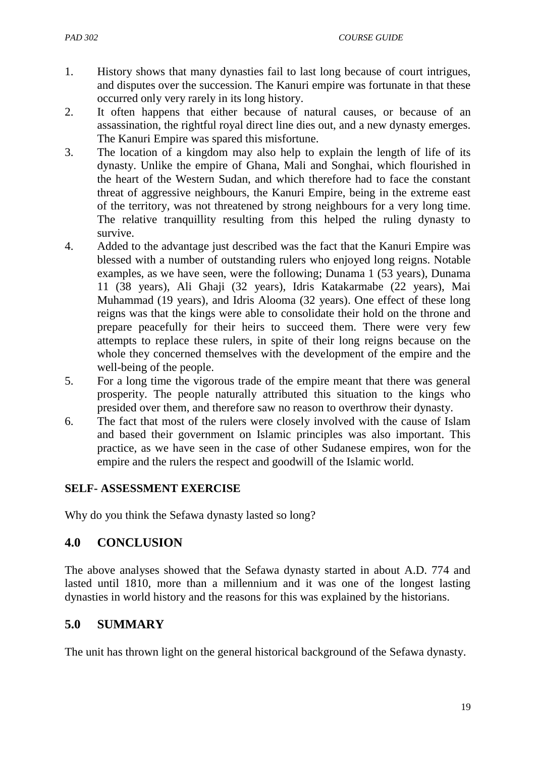- 1. History shows that many dynasties fail to last long because of court intrigues, and disputes over the succession. The Kanuri empire was fortunate in that these occurred only very rarely in its long history.
- 2. It often happens that either because of natural causes, or because of an assassination, the rightful royal direct line dies out, and a new dynasty emerges. The Kanuri Empire was spared this misfortune.
- 3. The location of a kingdom may also help to explain the length of life of its dynasty. Unlike the empire of Ghana, Mali and Songhai, which flourished in the heart of the Western Sudan, and which therefore had to face the constant threat of aggressive neighbours, the Kanuri Empire, being in the extreme east of the territory, was not threatened by strong neighbours for a very long time. The relative tranquillity resulting from this helped the ruling dynasty to survive.
- 4. Added to the advantage just described was the fact that the Kanuri Empire was blessed with a number of outstanding rulers who enjoyed long reigns. Notable examples, as we have seen, were the following; Dunama 1 (53 years), Dunama 11 (38 years), Ali Ghaji (32 years), Idris Katakarmabe (22 years), Mai Muhammad (19 years), and Idris Alooma (32 years). One effect of these long reigns was that the kings were able to consolidate their hold on the throne and prepare peacefully for their heirs to succeed them. There were very few attempts to replace these rulers, in spite of their long reigns because on the whole they concerned themselves with the development of the empire and the well-being of the people.
- 5. For a long time the vigorous trade of the empire meant that there was general prosperity. The people naturally attributed this situation to the kings who presided over them, and therefore saw no reason to overthrow their dynasty.
- 6. The fact that most of the rulers were closely involved with the cause of Islam and based their government on Islamic principles was also important. This practice, as we have seen in the case of other Sudanese empires, won for the empire and the rulers the respect and goodwill of the Islamic world.

## **SELF- ASSESSMENT EXERCISE**

Why do you think the Sefawa dynasty lasted so long?

## **4.0 CONCLUSION**

The above analyses showed that the Sefawa dynasty started in about A.D. 774 and lasted until 1810, more than a millennium and it was one of the longest lasting dynasties in world history and the reasons for this was explained by the historians.

## **5.0 SUMMARY**

The unit has thrown light on the general historical background of the Sefawa dynasty.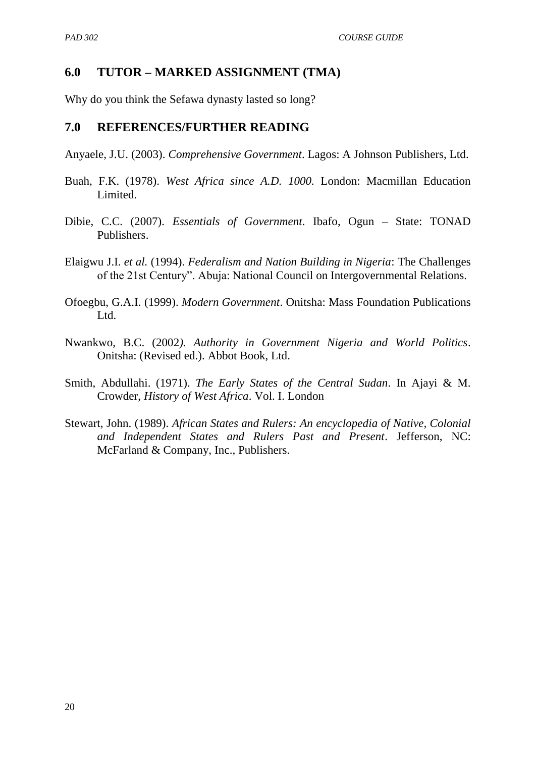## **6.0 TUTOR – MARKED ASSIGNMENT (TMA)**

Why do you think the Sefawa dynasty lasted so long?

#### **7.0 REFERENCES/FURTHER READING**

Anyaele, J.U. (2003). *Comprehensive Government*. Lagos: A Johnson Publishers, Ltd.

- Buah, F.K. (1978). *West Africa since A.D. 1000.* London: Macmillan Education Limited.
- Dibie, C.C. (2007). *Essentials of Government*. Ibafo, Ogun State: TONAD Publishers.
- Elaigwu J.I. *et al.* (1994). *Federalism and Nation Building in Nigeria*: The Challenges of the 21st Century". Abuja: National Council on Intergovernmental Relations.
- Ofoegbu, G.A.I. (1999). *Modern Government*. Onitsha: Mass Foundation Publications Ltd.
- Nwankwo, B.C. (2002*). Authority in Government Nigeria and World Politics*. Onitsha: (Revised ed.). Abbot Book, Ltd.
- Smith, Abdullahi. (1971). *The Early States of the Central Sudan*. In Ajayi & M. Crowder, *History of West Africa*. Vol. I. London
- Stewart, John. (1989). *African States and Rulers: An encyclopedia of Native, Colonial and Independent States and Rulers Past and Present*. Jefferson, NC: McFarland & Company, Inc., Publishers.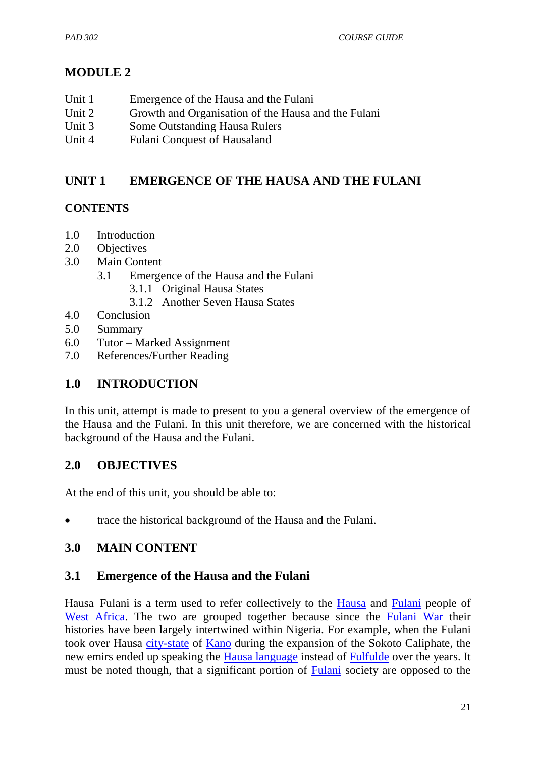# **MODULE 2**

- Unit 1 Emergence of the Hausa and the Fulani
- Unit 2 Growth and Organisation of the Hausa and the Fulani
- Unit 3 Some Outstanding Hausa Rulers
- Unit 4 Fulani Conquest of Hausaland

## **UNIT 1 EMERGENCE OF THE HAUSA AND THE FULANI**

## **CONTENTS**

- 1.0 Introduction
- 2.0 Objectives
- 3.0 Main Content
	- 3.1 Emergence of the Hausa and the Fulani
		- 3.1.1 Original Hausa States
		- 3.1.2 Another Seven Hausa States
- 4.0 Conclusion
- 5.0 Summary
- 6.0 Tutor Marked Assignment
- 7.0 References/Further Reading

## **1.0 INTRODUCTION**

In this unit, attempt is made to present to you a general overview of the emergence of the Hausa and the Fulani. In this unit therefore, we are concerned with the historical background of the Hausa and the Fulani.

## **2.0 OBJECTIVES**

At the end of this unit, you should be able to:

• trace the historical background of the Hausa and the Fulani.

## **3.0 MAIN CONTENT**

## **3.1 Emergence of the Hausa and the Fulani**

Hausa–Fulani is a term used to refer collectively to the [Hausa](http://en.wikipedia.org/wiki/Hausa_people) and [Fulani](http://en.wikipedia.org/wiki/Fula_people) people of [West Africa.](http://en.wikipedia.org/wiki/West_Africa) The two are grouped together because since the [Fulani War](http://en.wikipedia.org/wiki/Fulani_War) their histories have been largely intertwined within Nigeria. For example, when the Fulani took over Hausa [city-state](http://en.wikipedia.org/wiki/Hausa_Kingdoms) of [Kano](http://en.wikipedia.org/wiki/Kano) during the expansion of the Sokoto Caliphate, the new emirs ended up speaking the [Hausa language](http://en.wikipedia.org/wiki/Hausa_language) instead of [Fulfulde](http://en.wikipedia.org/wiki/Fula_language) over the years. It must be noted though, that a significant portion of **Fulani** society are opposed to the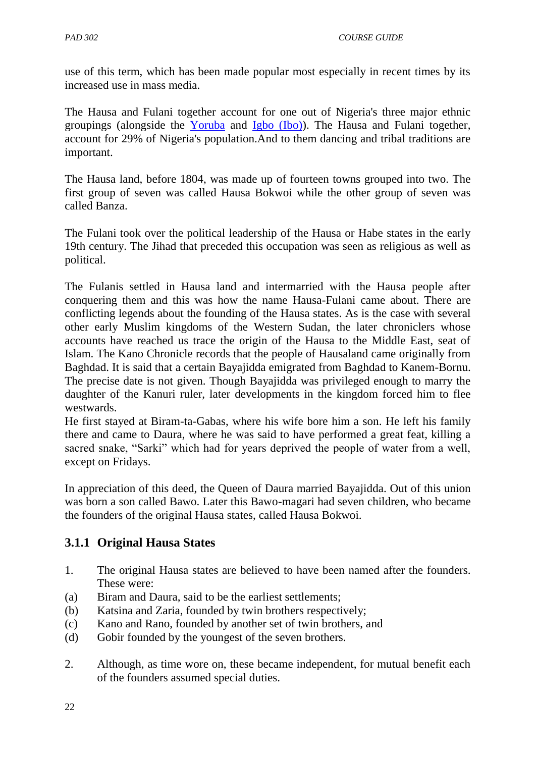use of this term, which has been made popular most especially in recent times by its increased use in mass media.

The Hausa and Fulani together account for one out of Nigeria's three major ethnic groupings (alongside the [Yoruba](http://en.wikipedia.org/wiki/Yoruba_people) and [Igbo \(Ibo\)\)](http://en.wikipedia.org/wiki/Igbo_people). The Hausa and Fulani together, account for 29% of Nigeria's population.And to them dancing and tribal traditions are important.

The Hausa land, before 1804, was made up of fourteen towns grouped into two. The first group of seven was called Hausa Bokwoi while the other group of seven was called Banza.

The Fulani took over the political leadership of the Hausa or Habe states in the early 19th century. The Jihad that preceded this occupation was seen as religious as well as political.

The Fulanis settled in Hausa land and intermarried with the Hausa people after conquering them and this was how the name Hausa-Fulani came about. There are conflicting legends about the founding of the Hausa states. As is the case with several other early Muslim kingdoms of the Western Sudan, the later chroniclers whose accounts have reached us trace the origin of the Hausa to the Middle East, seat of Islam. The Kano Chronicle records that the people of Hausaland came originally from Baghdad. It is said that a certain Bayajidda emigrated from Baghdad to Kanem-Bornu. The precise date is not given. Though Bayajidda was privileged enough to marry the daughter of the Kanuri ruler, later developments in the kingdom forced him to flee westwards.

He first stayed at Biram-ta-Gabas, where his wife bore him a son. He left his family there and came to Daura, where he was said to have performed a great feat, killing a sacred snake, "Sarki" which had for years deprived the people of water from a well, except on Fridays.

In appreciation of this deed, the Queen of Daura married Bayajidda. Out of this union was born a son called Bawo. Later this Bawo-magari had seven children, who became the founders of the original Hausa states, called Hausa Bokwoi.

## **3.1.1 Original Hausa States**

- 1. The original Hausa states are believed to have been named after the founders. These were:
- (a) Biram and Daura, said to be the earliest settlements;
- (b) Katsina and Zaria, founded by twin brothers respectively;
- (c) Kano and Rano, founded by another set of twin brothers, and
- (d) Gobir founded by the youngest of the seven brothers.
- 2. Although, as time wore on, these became independent, for mutual benefit each of the founders assumed special duties.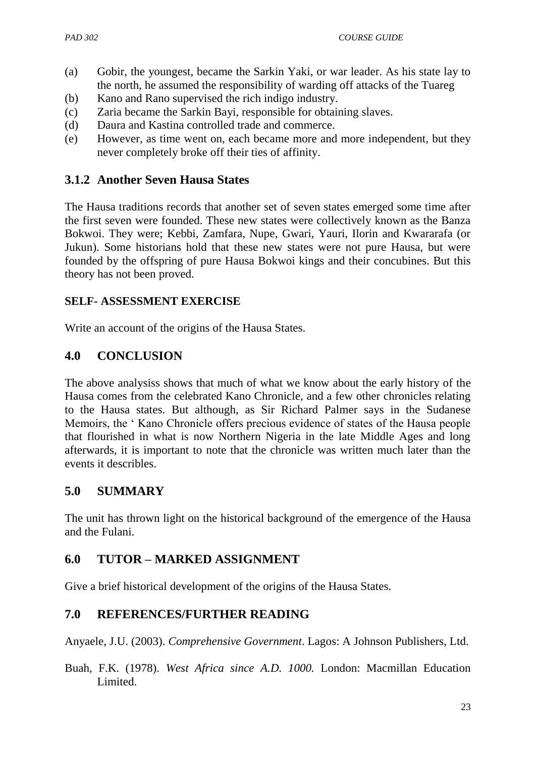- (a) Gobir, the youngest, became the Sarkin Yaki, or war leader. As his state lay to the north, he assumed the responsibility of warding off attacks of the Tuareg
- (b) Kano and Rano supervised the rich indigo industry.
- (c) Zaria became the Sarkin Bayi, responsible for obtaining slaves.
- (d) Daura and Kastina controlled trade and commerce.
- (e) However, as time went on, each became more and more independent, but they never completely broke off their ties of affinity.

## **3.1.2 Another Seven Hausa States**

The Hausa traditions records that another set of seven states emerged some time after the first seven were founded. These new states were collectively known as the Banza Bokwoi. They were; Kebbi, Zamfara, Nupe, Gwari, Yauri, Ilorin and Kwararafa (or Jukun). Some historians hold that these new states were not pure Hausa, but were founded by the offspring of pure Hausa Bokwoi kings and their concubines. But this theory has not been proved.

#### **SELF- ASSESSMENT EXERCISE**

Write an account of the origins of the Hausa States.

## **4.0 CONCLUSION**

The above analysiss shows that much of what we know about the early history of the Hausa comes from the celebrated Kano Chronicle, and a few other chronicles relating to the Hausa states. But although, as Sir Richard Palmer says in the Sudanese Memoirs, the " Kano Chronicle offers precious evidence of states of the Hausa people that flourished in what is now Northern Nigeria in the late Middle Ages and long afterwards, it is important to note that the chronicle was written much later than the events it describles.

## **5.0 SUMMARY**

The unit has thrown light on the historical background of the emergence of the Hausa and the Fulani.

## **6.0 TUTOR – MARKED ASSIGNMENT**

Give a brief historical development of the origins of the Hausa States.

## **7.0 REFERENCES/FURTHER READING**

Anyaele, J.U. (2003). *Comprehensive Government*. Lagos: A Johnson Publishers, Ltd.

Buah, F.K. (1978). *West Africa since A.D. 1000.* London: Macmillan Education Limited.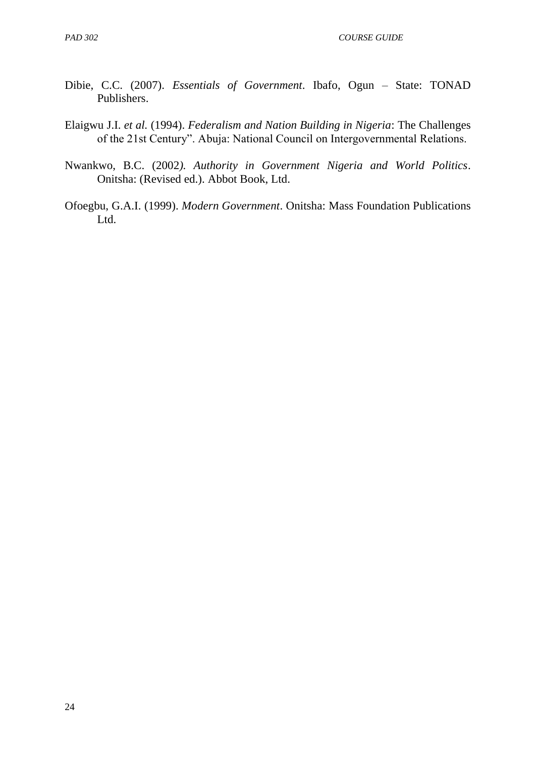*PAD 302 COURSE GUIDE*

- Dibie, C.C. (2007). *Essentials of Government*. Ibafo, Ogun State: TONAD Publishers.
- Elaigwu J.I. *et al.* (1994). *Federalism and Nation Building in Nigeria*: The Challenges of the 21st Century". Abuja: National Council on Intergovernmental Relations.
- Nwankwo, B.C. (2002*). Authority in Government Nigeria and World Politics*. Onitsha: (Revised ed.). Abbot Book, Ltd.
- Ofoegbu, G.A.I. (1999). *Modern Government*. Onitsha: Mass Foundation Publications Ltd.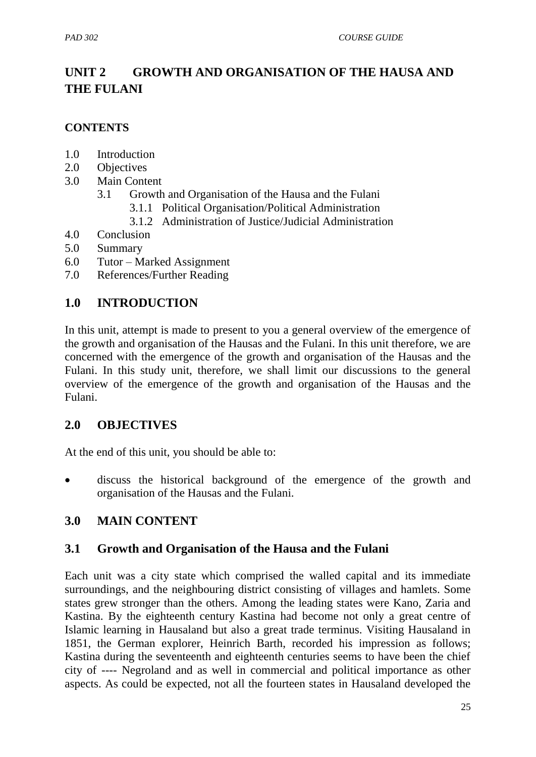# **UNIT 2 GROWTH AND ORGANISATION OF THE HAUSA AND THE FULANI**

### **CONTENTS**

- 1.0 Introduction
- 2.0 Objectives
- 3.0 Main Content
	- 3.1 Growth and Organisation of the Hausa and the Fulani
		- 3.1.1 Political Organisation/Political Administration
		- 3.1.2 Administration of Justice/Judicial Administration
- 4.0 Conclusion
- 5.0 Summary
- 6.0 Tutor Marked Assignment
- 7.0 References/Further Reading

# **1.0 INTRODUCTION**

In this unit, attempt is made to present to you a general overview of the emergence of the growth and organisation of the Hausas and the Fulani. In this unit therefore, we are concerned with the emergence of the growth and organisation of the Hausas and the Fulani. In this study unit, therefore, we shall limit our discussions to the general overview of the emergence of the growth and organisation of the Hausas and the Fulani.

### **2.0 OBJECTIVES**

At the end of this unit, you should be able to:

 discuss the historical background of the emergence of the growth and organisation of the Hausas and the Fulani.

# **3.0 MAIN CONTENT**

### **3.1 Growth and Organisation of the Hausa and the Fulani**

Each unit was a city state which comprised the walled capital and its immediate surroundings, and the neighbouring district consisting of villages and hamlets. Some states grew stronger than the others. Among the leading states were Kano, Zaria and Kastina. By the eighteenth century Kastina had become not only a great centre of Islamic learning in Hausaland but also a great trade terminus. Visiting Hausaland in 1851, the German explorer, Heinrich Barth, recorded his impression as follows; Kastina during the seventeenth and eighteenth centuries seems to have been the chief city of ---- Negroland and as well in commercial and political importance as other aspects. As could be expected, not all the fourteen states in Hausaland developed the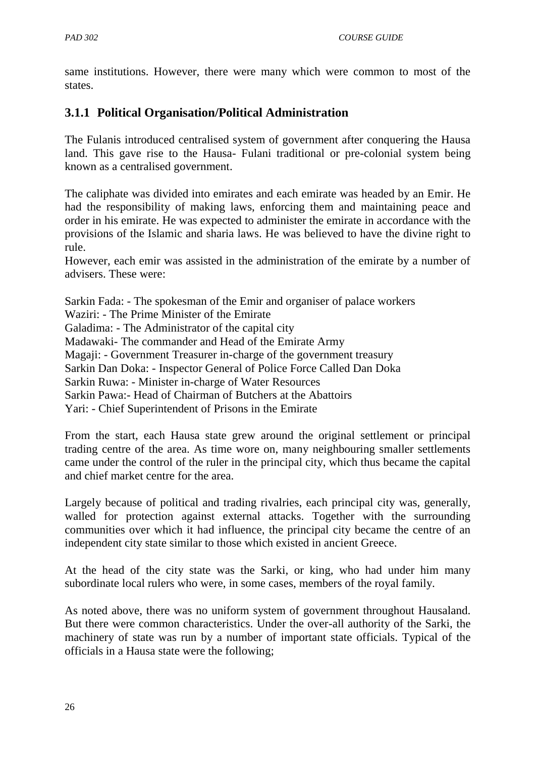same institutions. However, there were many which were common to most of the states.

# **3.1.1 Political Organisation/Political Administration**

The Fulanis introduced centralised system of government after conquering the Hausa land. This gave rise to the Hausa- Fulani traditional or pre-colonial system being known as a centralised government.

The caliphate was divided into emirates and each emirate was headed by an Emir. He had the responsibility of making laws, enforcing them and maintaining peace and order in his emirate. He was expected to administer the emirate in accordance with the provisions of the Islamic and sharia laws. He was believed to have the divine right to rule.

However, each emir was assisted in the administration of the emirate by a number of advisers. These were:

Sarkin Fada: - The spokesman of the Emir and organiser of palace workers Waziri: - The Prime Minister of the Emirate Galadima: - The Administrator of the capital city Madawaki- The commander and Head of the Emirate Army Magaji: - Government Treasurer in-charge of the government treasury Sarkin Dan Doka: - Inspector General of Police Force Called Dan Doka Sarkin Ruwa: - Minister in-charge of Water Resources Sarkin Pawa:- Head of Chairman of Butchers at the Abattoirs Yari: - Chief Superintendent of Prisons in the Emirate

From the start, each Hausa state grew around the original settlement or principal trading centre of the area. As time wore on, many neighbouring smaller settlements came under the control of the ruler in the principal city, which thus became the capital and chief market centre for the area.

Largely because of political and trading rivalries, each principal city was, generally, walled for protection against external attacks. Together with the surrounding communities over which it had influence, the principal city became the centre of an independent city state similar to those which existed in ancient Greece.

At the head of the city state was the Sarki, or king, who had under him many subordinate local rulers who were, in some cases, members of the royal family.

As noted above, there was no uniform system of government throughout Hausaland. But there were common characteristics. Under the over-all authority of the Sarki, the machinery of state was run by a number of important state officials. Typical of the officials in a Hausa state were the following;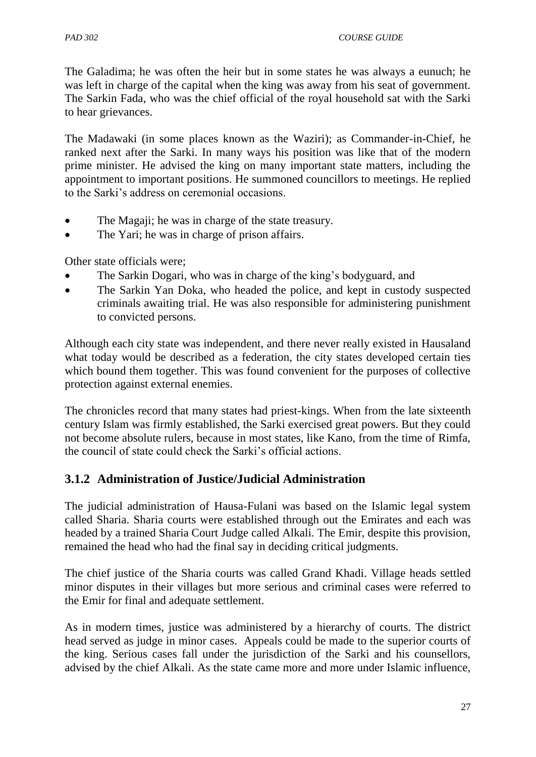The Galadima; he was often the heir but in some states he was always a eunuch; he was left in charge of the capital when the king was away from his seat of government. The Sarkin Fada, who was the chief official of the royal household sat with the Sarki to hear grievances.

The Madawaki (in some places known as the Waziri); as Commander-in-Chief, he ranked next after the Sarki. In many ways his position was like that of the modern prime minister. He advised the king on many important state matters, including the appointment to important positions. He summoned councillors to meetings. He replied to the Sarki"s address on ceremonial occasions.

- The Magaji; he was in charge of the state treasury.
- The Yari; he was in charge of prison affairs.

Other state officials were;

- The Sarkin Dogari, who was in charge of the king"s bodyguard, and
- The Sarkin Yan Doka, who headed the police, and kept in custody suspected criminals awaiting trial. He was also responsible for administering punishment to convicted persons.

Although each city state was independent, and there never really existed in Hausaland what today would be described as a federation, the city states developed certain ties which bound them together. This was found convenient for the purposes of collective protection against external enemies.

The chronicles record that many states had priest-kings. When from the late sixteenth century Islam was firmly established, the Sarki exercised great powers. But they could not become absolute rulers, because in most states, like Kano, from the time of Rimfa, the council of state could check the Sarki"s official actions.

# **3.1.2 Administration of Justice/Judicial Administration**

The judicial administration of Hausa-Fulani was based on the Islamic legal system called Sharia. Sharia courts were established through out the Emirates and each was headed by a trained Sharia Court Judge called Alkali. The Emir, despite this provision, remained the head who had the final say in deciding critical judgments.

The chief justice of the Sharia courts was called Grand Khadi. Village heads settled minor disputes in their villages but more serious and criminal cases were referred to the Emir for final and adequate settlement.

As in modern times, justice was administered by a hierarchy of courts. The district head served as judge in minor cases. Appeals could be made to the superior courts of the king. Serious cases fall under the jurisdiction of the Sarki and his counsellors, advised by the chief Alkali. As the state came more and more under Islamic influence,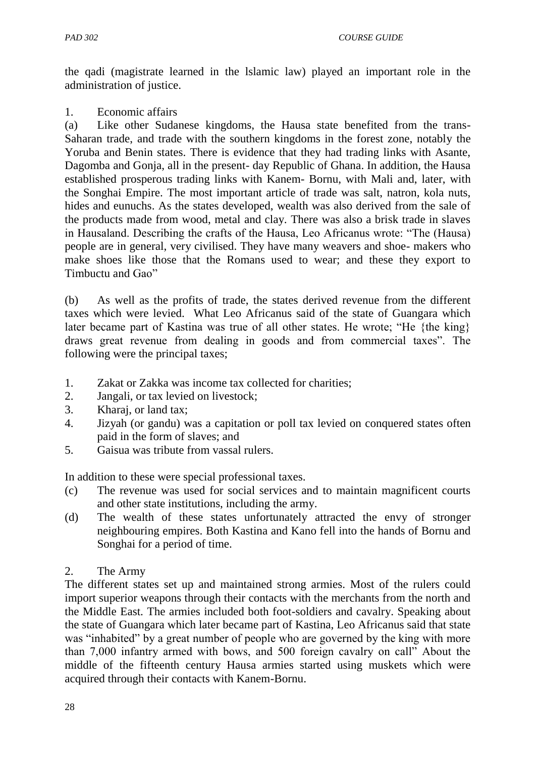the qadi (magistrate learned in the lslamic law) played an important role in the administration of justice.

1. Economic affairs

(a) Like other Sudanese kingdoms, the Hausa state benefited from the trans-Saharan trade, and trade with the southern kingdoms in the forest zone, notably the Yoruba and Benin states. There is evidence that they had trading links with Asante, Dagomba and Gonja, all in the present- day Republic of Ghana. In addition, the Hausa established prosperous trading links with Kanem- Bornu, with Mali and, later, with the Songhai Empire. The most important article of trade was salt, natron, kola nuts, hides and eunuchs. As the states developed, wealth was also derived from the sale of the products made from wood, metal and clay. There was also a brisk trade in slaves in Hausaland. Describing the crafts of the Hausa, Leo Africanus wrote: "The (Hausa) people are in general, very civilised. They have many weavers and shoe- makers who make shoes like those that the Romans used to wear; and these they export to Timbuctu and Gao"

(b) As well as the profits of trade, the states derived revenue from the different taxes which were levied. What Leo Africanus said of the state of Guangara which later became part of Kastina was true of all other states. He wrote; "He {the king} draws great revenue from dealing in goods and from commercial taxes". The following were the principal taxes;

- 1. Zakat or Zakka was income tax collected for charities;
- 2. Jangali, or tax levied on livestock;
- 3. Kharaj, or land tax;
- 4. Jizyah (or gandu) was a capitation or poll tax levied on conquered states often paid in the form of slaves; and
- 5. Gaisua was tribute from vassal rulers.

In addition to these were special professional taxes.

- (c) The revenue was used for social services and to maintain magnificent courts and other state institutions, including the army.
- (d) The wealth of these states unfortunately attracted the envy of stronger neighbouring empires. Both Kastina and Kano fell into the hands of Bornu and Songhai for a period of time.
- 2. The Army

The different states set up and maintained strong armies. Most of the rulers could import superior weapons through their contacts with the merchants from the north and the Middle East. The armies included both foot-soldiers and cavalry. Speaking about the state of Guangara which later became part of Kastina, Leo Africanus said that state was "inhabited" by a great number of people who are governed by the king with more than 7,000 infantry armed with bows, and 500 foreign cavalry on call" About the middle of the fifteenth century Hausa armies started using muskets which were acquired through their contacts with Kanem-Bornu.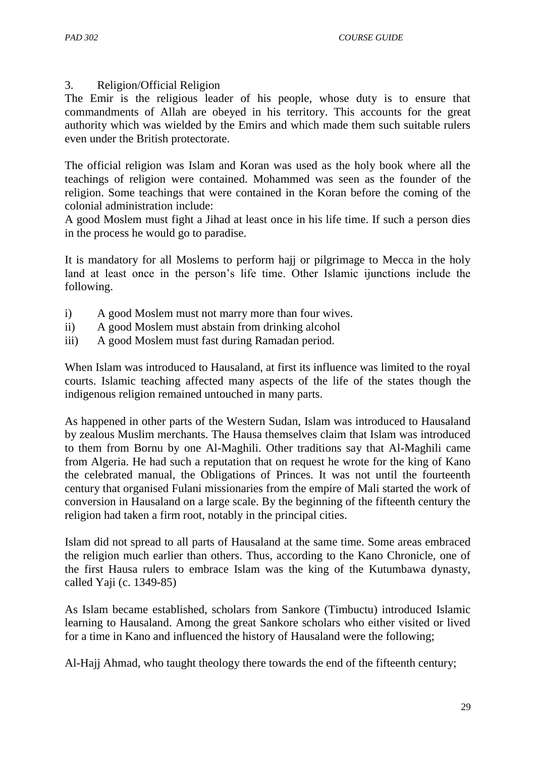3. Religion/Official Religion

The Emir is the religious leader of his people, whose duty is to ensure that commandments of Allah are obeyed in his territory. This accounts for the great authority which was wielded by the Emirs and which made them such suitable rulers even under the British protectorate.

The official religion was Islam and Koran was used as the holy book where all the teachings of religion were contained. Mohammed was seen as the founder of the religion. Some teachings that were contained in the Koran before the coming of the colonial administration include:

A good Moslem must fight a Jihad at least once in his life time. If such a person dies in the process he would go to paradise.

It is mandatory for all Moslems to perform hajj or pilgrimage to Mecca in the holy land at least once in the person's life time. Other Islamic ijunctions include the following.

- i) A good Moslem must not marry more than four wives.
- ii) A good Moslem must abstain from drinking alcohol
- iii) A good Moslem must fast during Ramadan period.

When Islam was introduced to Hausaland, at first its influence was limited to the royal courts. Islamic teaching affected many aspects of the life of the states though the indigenous religion remained untouched in many parts.

As happened in other parts of the Western Sudan, Islam was introduced to Hausaland by zealous Muslim merchants. The Hausa themselves claim that Islam was introduced to them from Bornu by one Al-Maghili. Other traditions say that Al-Maghili came from Algeria. He had such a reputation that on request he wrote for the king of Kano the celebrated manual, the Obligations of Princes. It was not until the fourteenth century that organised Fulani missionaries from the empire of Mali started the work of conversion in Hausaland on a large scale. By the beginning of the fifteenth century the religion had taken a firm root, notably in the principal cities.

Islam did not spread to all parts of Hausaland at the same time. Some areas embraced the religion much earlier than others. Thus, according to the Kano Chronicle, one of the first Hausa rulers to embrace Islam was the king of the Kutumbawa dynasty, called Yaji (c. 1349-85)

As Islam became established, scholars from Sankore (Timbuctu) introduced Islamic learning to Hausaland. Among the great Sankore scholars who either visited or lived for a time in Kano and influenced the history of Hausaland were the following;

Al-Hajj Ahmad, who taught theology there towards the end of the fifteenth century;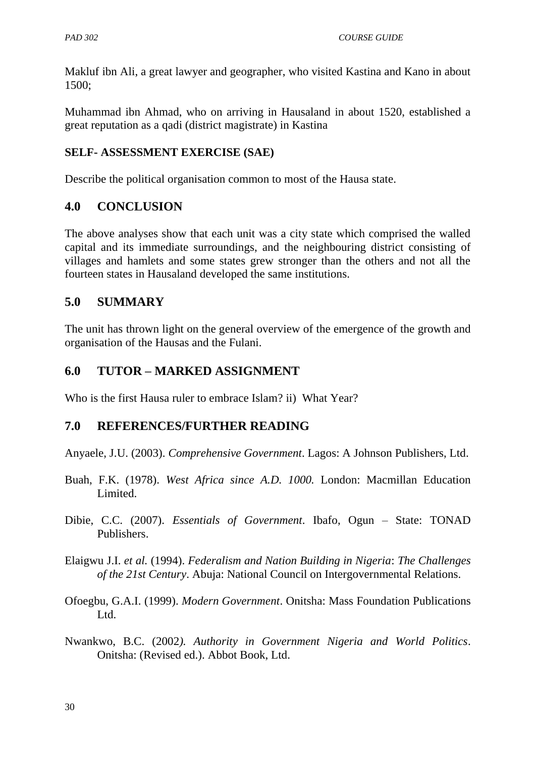Makluf ibn Ali, a great lawyer and geographer, who visited Kastina and Kano in about 1500;

Muhammad ibn Ahmad, who on arriving in Hausaland in about 1520, established a great reputation as a qadi (district magistrate) in Kastina

### **SELF- ASSESSMENT EXERCISE (SAE)**

Describe the political organisation common to most of the Hausa state.

### **4.0 CONCLUSION**

The above analyses show that each unit was a city state which comprised the walled capital and its immediate surroundings, and the neighbouring district consisting of villages and hamlets and some states grew stronger than the others and not all the fourteen states in Hausaland developed the same institutions.

### **5.0 SUMMARY**

The unit has thrown light on the general overview of the emergence of the growth and organisation of the Hausas and the Fulani.

### **6.0 TUTOR – MARKED ASSIGNMENT**

Who is the first Hausa ruler to embrace Islam? ii) What Year?

### **7.0 REFERENCES/FURTHER READING**

Anyaele, J.U. (2003). *Comprehensive Government*. Lagos: A Johnson Publishers, Ltd.

- Buah, F.K. (1978). *West Africa since A.D. 1000.* London: Macmillan Education Limited.
- Dibie, C.C. (2007). *Essentials of Government*. Ibafo, Ogun State: TONAD Publishers.
- Elaigwu J.I. *et al.* (1994). *Federalism and Nation Building in Nigeria*: *The Challenges of the 21st Century*. Abuja: National Council on Intergovernmental Relations.
- Ofoegbu, G.A.I. (1999). *Modern Government*. Onitsha: Mass Foundation Publications Ltd.
- Nwankwo, B.C. (2002*). Authority in Government Nigeria and World Politics*. Onitsha: (Revised ed.). Abbot Book, Ltd.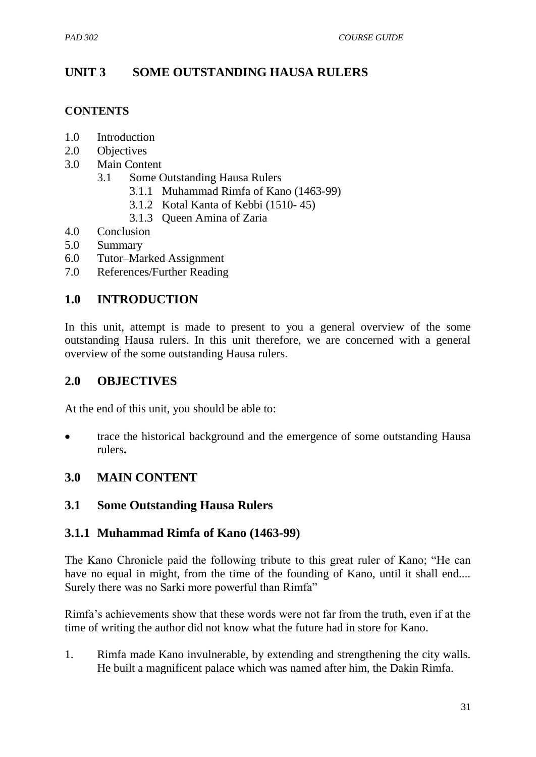# **UNIT 3 SOME OUTSTANDING HAUSA RULERS**

#### **CONTENTS**

- 1.0 Introduction
- 2.0 Objectives
- 3.0 Main Content
	- 3.1 Some Outstanding Hausa Rulers
		- 3.1.1 Muhammad Rimfa of Kano (1463-99)
		- 3.1.2 Kotal Kanta of Kebbi (1510- 45)
		- 3.1.3 Queen Amina of Zaria
- 4.0 Conclusion
- 5.0 Summary
- 6.0 Tutor–Marked Assignment
- 7.0 References/Further Reading

#### **1.0 INTRODUCTION**

In this unit, attempt is made to present to you a general overview of the some outstanding Hausa rulers. In this unit therefore, we are concerned with a general overview of the some outstanding Hausa rulers.

#### **2.0 OBJECTIVES**

At the end of this unit, you should be able to:

 trace the historical background and the emergence of some outstanding Hausa rulers**.**

#### **3.0 MAIN CONTENT**

#### **3.1 Some Outstanding Hausa Rulers**

#### **3.1.1 Muhammad Rimfa of Kano (1463-99)**

The Kano Chronicle paid the following tribute to this great ruler of Kano; "He can have no equal in might, from the time of the founding of Kano, until it shall end.... Surely there was no Sarki more powerful than Rimfa"

Rimfa"s achievements show that these words were not far from the truth, even if at the time of writing the author did not know what the future had in store for Kano.

1. Rimfa made Kano invulnerable, by extending and strengthening the city walls. He built a magnificent palace which was named after him, the Dakin Rimfa.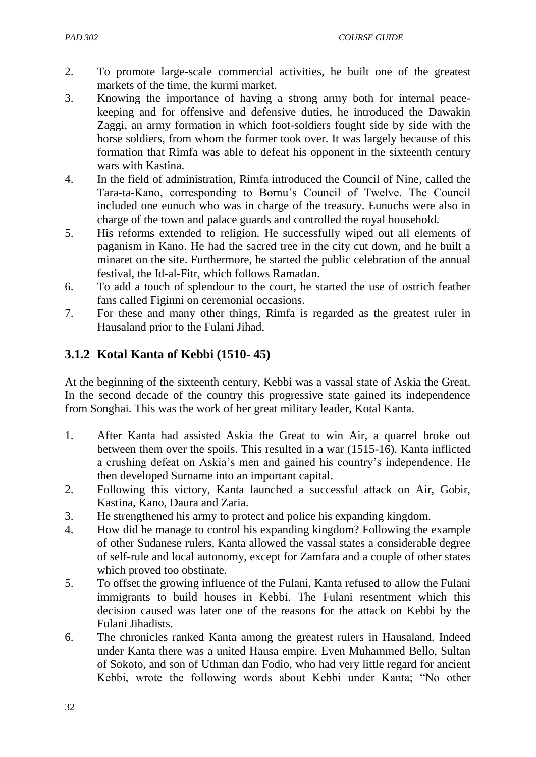- 2. To promote large-scale commercial activities, he built one of the greatest markets of the time, the kurmi market.
- 3. Knowing the importance of having a strong army both for internal peacekeeping and for offensive and defensive duties, he introduced the Dawakin Zaggi, an army formation in which foot-soldiers fought side by side with the horse soldiers, from whom the former took over. It was largely because of this formation that Rimfa was able to defeat his opponent in the sixteenth century wars with Kastina.
- 4. In the field of administration, Rimfa introduced the Council of Nine, called the Tara-ta-Kano, corresponding to Bornu"s Council of Twelve. The Council included one eunuch who was in charge of the treasury. Eunuchs were also in charge of the town and palace guards and controlled the royal household.
- 5. His reforms extended to religion. He successfully wiped out all elements of paganism in Kano. He had the sacred tree in the city cut down, and he built a minaret on the site. Furthermore, he started the public celebration of the annual festival, the Id-al-Fitr, which follows Ramadan.
- 6. To add a touch of splendour to the court, he started the use of ostrich feather fans called Figinni on ceremonial occasions.
- 7. For these and many other things, Rimfa is regarded as the greatest ruler in Hausaland prior to the Fulani Jihad.

# **3.1.2 Kotal Kanta of Kebbi (1510- 45)**

At the beginning of the sixteenth century, Kebbi was a vassal state of Askia the Great. In the second decade of the country this progressive state gained its independence from Songhai. This was the work of her great military leader, Kotal Kanta.

- 1. After Kanta had assisted Askia the Great to win Air, a quarrel broke out between them over the spoils. This resulted in a war (1515-16). Kanta inflicted a crushing defeat on Askia"s men and gained his country"s independence. He then developed Surname into an important capital.
- 2. Following this victory, Kanta launched a successful attack on Air, Gobir, Kastina, Kano, Daura and Zaria.
- 3. He strengthened his army to protect and police his expanding kingdom.
- 4. How did he manage to control his expanding kingdom? Following the example of other Sudanese rulers, Kanta allowed the vassal states a considerable degree of self-rule and local autonomy, except for Zamfara and a couple of other states which proved too obstinate.
- 5. To offset the growing influence of the Fulani, Kanta refused to allow the Fulani immigrants to build houses in Kebbi. The Fulani resentment which this decision caused was later one of the reasons for the attack on Kebbi by the Fulani Jihadists.
- 6. The chronicles ranked Kanta among the greatest rulers in Hausaland. Indeed under Kanta there was a united Hausa empire. Even Muhammed Bello, Sultan of Sokoto, and son of Uthman dan Fodio, who had very little regard for ancient Kebbi, wrote the following words about Kebbi under Kanta; "No other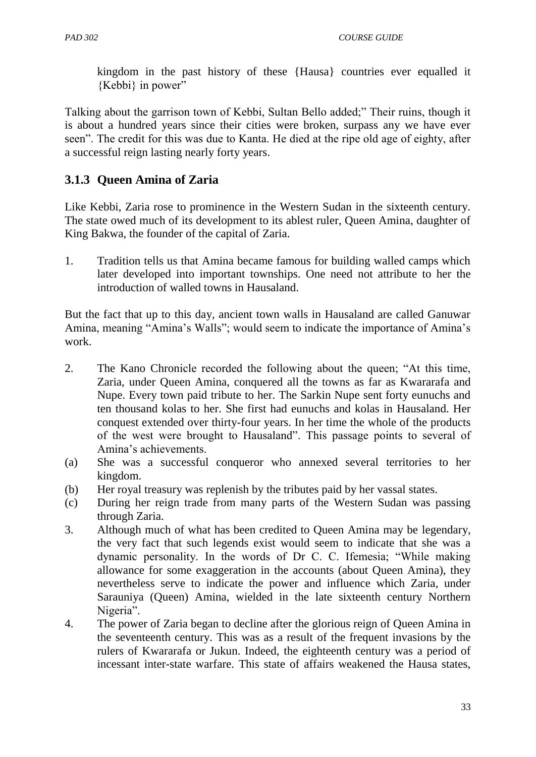kingdom in the past history of these {Hausa} countries ever equalled it  ${Kebbi}$  in power"

Talking about the garrison town of Kebbi, Sultan Bello added;" Their ruins, though it is about a hundred years since their cities were broken, surpass any we have ever seen". The credit for this was due to Kanta. He died at the ripe old age of eighty, after a successful reign lasting nearly forty years.

# **3.1.3 Queen Amina of Zaria**

Like Kebbi, Zaria rose to prominence in the Western Sudan in the sixteenth century. The state owed much of its development to its ablest ruler, Queen Amina, daughter of King Bakwa, the founder of the capital of Zaria.

1. Tradition tells us that Amina became famous for building walled camps which later developed into important townships. One need not attribute to her the introduction of walled towns in Hausaland.

But the fact that up to this day, ancient town walls in Hausaland are called Ganuwar Amina, meaning "Amina's Walls"; would seem to indicate the importance of Amina's work.

- 2. The Kano Chronicle recorded the following about the queen; "At this time, Zaria, under Queen Amina, conquered all the towns as far as Kwararafa and Nupe. Every town paid tribute to her. The Sarkin Nupe sent forty eunuchs and ten thousand kolas to her. She first had eunuchs and kolas in Hausaland. Her conquest extended over thirty-four years. In her time the whole of the products of the west were brought to Hausaland". This passage points to several of Amina"s achievements.
- (a) She was a successful conqueror who annexed several territories to her kingdom.
- (b) Her royal treasury was replenish by the tributes paid by her vassal states.
- (c) During her reign trade from many parts of the Western Sudan was passing through Zaria.
- 3. Although much of what has been credited to Queen Amina may be legendary, the very fact that such legends exist would seem to indicate that she was a dynamic personality. In the words of Dr C. C. Ifemesia; "While making allowance for some exaggeration in the accounts (about Queen Amina), they nevertheless serve to indicate the power and influence which Zaria, under Sarauniya (Queen) Amina, wielded in the late sixteenth century Northern Nigeria".
- 4. The power of Zaria began to decline after the glorious reign of Queen Amina in the seventeenth century. This was as a result of the frequent invasions by the rulers of Kwararafa or Jukun. Indeed, the eighteenth century was a period of incessant inter-state warfare. This state of affairs weakened the Hausa states,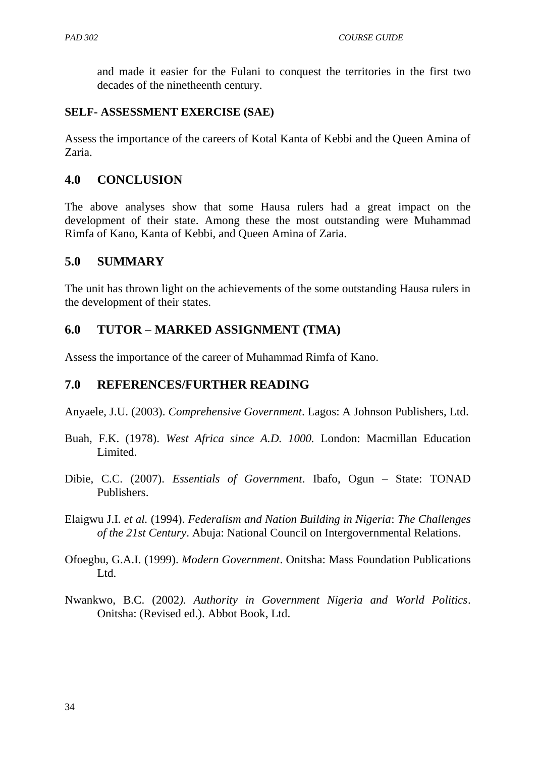and made it easier for the Fulani to conquest the territories in the first two decades of the ninetheenth century.

#### **SELF- ASSESSMENT EXERCISE (SAE)**

Assess the importance of the careers of Kotal Kanta of Kebbi and the Queen Amina of Zaria.

### **4.0 CONCLUSION**

The above analyses show that some Hausa rulers had a great impact on the development of their state. Among these the most outstanding were Muhammad Rimfa of Kano, Kanta of Kebbi, and Queen Amina of Zaria.

### **5.0 SUMMARY**

The unit has thrown light on the achievements of the some outstanding Hausa rulers in the development of their states.

### **6.0 TUTOR – MARKED ASSIGNMENT (TMA)**

Assess the importance of the career of Muhammad Rimfa of Kano.

### **7.0 REFERENCES/FURTHER READING**

Anyaele, J.U. (2003). *Comprehensive Government*. Lagos: A Johnson Publishers, Ltd.

- Buah, F.K. (1978). *West Africa since A.D. 1000.* London: Macmillan Education Limited.
- Dibie, C.C. (2007). *Essentials of Government*. Ibafo, Ogun State: TONAD Publishers.
- Elaigwu J.I. *et al.* (1994). *Federalism and Nation Building in Nigeria*: *The Challenges of the 21st Century*. Abuja: National Council on Intergovernmental Relations.
- Ofoegbu, G.A.I. (1999). *Modern Government*. Onitsha: Mass Foundation Publications Ltd.
- Nwankwo, B.C. (2002*). Authority in Government Nigeria and World Politics*. Onitsha: (Revised ed.). Abbot Book, Ltd.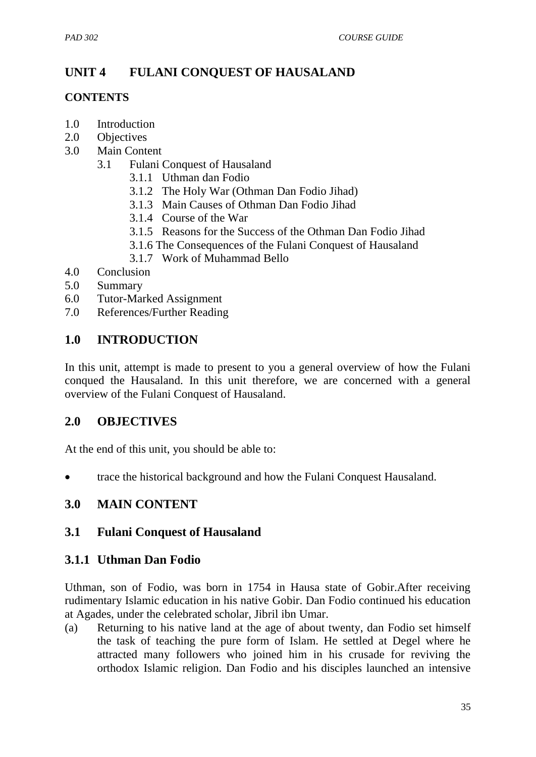# **UNIT 4 FULANI CONQUEST OF HAUSALAND**

#### **CONTENTS**

- 1.0 Introduction
- 2.0 Objectives
- 3.0 Main Content
	- 3.1 Fulani Conquest of Hausaland
		- 3.1.1 Uthman dan Fodio
		- 3.1.2 The Holy War (Othman Dan Fodio Jihad)
		- 3.1.3 Main Causes of Othman Dan Fodio Jihad
		- 3.1.4 Course of the War
		- 3.1.5 Reasons for the Success of the Othman Dan Fodio Jihad
		- 3.1.6 The Consequences of the Fulani Conquest of Hausaland
		- 3.1.7 Work of Muhammad Bello
- 4.0 Conclusion
- 5.0 Summary
- 6.0 Tutor-Marked Assignment
- 7.0 References/Further Reading

### **1.0 INTRODUCTION**

In this unit, attempt is made to present to you a general overview of how the Fulani conqued the Hausaland. In this unit therefore, we are concerned with a general overview of the Fulani Conquest of Hausaland.

### **2.0 OBJECTIVES**

At the end of this unit, you should be able to:

trace the historical background and how the Fulani Conquest Hausaland.

### **3.0 MAIN CONTENT**

### **3.1 Fulani Conquest of Hausaland**

#### **3.1.1 Uthman Dan Fodio**

Uthman, son of Fodio, was born in 1754 in Hausa state of Gobir.After receiving rudimentary Islamic education in his native Gobir. Dan Fodio continued his education at Agades, under the celebrated scholar, Jibril ibn Umar.

(a) Returning to his native land at the age of about twenty, dan Fodio set himself the task of teaching the pure form of Islam. He settled at Degel where he attracted many followers who joined him in his crusade for reviving the orthodox Islamic religion. Dan Fodio and his disciples launched an intensive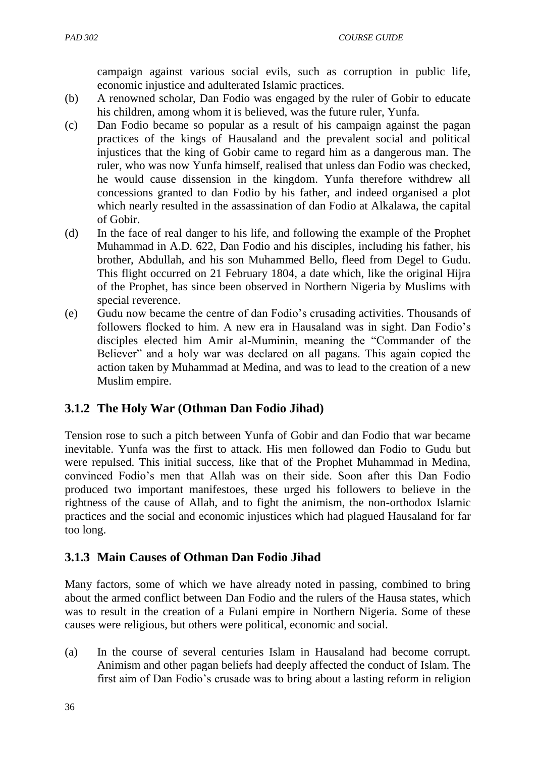campaign against various social evils, such as corruption in public life, economic injustice and adulterated Islamic practices.

- (b) A renowned scholar, Dan Fodio was engaged by the ruler of Gobir to educate his children, among whom it is believed, was the future ruler, Yunfa.
- (c) Dan Fodio became so popular as a result of his campaign against the pagan practices of the kings of Hausaland and the prevalent social and political injustices that the king of Gobir came to regard him as a dangerous man. The ruler, who was now Yunfa himself, realised that unless dan Fodio was checked, he would cause dissension in the kingdom. Yunfa therefore withdrew all concessions granted to dan Fodio by his father, and indeed organised a plot which nearly resulted in the assassination of dan Fodio at Alkalawa, the capital of Gobir.
- (d) In the face of real danger to his life, and following the example of the Prophet Muhammad in A.D. 622, Dan Fodio and his disciples, including his father, his brother, Abdullah, and his son Muhammed Bello, fleed from Degel to Gudu. This flight occurred on 21 February 1804, a date which, like the original Hijra of the Prophet, has since been observed in Northern Nigeria by Muslims with special reverence.
- (e) Gudu now became the centre of dan Fodio"s crusading activities. Thousands of followers flocked to him. A new era in Hausaland was in sight. Dan Fodio"s disciples elected him Amir al-Muminin, meaning the "Commander of the Believer" and a holy war was declared on all pagans. This again copied the action taken by Muhammad at Medina, and was to lead to the creation of a new Muslim empire.

# **3.1.2 The Holy War (Othman Dan Fodio Jihad)**

Tension rose to such a pitch between Yunfa of Gobir and dan Fodio that war became inevitable. Yunfa was the first to attack. His men followed dan Fodio to Gudu but were repulsed. This initial success, like that of the Prophet Muhammad in Medina, convinced Fodio"s men that Allah was on their side. Soon after this Dan Fodio produced two important manifestoes, these urged his followers to believe in the rightness of the cause of Allah, and to fight the animism, the non-orthodox Islamic practices and the social and economic injustices which had plagued Hausaland for far too long.

# **3.1.3 Main Causes of Othman Dan Fodio Jihad**

Many factors, some of which we have already noted in passing, combined to bring about the armed conflict between Dan Fodio and the rulers of the Hausa states, which was to result in the creation of a Fulani empire in Northern Nigeria. Some of these causes were religious, but others were political, economic and social.

(a) In the course of several centuries Islam in Hausaland had become corrupt. Animism and other pagan beliefs had deeply affected the conduct of Islam. The first aim of Dan Fodio"s crusade was to bring about a lasting reform in religion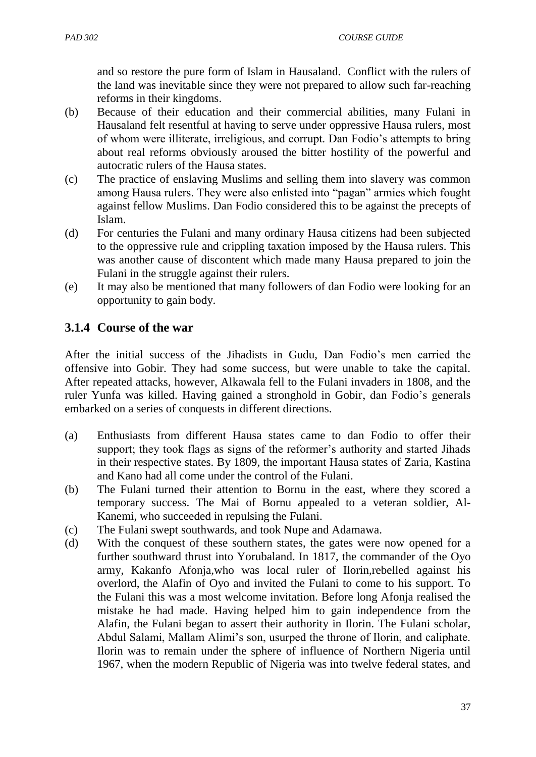and so restore the pure form of Islam in Hausaland. Conflict with the rulers of the land was inevitable since they were not prepared to allow such far-reaching reforms in their kingdoms.

- (b) Because of their education and their commercial abilities, many Fulani in Hausaland felt resentful at having to serve under oppressive Hausa rulers, most of whom were illiterate, irreligious, and corrupt. Dan Fodio"s attempts to bring about real reforms obviously aroused the bitter hostility of the powerful and autocratic rulers of the Hausa states.
- (c) The practice of enslaving Muslims and selling them into slavery was common among Hausa rulers. They were also enlisted into "pagan" armies which fought against fellow Muslims. Dan Fodio considered this to be against the precepts of Islam.
- (d) For centuries the Fulani and many ordinary Hausa citizens had been subjected to the oppressive rule and crippling taxation imposed by the Hausa rulers. This was another cause of discontent which made many Hausa prepared to join the Fulani in the struggle against their rulers.
- (e) It may also be mentioned that many followers of dan Fodio were looking for an opportunity to gain body.

# **3.1.4 Course of the war**

After the initial success of the Jihadists in Gudu, Dan Fodio"s men carried the offensive into Gobir. They had some success, but were unable to take the capital. After repeated attacks, however, Alkawala fell to the Fulani invaders in 1808, and the ruler Yunfa was killed. Having gained a stronghold in Gobir, dan Fodio"s generals embarked on a series of conquests in different directions.

- (a) Enthusiasts from different Hausa states came to dan Fodio to offer their support; they took flags as signs of the reformer's authority and started Jihads in their respective states. By 1809, the important Hausa states of Zaria, Kastina and Kano had all come under the control of the Fulani.
- (b) The Fulani turned their attention to Bornu in the east, where they scored a temporary success. The Mai of Bornu appealed to a veteran soldier, Al-Kanemi, who succeeded in repulsing the Fulani.
- (c) The Fulani swept southwards, and took Nupe and Adamawa.
- (d) With the conquest of these southern states, the gates were now opened for a further southward thrust into Yorubaland. In 1817, the commander of the Oyo army, Kakanfo Afonja,who was local ruler of Ilorin,rebelled against his overlord, the Alafin of Oyo and invited the Fulani to come to his support. To the Fulani this was a most welcome invitation. Before long Afonja realised the mistake he had made. Having helped him to gain independence from the Alafin, the Fulani began to assert their authority in Ilorin. The Fulani scholar, Abdul Salami, Mallam Alimi"s son, usurped the throne of Ilorin, and caliphate. Ilorin was to remain under the sphere of influence of Northern Nigeria until 1967, when the modern Republic of Nigeria was into twelve federal states, and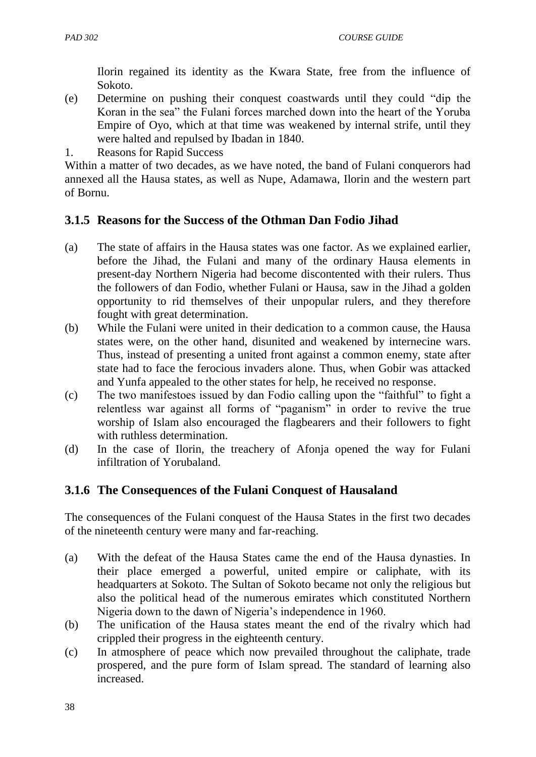Ilorin regained its identity as the Kwara State, free from the influence of Sokoto.

- (e) Determine on pushing their conquest coastwards until they could "dip the Koran in the sea" the Fulani forces marched down into the heart of the Yoruba Empire of Oyo, which at that time was weakened by internal strife, until they were halted and repulsed by Ibadan in 1840.
- 1. Reasons for Rapid Success

Within a matter of two decades, as we have noted, the band of Fulani conquerors had annexed all the Hausa states, as well as Nupe, Adamawa, Ilorin and the western part of Bornu.

### **3.1.5 Reasons for the Success of the Othman Dan Fodio Jihad**

- (a) The state of affairs in the Hausa states was one factor. As we explained earlier, before the Jihad, the Fulani and many of the ordinary Hausa elements in present-day Northern Nigeria had become discontented with their rulers. Thus the followers of dan Fodio, whether Fulani or Hausa, saw in the Jihad a golden opportunity to rid themselves of their unpopular rulers, and they therefore fought with great determination.
- (b) While the Fulani were united in their dedication to a common cause, the Hausa states were, on the other hand, disunited and weakened by internecine wars. Thus, instead of presenting a united front against a common enemy, state after state had to face the ferocious invaders alone. Thus, when Gobir was attacked and Yunfa appealed to the other states for help, he received no response.
- (c) The two manifestoes issued by dan Fodio calling upon the "faithful" to fight a relentless war against all forms of "paganism" in order to revive the true worship of Islam also encouraged the flagbearers and their followers to fight with ruthless determination.
- (d) In the case of Ilorin, the treachery of Afonja opened the way for Fulani infiltration of Yorubaland.

# **3.1.6 The Consequences of the Fulani Conquest of Hausaland**

The consequences of the Fulani conquest of the Hausa States in the first two decades of the nineteenth century were many and far-reaching.

- (a) With the defeat of the Hausa States came the end of the Hausa dynasties. In their place emerged a powerful, united empire or caliphate, with its headquarters at Sokoto. The Sultan of Sokoto became not only the religious but also the political head of the numerous emirates which constituted Northern Nigeria down to the dawn of Nigeria"s independence in 1960.
- (b) The unification of the Hausa states meant the end of the rivalry which had crippled their progress in the eighteenth century.
- (c) In atmosphere of peace which now prevailed throughout the caliphate, trade prospered, and the pure form of Islam spread. The standard of learning also increased.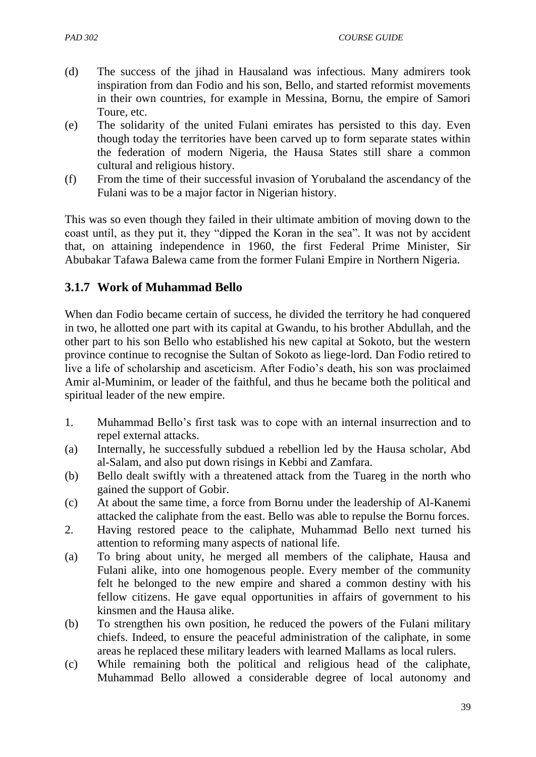- (d) The success of the jihad in Hausaland was infectious. Many admirers took inspiration from dan Fodio and his son, Bello, and started reformist movements in their own countries, for example in Messina, Bornu, the empire of Samori Toure, etc.
- (e) The solidarity of the united Fulani emirates has persisted to this day. Even though today the territories have been carved up to form separate states within the federation of modern Nigeria, the Hausa States still share a common cultural and religious history.
- (f) From the time of their successful invasion of Yorubaland the ascendancy of the Fulani was to be a major factor in Nigerian history.

This was so even though they failed in their ultimate ambition of moving down to the coast until, as they put it, they "dipped the Koran in the sea". It was not by accident that, on attaining independence in 1960, the first Federal Prime Minister, Sir Abubakar Tafawa Balewa came from the former Fulani Empire in Northern Nigeria.

# **3.1.7 Work of Muhammad Bello**

When dan Fodio became certain of success, he divided the territory he had conquered in two, he allotted one part with its capital at Gwandu, to his brother Abdullah, and the other part to his son Bello who established his new capital at Sokoto, but the western province continue to recognise the Sultan of Sokoto as liege-lord. Dan Fodio retired to live a life of scholarship and asceticism. After Fodio"s death, his son was proclaimed Amir al-Muminim, or leader of the faithful, and thus he became both the political and spiritual leader of the new empire.

- 1. Muhammad Bello"s first task was to cope with an internal insurrection and to repel external attacks.
- (a) Internally, he successfully subdued a rebellion led by the Hausa scholar, Abd al-Salam, and also put down risings in Kebbi and Zamfara.
- (b) Bello dealt swiftly with a threatened attack from the Tuareg in the north who gained the support of Gobir.
- (c) At about the same time, a force from Bornu under the leadership of Al-Kanemi attacked the caliphate from the east. Bello was able to repulse the Bornu forces.
- 2. Having restored peace to the caliphate, Muhammad Bello next turned his attention to reforming many aspects of national life.
- (a) To bring about unity, he merged all members of the caliphate, Hausa and Fulani alike, into one homogenous people. Every member of the community felt he belonged to the new empire and shared a common destiny with his fellow citizens. He gave equal opportunities in affairs of government to his kinsmen and the Hausa alike.
- (b) To strengthen his own position, he reduced the powers of the Fulani military chiefs. Indeed, to ensure the peaceful administration of the caliphate, in some areas he replaced these military leaders with learned Mallams as local rulers.
- (c) While remaining both the political and religious head of the caliphate, Muhammad Bello allowed a considerable degree of local autonomy and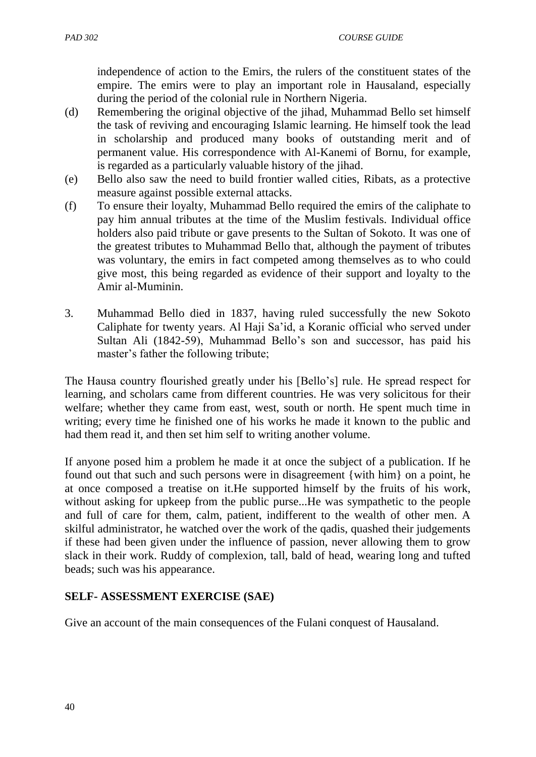independence of action to the Emirs, the rulers of the constituent states of the empire. The emirs were to play an important role in Hausaland, especially during the period of the colonial rule in Northern Nigeria.

- (d) Remembering the original objective of the jihad, Muhammad Bello set himself the task of reviving and encouraging Islamic learning. He himself took the lead in scholarship and produced many books of outstanding merit and of permanent value. His correspondence with Al-Kanemi of Bornu, for example, is regarded as a particularly valuable history of the jihad.
- (e) Bello also saw the need to build frontier walled cities, Ribats, as a protective measure against possible external attacks.
- (f) To ensure their loyalty, Muhammad Bello required the emirs of the caliphate to pay him annual tributes at the time of the Muslim festivals. Individual office holders also paid tribute or gave presents to the Sultan of Sokoto. It was one of the greatest tributes to Muhammad Bello that, although the payment of tributes was voluntary, the emirs in fact competed among themselves as to who could give most, this being regarded as evidence of their support and loyalty to the Amir al-Muminin.
- 3. Muhammad Bello died in 1837, having ruled successfully the new Sokoto Caliphate for twenty years. Al Haji Sa"id, a Koranic official who served under Sultan Ali (1842-59), Muhammad Bello"s son and successor, has paid his master's father the following tribute;

The Hausa country flourished greatly under his [Bello"s] rule. He spread respect for learning, and scholars came from different countries. He was very solicitous for their welfare; whether they came from east, west, south or north. He spent much time in writing; every time he finished one of his works he made it known to the public and had them read it, and then set him self to writing another volume.

If anyone posed him a problem he made it at once the subject of a publication. If he found out that such and such persons were in disagreement {with him} on a point, he at once composed a treatise on it.He supported himself by the fruits of his work, without asking for upkeep from the public purse...He was sympathetic to the people and full of care for them, calm, patient, indifferent to the wealth of other men. A skilful administrator, he watched over the work of the qadis, quashed their judgements if these had been given under the influence of passion, never allowing them to grow slack in their work. Ruddy of complexion, tall, bald of head, wearing long and tufted beads; such was his appearance.

# **SELF- ASSESSMENT EXERCISE (SAE)**

Give an account of the main consequences of the Fulani conquest of Hausaland.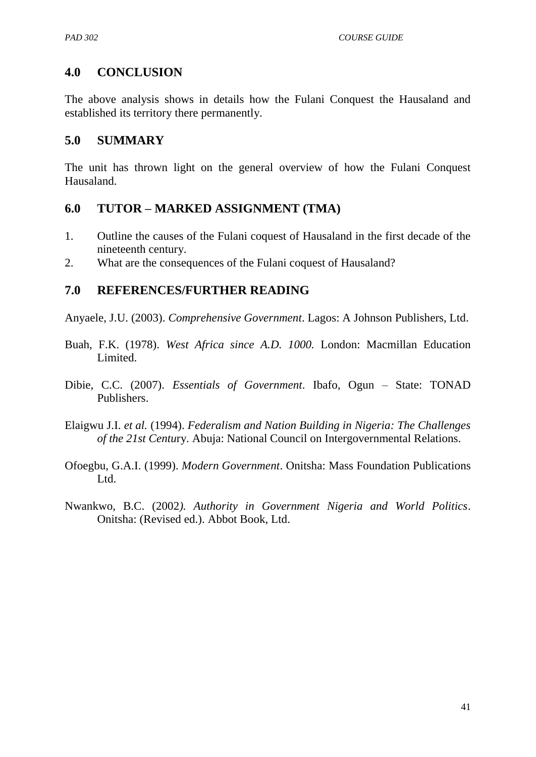### **4.0 CONCLUSION**

The above analysis shows in details how the Fulani Conquest the Hausaland and established its territory there permanently.

#### **5.0 SUMMARY**

The unit has thrown light on the general overview of how the Fulani Conquest Hausaland.

#### **6.0 TUTOR – MARKED ASSIGNMENT (TMA)**

- 1. Outline the causes of the Fulani coquest of Hausaland in the first decade of the nineteenth century.
- 2. What are the consequences of the Fulani coquest of Hausaland?

### **7.0 REFERENCES/FURTHER READING**

Anyaele, J.U. (2003). *Comprehensive Government*. Lagos: A Johnson Publishers, Ltd.

- Buah, F.K. (1978). *West Africa since A.D. 1000.* London: Macmillan Education Limited.
- Dibie, C.C. (2007). *Essentials of Government*. Ibafo, Ogun State: TONAD Publishers.
- Elaigwu J.I. *et al.* (1994). *Federalism and Nation Building in Nigeria: The Challenges of the 21st Centu*ry. Abuja: National Council on Intergovernmental Relations.
- Ofoegbu, G.A.I. (1999). *Modern Government*. Onitsha: Mass Foundation Publications L<sub>td</sub>
- Nwankwo, B.C. (2002*). Authority in Government Nigeria and World Politics*. Onitsha: (Revised ed.). Abbot Book, Ltd.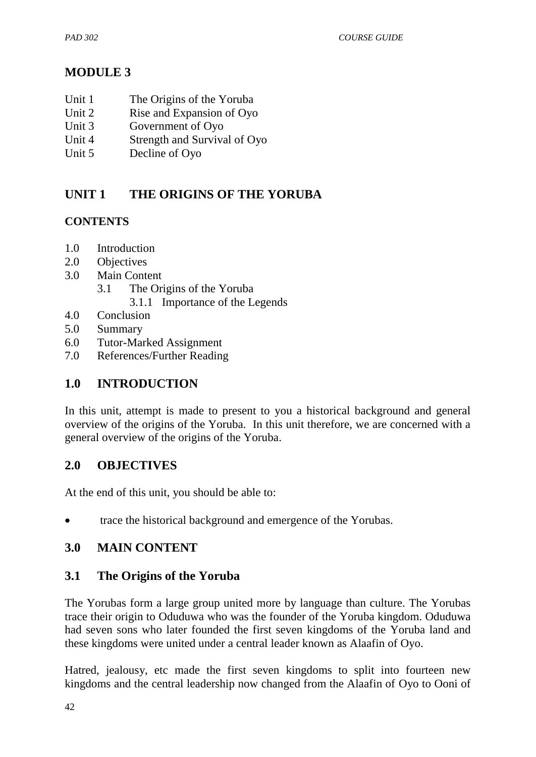# **MODULE 3**

- Unit 1 The Origins of the Yoruba
- Unit 2 Rise and Expansion of Oyo
- Unit 3 Government of Oyo
- Unit 4 Strength and Survival of Oyo
- Unit 5 Decline of Oyo

# **UNIT 1 THE ORIGINS OF THE YORUBA**

### **CONTENTS**

- 1.0 Introduction
- 2.0 Objectives
- 3.0 Main Content
	- 3.1 The Origins of the Yoruba
		- 3.1.1 Importance of the Legends
- 4.0 Conclusion
- 5.0 Summary
- 6.0 Tutor-Marked Assignment
- 7.0 References/Further Reading

# **1.0 INTRODUCTION**

In this unit, attempt is made to present to you a historical background and general overview of the origins of the Yoruba. In this unit therefore, we are concerned with a general overview of the origins of the Yoruba.

# **2.0 OBJECTIVES**

At the end of this unit, you should be able to:

trace the historical background and emergence of the Yorubas.

# **3.0 MAIN CONTENT**

# **3.1 The Origins of the Yoruba**

The Yorubas form a large group united more by language than culture. The Yorubas trace their origin to Oduduwa who was the founder of the Yoruba kingdom. Oduduwa had seven sons who later founded the first seven kingdoms of the Yoruba land and these kingdoms were united under a central leader known as Alaafin of Oyo.

Hatred, jealousy, etc made the first seven kingdoms to split into fourteen new kingdoms and the central leadership now changed from the Alaafin of Oyo to Ooni of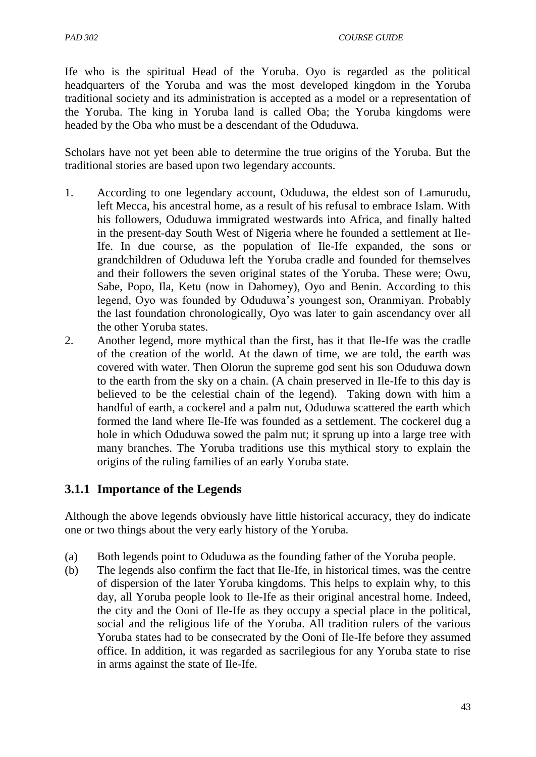Ife who is the spiritual Head of the Yoruba. Oyo is regarded as the political headquarters of the Yoruba and was the most developed kingdom in the Yoruba traditional society and its administration is accepted as a model or a representation of the Yoruba. The king in Yoruba land is called Oba; the Yoruba kingdoms were headed by the Oba who must be a descendant of the Oduduwa.

Scholars have not yet been able to determine the true origins of the Yoruba. But the traditional stories are based upon two legendary accounts.

- 1. According to one legendary account, Oduduwa, the eldest son of Lamurudu, left Mecca, his ancestral home, as a result of his refusal to embrace Islam. With his followers, Oduduwa immigrated westwards into Africa, and finally halted in the present-day South West of Nigeria where he founded a settlement at Ile-Ife. In due course, as the population of Ile-Ife expanded, the sons or grandchildren of Oduduwa left the Yoruba cradle and founded for themselves and their followers the seven original states of the Yoruba. These were; Owu, Sabe, Popo, Ila, Ketu (now in Dahomey), Oyo and Benin. According to this legend, Oyo was founded by Oduduwa"s youngest son, Oranmiyan. Probably the last foundation chronologically, Oyo was later to gain ascendancy over all the other Yoruba states.
- 2. Another legend, more mythical than the first, has it that Ile-Ife was the cradle of the creation of the world. At the dawn of time, we are told, the earth was covered with water. Then Olorun the supreme god sent his son Oduduwa down to the earth from the sky on a chain. (A chain preserved in Ile-Ife to this day is believed to be the celestial chain of the legend). Taking down with him a handful of earth, a cockerel and a palm nut, Oduduwa scattered the earth which formed the land where Ile-Ife was founded as a settlement. The cockerel dug a hole in which Oduduwa sowed the palm nut; it sprung up into a large tree with many branches. The Yoruba traditions use this mythical story to explain the origins of the ruling families of an early Yoruba state.

# **3.1.1 Importance of the Legends**

Although the above legends obviously have little historical accuracy, they do indicate one or two things about the very early history of the Yoruba.

- (a) Both legends point to Oduduwa as the founding father of the Yoruba people.
- (b) The legends also confirm the fact that Ile-Ife, in historical times, was the centre of dispersion of the later Yoruba kingdoms. This helps to explain why, to this day, all Yoruba people look to Ile-Ife as their original ancestral home. Indeed, the city and the Ooni of Ile-Ife as they occupy a special place in the political, social and the religious life of the Yoruba. All tradition rulers of the various Yoruba states had to be consecrated by the Ooni of Ile-Ife before they assumed office. In addition, it was regarded as sacrilegious for any Yoruba state to rise in arms against the state of Ile-Ife.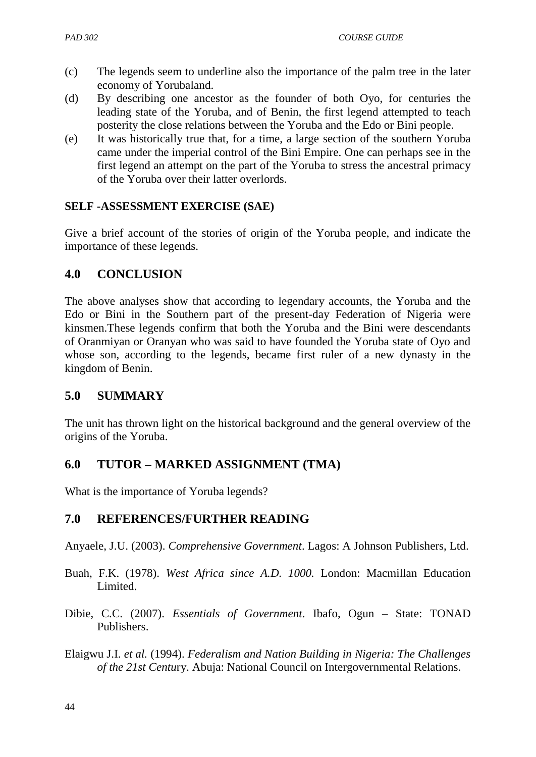- (c) The legends seem to underline also the importance of the palm tree in the later economy of Yorubaland.
- (d) By describing one ancestor as the founder of both Oyo, for centuries the leading state of the Yoruba, and of Benin, the first legend attempted to teach posterity the close relations between the Yoruba and the Edo or Bini people.
- (e) It was historically true that, for a time, a large section of the southern Yoruba came under the imperial control of the Bini Empire. One can perhaps see in the first legend an attempt on the part of the Yoruba to stress the ancestral primacy of the Yoruba over their latter overlords.

#### **SELF -ASSESSMENT EXERCISE (SAE)**

Give a brief account of the stories of origin of the Yoruba people, and indicate the importance of these legends.

### **4.0 CONCLUSION**

The above analyses show that according to legendary accounts, the Yoruba and the Edo or Bini in the Southern part of the present-day Federation of Nigeria were kinsmen.These legends confirm that both the Yoruba and the Bini were descendants of Oranmiyan or Oranyan who was said to have founded the Yoruba state of Oyo and whose son, according to the legends, became first ruler of a new dynasty in the kingdom of Benin.

# **5.0 SUMMARY**

The unit has thrown light on the historical background and the general overview of the origins of the Yoruba.

# **6.0 TUTOR – MARKED ASSIGNMENT (TMA)**

What is the importance of Yoruba legends?

### **7.0 REFERENCES/FURTHER READING**

Anyaele, J.U. (2003). *Comprehensive Government*. Lagos: A Johnson Publishers, Ltd.

- Buah, F.K. (1978). *West Africa since A.D. 1000.* London: Macmillan Education Limited.
- Dibie, C.C. (2007). *Essentials of Government*. Ibafo, Ogun State: TONAD Publishers.
- Elaigwu J.I. *et al.* (1994). *Federalism and Nation Building in Nigeria: The Challenges of the 21st Centu*ry. Abuja: National Council on Intergovernmental Relations.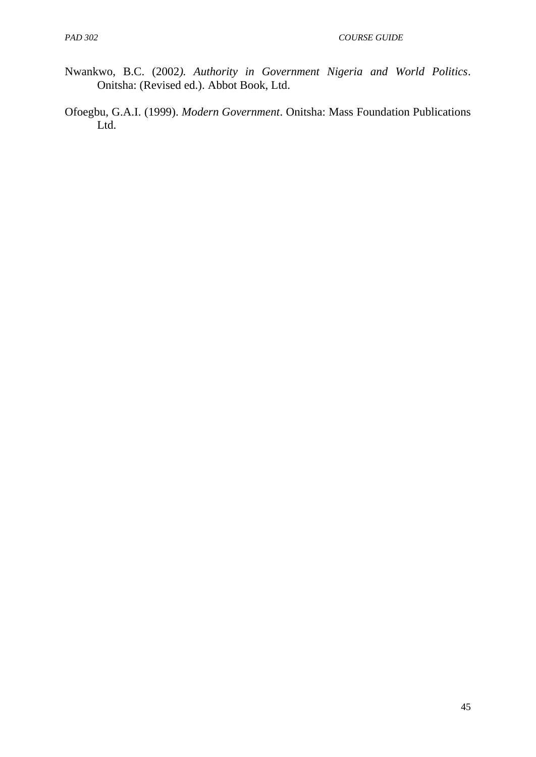- Nwankwo, B.C. (2002*). Authority in Government Nigeria and World Politics*. Onitsha: (Revised ed.). Abbot Book, Ltd.
- Ofoegbu, G.A.I. (1999). *Modern Government*. Onitsha: Mass Foundation Publications Ltd.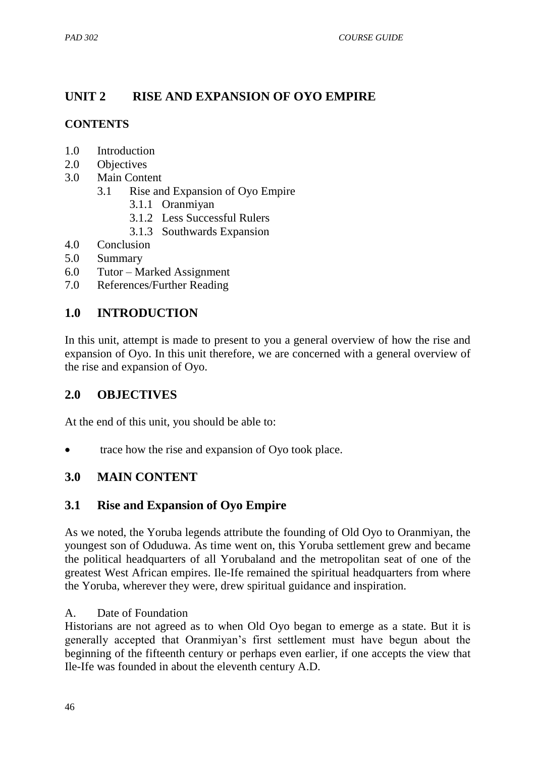# **UNIT 2 RISE AND EXPANSION OF OYO EMPIRE**

### **CONTENTS**

- 1.0 Introduction
- 2.0 Objectives
- 3.0 Main Content
	- 3.1 Rise and Expansion of Oyo Empire
		- 3.1.1 Oranmiyan
		- 3.1.2 Less Successful Rulers
		- 3.1.3 Southwards Expansion
- 4.0 Conclusion
- 5.0 Summary
- 6.0 Tutor Marked Assignment
- 7.0 References/Further Reading

# **1.0 INTRODUCTION**

In this unit, attempt is made to present to you a general overview of how the rise and expansion of Oyo. In this unit therefore, we are concerned with a general overview of the rise and expansion of Oyo.

### **2.0 OBJECTIVES**

At the end of this unit, you should be able to:

trace how the rise and expansion of Oyo took place.

# **3.0 MAIN CONTENT**

### **3.1 Rise and Expansion of Oyo Empire**

As we noted, the Yoruba legends attribute the founding of Old Oyo to Oranmiyan, the youngest son of Oduduwa. As time went on, this Yoruba settlement grew and became the political headquarters of all Yorubaland and the metropolitan seat of one of the greatest West African empires. Ile-Ife remained the spiritual headquarters from where the Yoruba, wherever they were, drew spiritual guidance and inspiration.

### A. Date of Foundation

Historians are not agreed as to when Old Oyo began to emerge as a state. But it is generally accepted that Oranmiyan"s first settlement must have begun about the beginning of the fifteenth century or perhaps even earlier, if one accepts the view that Ile-Ife was founded in about the eleventh century A.D.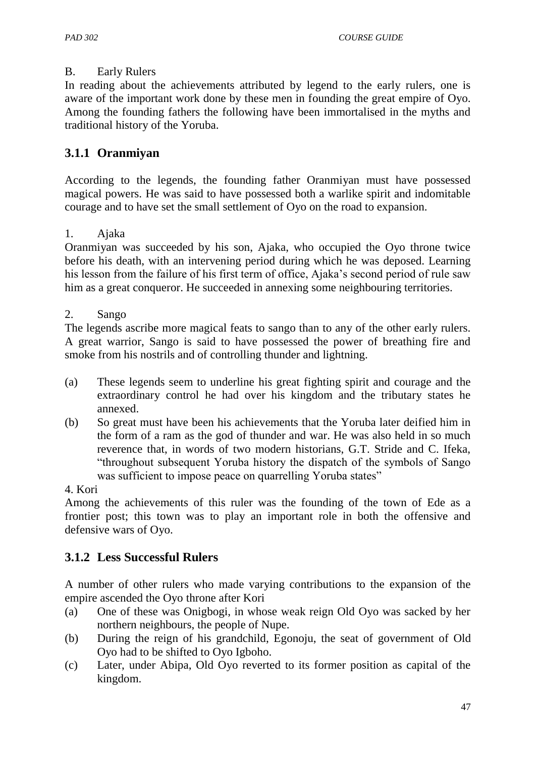#### B. Early Rulers

In reading about the achievements attributed by legend to the early rulers, one is aware of the important work done by these men in founding the great empire of Oyo. Among the founding fathers the following have been immortalised in the myths and traditional history of the Yoruba.

### **3.1.1 Oranmiyan**

According to the legends, the founding father Oranmiyan must have possessed magical powers. He was said to have possessed both a warlike spirit and indomitable courage and to have set the small settlement of Oyo on the road to expansion.

#### 1. Ajaka

Oranmiyan was succeeded by his son, Ajaka, who occupied the Oyo throne twice before his death, with an intervening period during which he was deposed. Learning his lesson from the failure of his first term of office, Ajaka's second period of rule saw him as a great conqueror. He succeeded in annexing some neighbouring territories.

#### 2. Sango

The legends ascribe more magical feats to sango than to any of the other early rulers. A great warrior, Sango is said to have possessed the power of breathing fire and smoke from his nostrils and of controlling thunder and lightning.

- (a) These legends seem to underline his great fighting spirit and courage and the extraordinary control he had over his kingdom and the tributary states he annexed.
- (b) So great must have been his achievements that the Yoruba later deified him in the form of a ram as the god of thunder and war. He was also held in so much reverence that, in words of two modern historians, G.T. Stride and C. Ifeka, "throughout subsequent Yoruba history the dispatch of the symbols of Sango was sufficient to impose peace on quarrelling Yoruba states"

#### 4. Kori

Among the achievements of this ruler was the founding of the town of Ede as a frontier post; this town was to play an important role in both the offensive and defensive wars of Oyo.

# **3.1.2 Less Successful Rulers**

A number of other rulers who made varying contributions to the expansion of the empire ascended the Oyo throne after Kori

- (a) One of these was Onigbogi, in whose weak reign Old Oyo was sacked by her northern neighbours, the people of Nupe.
- (b) During the reign of his grandchild, Egonoju, the seat of government of Old Oyo had to be shifted to Oyo Igboho.
- (c) Later, under Abipa, Old Oyo reverted to its former position as capital of the kingdom.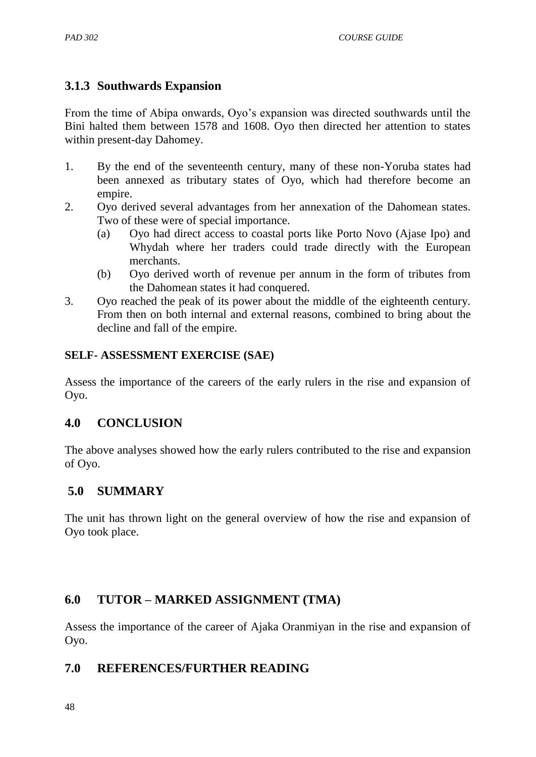# **3.1.3 Southwards Expansion**

From the time of Abipa onwards, Oyo"s expansion was directed southwards until the Bini halted them between 1578 and 1608. Oyo then directed her attention to states within present-day Dahomey.

- 1. By the end of the seventeenth century, many of these non-Yoruba states had been annexed as tributary states of Oyo, which had therefore become an empire.
- 2. Oyo derived several advantages from her annexation of the Dahomean states. Two of these were of special importance.
	- (a) Oyo had direct access to coastal ports like Porto Novo (Ajase Ipo) and Whydah where her traders could trade directly with the European merchants.
	- (b) Oyo derived worth of revenue per annum in the form of tributes from the Dahomean states it had conquered.
- 3. Oyo reached the peak of its power about the middle of the eighteenth century. From then on both internal and external reasons, combined to bring about the decline and fall of the empire.

### **SELF- ASSESSMENT EXERCISE (SAE)**

Assess the importance of the careers of the early rulers in the rise and expansion of Oyo.

# **4.0 CONCLUSION**

The above analyses showed how the early rulers contributed to the rise and expansion of Oyo.

# **5.0 SUMMARY**

The unit has thrown light on the general overview of how the rise and expansion of Oyo took place.

# **6.0 TUTOR – MARKED ASSIGNMENT (TMA)**

Assess the importance of the career of Ajaka Oranmiyan in the rise and expansion of Oyo.

# **7.0 REFERENCES/FURTHER READING**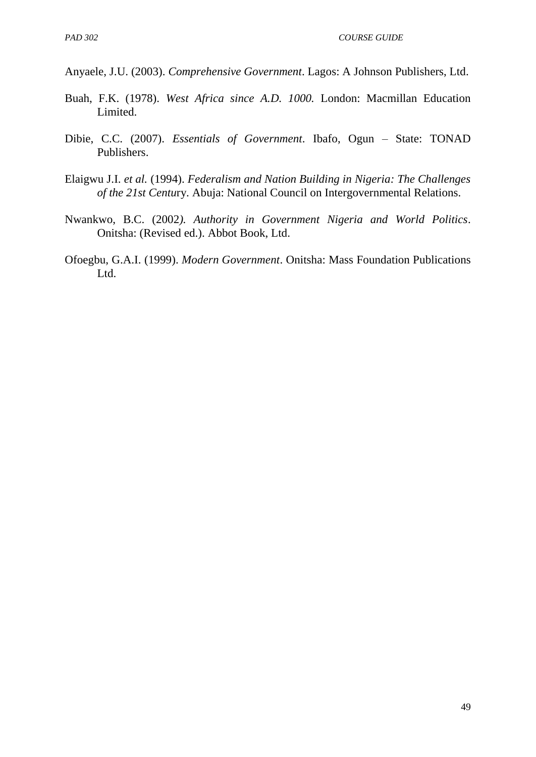Anyaele, J.U. (2003). *Comprehensive Government*. Lagos: A Johnson Publishers, Ltd.

- Buah, F.K. (1978). *West Africa since A.D. 1000.* London: Macmillan Education Limited.
- Dibie, C.C. (2007). *Essentials of Government*. Ibafo, Ogun State: TONAD Publishers.
- Elaigwu J.I. *et al.* (1994). *Federalism and Nation Building in Nigeria: The Challenges of the 21st Centu*ry. Abuja: National Council on Intergovernmental Relations.
- Nwankwo, B.C. (2002*). Authority in Government Nigeria and World Politics*. Onitsha: (Revised ed.). Abbot Book, Ltd.
- Ofoegbu, G.A.I. (1999). *Modern Government*. Onitsha: Mass Foundation Publications Ltd.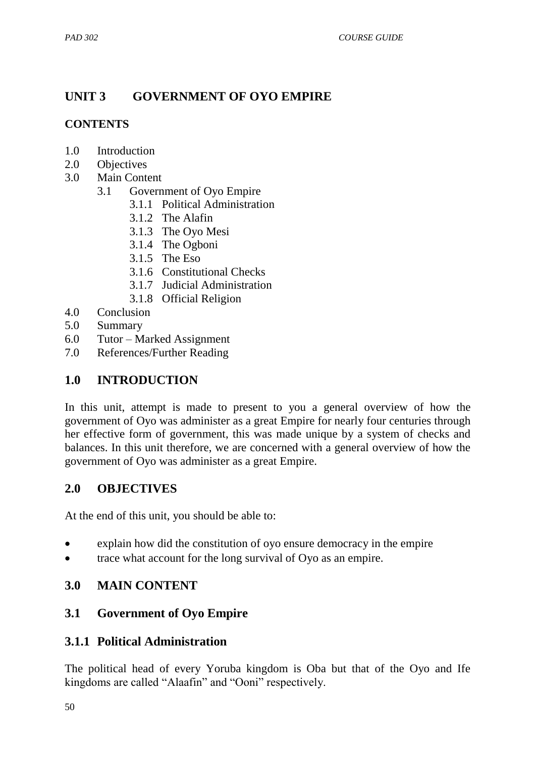# **UNIT 3 GOVERNMENT OF OYO EMPIRE**

### **CONTENTS**

- 1.0 Introduction
- 2.0 Objectives
- 3.0 Main Content
	- 3.1 Government of Oyo Empire
		- 3.1.1 Political Administration
		- 3.1.2 The Alafin
		- 3.1.3 The Oyo Mesi
		- 3.1.4 The Ogboni
		- 3.1.5 The Eso
		- 3.1.6 Constitutional Checks
		- 3.1.7 Judicial Administration
		- 3.1.8 Official Religion
- 4.0 Conclusion
- 5.0 Summary
- 6.0 Tutor Marked Assignment
- 7.0 References/Further Reading

### **1.0 INTRODUCTION**

In this unit, attempt is made to present to you a general overview of how the government of Oyo was administer as a great Empire for nearly four centuries through her effective form of government, this was made unique by a system of checks and balances. In this unit therefore, we are concerned with a general overview of how the government of Oyo was administer as a great Empire.

### **2.0 OBJECTIVES**

At the end of this unit, you should be able to:

- explain how did the constitution of oyo ensure democracy in the empire
- trace what account for the long survival of Oyo as an empire.

### **3.0 MAIN CONTENT**

### **3.1 Government of Oyo Empire**

### **3.1.1 Political Administration**

The political head of every Yoruba kingdom is Oba but that of the Oyo and Ife kingdoms are called "Alaafin" and "Ooni" respectively.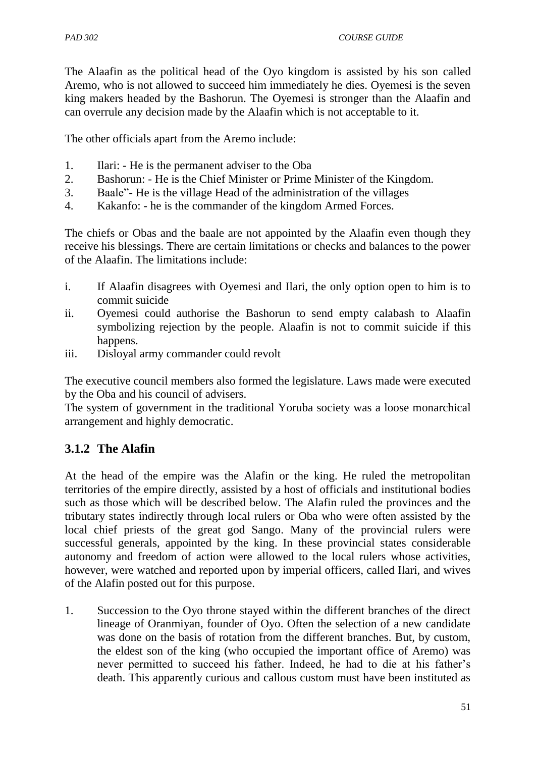The Alaafin as the political head of the Oyo kingdom is assisted by his son called Aremo, who is not allowed to succeed him immediately he dies. Oyemesi is the seven king makers headed by the Bashorun. The Oyemesi is stronger than the Alaafin and can overrule any decision made by the Alaafin which is not acceptable to it.

The other officials apart from the Aremo include:

- 1. Ilari: He is the permanent adviser to the Oba
- 2. Bashorun: He is the Chief Minister or Prime Minister of the Kingdom.
- 3. Baale"- He is the village Head of the administration of the villages
- 4. Kakanfo: he is the commander of the kingdom Armed Forces.

The chiefs or Obas and the baale are not appointed by the Alaafin even though they receive his blessings. There are certain limitations or checks and balances to the power of the Alaafin. The limitations include:

- i. If Alaafin disagrees with Oyemesi and Ilari, the only option open to him is to commit suicide
- ii. Oyemesi could authorise the Bashorun to send empty calabash to Alaafin symbolizing rejection by the people. Alaafin is not to commit suicide if this happens.
- iii. Disloyal army commander could revolt

The executive council members also formed the legislature. Laws made were executed by the Oba and his council of advisers.

The system of government in the traditional Yoruba society was a loose monarchical arrangement and highly democratic.

# **3.1.2 The Alafin**

At the head of the empire was the Alafin or the king. He ruled the metropolitan territories of the empire directly, assisted by a host of officials and institutional bodies such as those which will be described below. The Alafin ruled the provinces and the tributary states indirectly through local rulers or Oba who were often assisted by the local chief priests of the great god Sango. Many of the provincial rulers were successful generals, appointed by the king. In these provincial states considerable autonomy and freedom of action were allowed to the local rulers whose activities, however, were watched and reported upon by imperial officers, called Ilari, and wives of the Alafin posted out for this purpose.

1. Succession to the Oyo throne stayed within the different branches of the direct lineage of Oranmiyan, founder of Oyo. Often the selection of a new candidate was done on the basis of rotation from the different branches. But, by custom, the eldest son of the king (who occupied the important office of Aremo) was never permitted to succeed his father. Indeed, he had to die at his father"s death. This apparently curious and callous custom must have been instituted as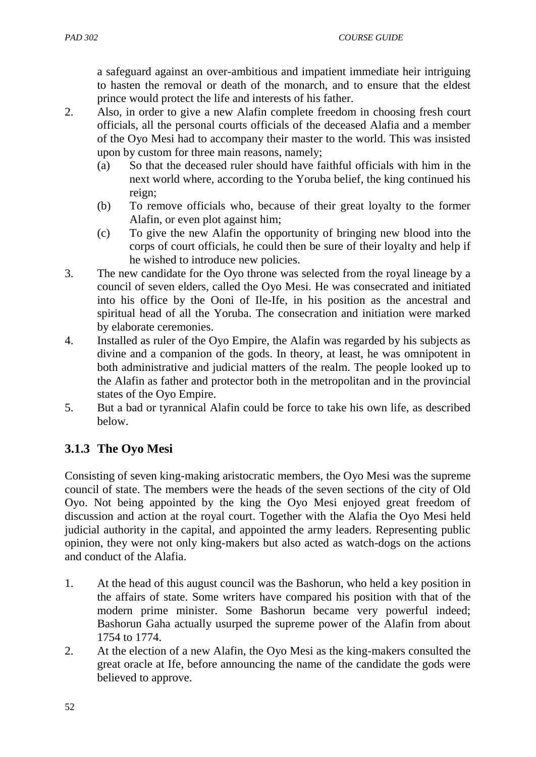a safeguard against an over-ambitious and impatient immediate heir intriguing to hasten the removal or death of the monarch, and to ensure that the eldest prince would protect the life and interests of his father.

- 2. Also, in order to give a new Alafin complete freedom in choosing fresh court officials, all the personal courts officials of the deceased Alafia and a member of the Oyo Mesi had to accompany their master to the world. This was insisted upon by custom for three main reasons, namely;
	- (a) So that the deceased ruler should have faithful officials with him in the next world where, according to the Yoruba belief, the king continued his reign;
	- (b) To remove officials who, because of their great loyalty to the former Alafin, or even plot against him;
	- (c) To give the new Alafin the opportunity of bringing new blood into the corps of court officials, he could then be sure of their loyalty and help if he wished to introduce new policies.
- 3. The new candidate for the Oyo throne was selected from the royal lineage by a council of seven elders, called the Oyo Mesi. He was consecrated and initiated into his office by the Ooni of Ile-Ife, in his position as the ancestral and spiritual head of all the Yoruba. The consecration and initiation were marked by elaborate ceremonies.
- 4. Installed as ruler of the Oyo Empire, the Alafin was regarded by his subjects as divine and a companion of the gods. In theory, at least, he was omnipotent in both administrative and judicial matters of the realm. The people looked up to the Alafin as father and protector both in the metropolitan and in the provincial states of the Oyo Empire.
- 5. But a bad or tyrannical Alafin could be force to take his own life, as described below.

# **3.1.3 The Oyo Mesi**

Consisting of seven king-making aristocratic members, the Oyo Mesi was the supreme council of state. The members were the heads of the seven sections of the city of Old Oyo. Not being appointed by the king the Oyo Mesi enjoyed great freedom of discussion and action at the royal court. Together with the Alafia the Oyo Mesi held judicial authority in the capital, and appointed the army leaders. Representing public opinion, they were not only king-makers but also acted as watch-dogs on the actions and conduct of the Alafia.

- 1. At the head of this august council was the Bashorun, who held a key position in the affairs of state. Some writers have compared his position with that of the modern prime minister. Some Bashorun became very powerful indeed; Bashorun Gaha actually usurped the supreme power of the Alafin from about 1754 to 1774.
- 2. At the election of a new Alafin, the Oyo Mesi as the king-makers consulted the great oracle at Ife, before announcing the name of the candidate the gods were believed to approve.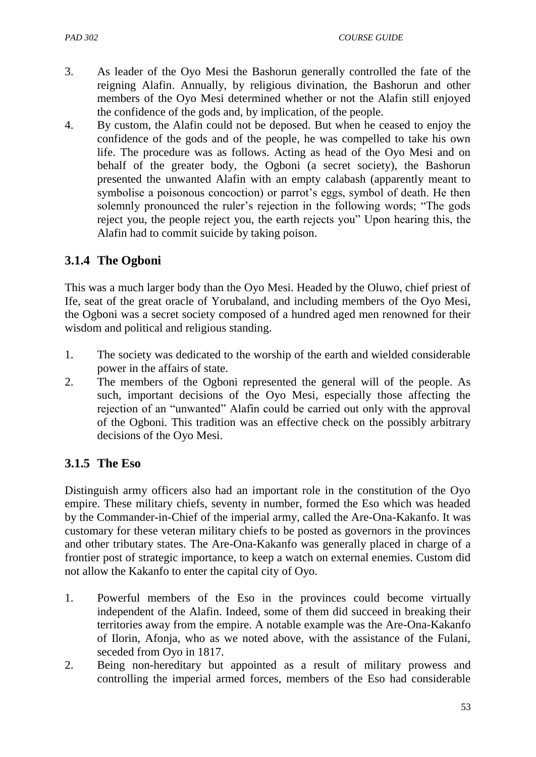- 3. As leader of the Oyo Mesi the Bashorun generally controlled the fate of the reigning Alafin. Annually, by religious divination, the Bashorun and other members of the Oyo Mesi determined whether or not the Alafin still enjoyed the confidence of the gods and, by implication, of the people.
- 4. By custom, the Alafin could not be deposed. But when he ceased to enjoy the confidence of the gods and of the people, he was compelled to take his own life. The procedure was as follows. Acting as head of the Oyo Mesi and on behalf of the greater body, the Ogboni (a secret society), the Bashorun presented the unwanted Alafin with an empty calabash (apparently meant to symbolise a poisonous concoction) or parrot's eggs, symbol of death. He then solemnly pronounced the ruler's rejection in the following words; "The gods reject you, the people reject you, the earth rejects you" Upon hearing this, the Alafin had to commit suicide by taking poison.

# **3.1.4 The Ogboni**

This was a much larger body than the Oyo Mesi. Headed by the Oluwo, chief priest of Ife, seat of the great oracle of Yorubaland, and including members of the Oyo Mesi, the Ogboni was a secret society composed of a hundred aged men renowned for their wisdom and political and religious standing.

- 1. The society was dedicated to the worship of the earth and wielded considerable power in the affairs of state.
- 2. The members of the Ogboni represented the general will of the people. As such, important decisions of the Oyo Mesi, especially those affecting the rejection of an "unwanted" Alafin could be carried out only with the approval of the Ogboni. This tradition was an effective check on the possibly arbitrary decisions of the Oyo Mesi.

# **3.1.5 The Eso**

Distinguish army officers also had an important role in the constitution of the Oyo empire. These military chiefs, seventy in number, formed the Eso which was headed by the Commander-in-Chief of the imperial army, called the Are-Ona-Kakanfo. It was customary for these veteran military chiefs to be posted as governors in the provinces and other tributary states. The Are-Ona-Kakanfo was generally placed in charge of a frontier post of strategic importance, to keep a watch on external enemies. Custom did not allow the Kakanfo to enter the capital city of Oyo.

- 1. Powerful members of the Eso in the provinces could become virtually independent of the Alafin. Indeed, some of them did succeed in breaking their territories away from the empire. A notable example was the Are-Ona-Kakanfo of Ilorin, Afonja, who as we noted above, with the assistance of the Fulani, seceded from Oyo in 1817.
- 2. Being non-hereditary but appointed as a result of military prowess and controlling the imperial armed forces, members of the Eso had considerable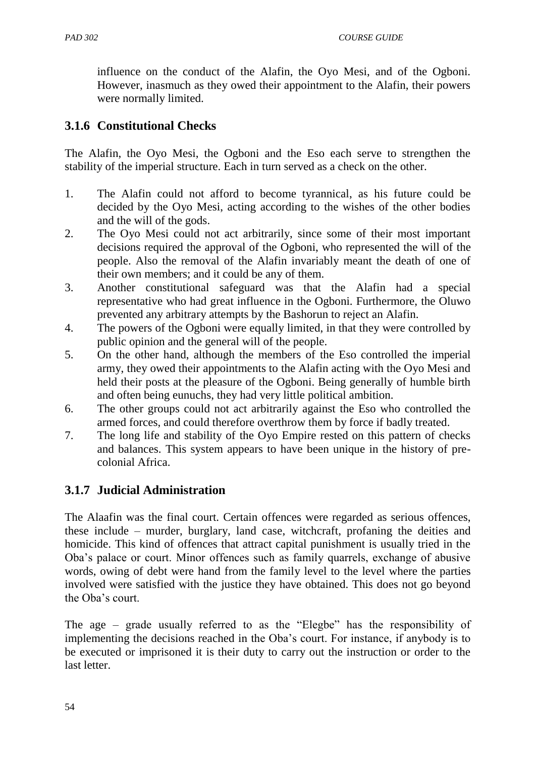influence on the conduct of the Alafin, the Oyo Mesi, and of the Ogboni. However, inasmuch as they owed their appointment to the Alafin, their powers were normally limited.

# **3.1.6 Constitutional Checks**

The Alafin, the Oyo Mesi, the Ogboni and the Eso each serve to strengthen the stability of the imperial structure. Each in turn served as a check on the other.

- 1. The Alafin could not afford to become tyrannical, as his future could be decided by the Oyo Mesi, acting according to the wishes of the other bodies and the will of the gods.
- 2. The Oyo Mesi could not act arbitrarily, since some of their most important decisions required the approval of the Ogboni, who represented the will of the people. Also the removal of the Alafin invariably meant the death of one of their own members; and it could be any of them.
- 3. Another constitutional safeguard was that the Alafin had a special representative who had great influence in the Ogboni. Furthermore, the Oluwo prevented any arbitrary attempts by the Bashorun to reject an Alafin.
- 4. The powers of the Ogboni were equally limited, in that they were controlled by public opinion and the general will of the people.
- 5. On the other hand, although the members of the Eso controlled the imperial army, they owed their appointments to the Alafin acting with the Oyo Mesi and held their posts at the pleasure of the Ogboni. Being generally of humble birth and often being eunuchs, they had very little political ambition.
- 6. The other groups could not act arbitrarily against the Eso who controlled the armed forces, and could therefore overthrow them by force if badly treated.
- 7. The long life and stability of the Oyo Empire rested on this pattern of checks and balances. This system appears to have been unique in the history of precolonial Africa.

# **3.1.7 Judicial Administration**

The Alaafin was the final court. Certain offences were regarded as serious offences, these include – murder, burglary, land case, witchcraft, profaning the deities and homicide. This kind of offences that attract capital punishment is usually tried in the Oba"s palace or court. Minor offences such as family quarrels, exchange of abusive words, owing of debt were hand from the family level to the level where the parties involved were satisfied with the justice they have obtained. This does not go beyond the Oba's court.

The age – grade usually referred to as the "Elegbe" has the responsibility of implementing the decisions reached in the Oba"s court. For instance, if anybody is to be executed or imprisoned it is their duty to carry out the instruction or order to the last letter.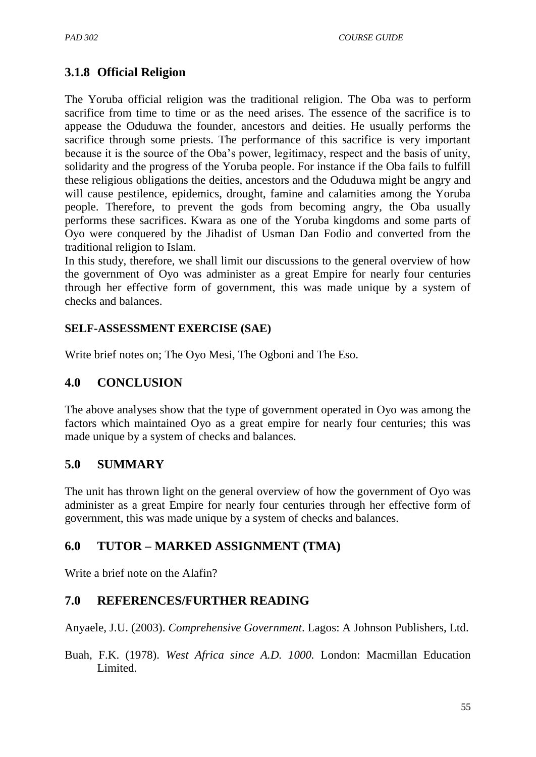# **3.1.8 Official Religion**

The Yoruba official religion was the traditional religion. The Oba was to perform sacrifice from time to time or as the need arises. The essence of the sacrifice is to appease the Oduduwa the founder, ancestors and deities. He usually performs the sacrifice through some priests. The performance of this sacrifice is very important because it is the source of the Oba"s power, legitimacy, respect and the basis of unity, solidarity and the progress of the Yoruba people. For instance if the Oba fails to fulfill these religious obligations the deities, ancestors and the Oduduwa might be angry and will cause pestilence, epidemics, drought, famine and calamities among the Yoruba people. Therefore, to prevent the gods from becoming angry, the Oba usually performs these sacrifices. Kwara as one of the Yoruba kingdoms and some parts of Oyo were conquered by the Jihadist of Usman Dan Fodio and converted from the traditional religion to Islam.

In this study, therefore, we shall limit our discussions to the general overview of how the government of Oyo was administer as a great Empire for nearly four centuries through her effective form of government, this was made unique by a system of checks and balances.

### **SELF-ASSESSMENT EXERCISE (SAE)**

Write brief notes on; The Oyo Mesi, The Ogboni and The Eso.

## **4.0 CONCLUSION**

The above analyses show that the type of government operated in Oyo was among the factors which maintained Oyo as a great empire for nearly four centuries; this was made unique by a system of checks and balances.

### **5.0 SUMMARY**

The unit has thrown light on the general overview of how the government of Oyo was administer as a great Empire for nearly four centuries through her effective form of government, this was made unique by a system of checks and balances.

# **6.0 TUTOR – MARKED ASSIGNMENT (TMA)**

Write a brief note on the Alafin?

### **7.0 REFERENCES/FURTHER READING**

Anyaele, J.U. (2003). *Comprehensive Government*. Lagos: A Johnson Publishers, Ltd.

Buah, F.K. (1978). *West Africa since A.D. 1000.* London: Macmillan Education Limited.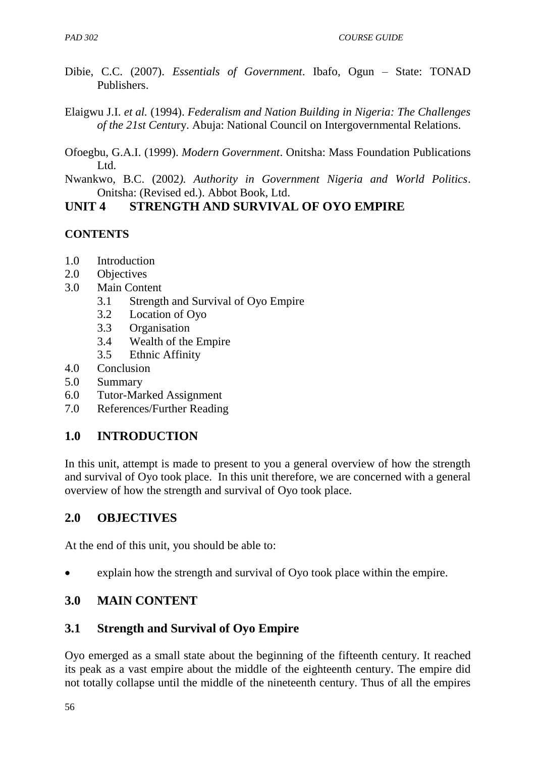- Dibie, C.C. (2007). *Essentials of Government*. Ibafo, Ogun State: TONAD Publishers.
- Elaigwu J.I. *et al.* (1994). *Federalism and Nation Building in Nigeria: The Challenges of the 21st Centu*ry. Abuja: National Council on Intergovernmental Relations.
- Ofoegbu, G.A.I. (1999). *Modern Government*. Onitsha: Mass Foundation Publications L<sub>td</sub>
- Nwankwo, B.C. (2002*). Authority in Government Nigeria and World Politics*. Onitsha: (Revised ed.). Abbot Book, Ltd.

# **UNIT 4 STRENGTH AND SURVIVAL OF OYO EMPIRE**

# **CONTENTS**

- 1.0 Introduction
- 2.0 Objectives
- 3.0 Main Content
	- 3.1 Strength and Survival of Oyo Empire
	- 3.2 Location of Oyo
	- 3.3 Organisation
	- 3.4 Wealth of the Empire
	- 3.5 Ethnic Affinity
- 4.0 Conclusion
- 5.0 Summary
- 6.0 Tutor-Marked Assignment
- 7.0 References/Further Reading

# **1.0 INTRODUCTION**

In this unit, attempt is made to present to you a general overview of how the strength and survival of Oyo took place. In this unit therefore, we are concerned with a general overview of how the strength and survival of Oyo took place.

# **2.0 OBJECTIVES**

At the end of this unit, you should be able to:

explain how the strength and survival of Oyo took place within the empire.

# **3.0 MAIN CONTENT**

# **3.1 Strength and Survival of Oyo Empire**

Oyo emerged as a small state about the beginning of the fifteenth century. It reached its peak as a vast empire about the middle of the eighteenth century. The empire did not totally collapse until the middle of the nineteenth century. Thus of all the empires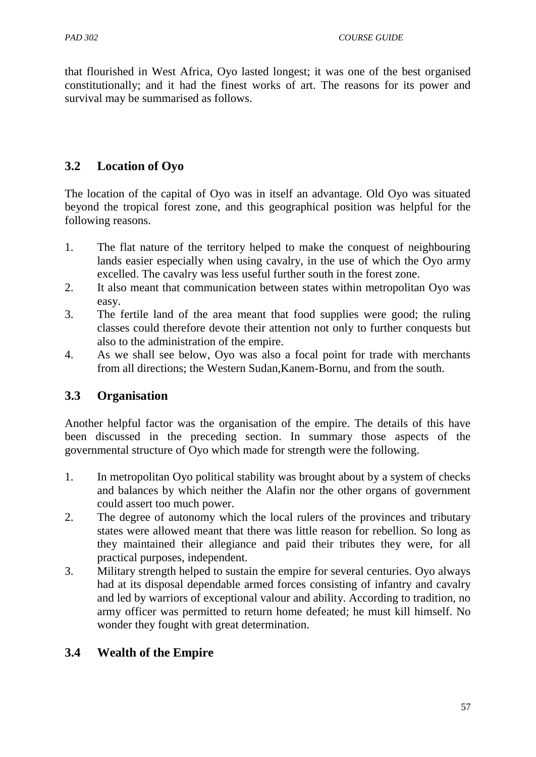that flourished in West Africa, Oyo lasted longest; it was one of the best organised constitutionally; and it had the finest works of art. The reasons for its power and survival may be summarised as follows.

# **3.2 Location of Oyo**

The location of the capital of Oyo was in itself an advantage. Old Oyo was situated beyond the tropical forest zone, and this geographical position was helpful for the following reasons.

- 1. The flat nature of the territory helped to make the conquest of neighbouring lands easier especially when using cavalry, in the use of which the Oyo army excelled. The cavalry was less useful further south in the forest zone.
- 2. It also meant that communication between states within metropolitan Oyo was easy.
- 3. The fertile land of the area meant that food supplies were good; the ruling classes could therefore devote their attention not only to further conquests but also to the administration of the empire.
- 4. As we shall see below, Oyo was also a focal point for trade with merchants from all directions; the Western Sudan,Kanem-Bornu, and from the south.

# **3.3 Organisation**

Another helpful factor was the organisation of the empire. The details of this have been discussed in the preceding section. In summary those aspects of the governmental structure of Oyo which made for strength were the following.

- 1. In metropolitan Oyo political stability was brought about by a system of checks and balances by which neither the Alafin nor the other organs of government could assert too much power.
- 2. The degree of autonomy which the local rulers of the provinces and tributary states were allowed meant that there was little reason for rebellion. So long as they maintained their allegiance and paid their tributes they were, for all practical purposes, independent.
- 3. Military strength helped to sustain the empire for several centuries. Oyo always had at its disposal dependable armed forces consisting of infantry and cavalry and led by warriors of exceptional valour and ability. According to tradition, no army officer was permitted to return home defeated; he must kill himself. No wonder they fought with great determination.

# **3.4 Wealth of the Empire**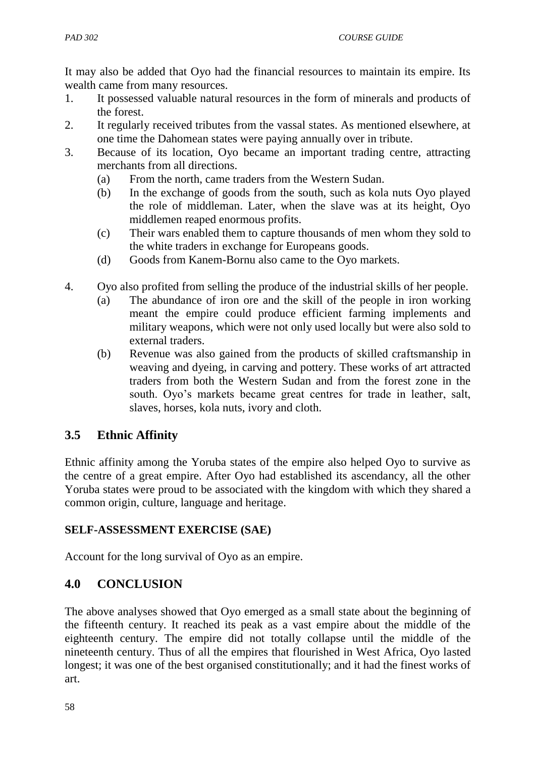It may also be added that Oyo had the financial resources to maintain its empire. Its wealth came from many resources.

- 1. It possessed valuable natural resources in the form of minerals and products of the forest.
- 2. It regularly received tributes from the vassal states. As mentioned elsewhere, at one time the Dahomean states were paying annually over in tribute.
- 3. Because of its location, Oyo became an important trading centre, attracting merchants from all directions.
	- (a) From the north, came traders from the Western Sudan.
	- (b) In the exchange of goods from the south, such as kola nuts Oyo played the role of middleman. Later, when the slave was at its height, Oyo middlemen reaped enormous profits.
	- (c) Their wars enabled them to capture thousands of men whom they sold to the white traders in exchange for Europeans goods.
	- (d) Goods from Kanem-Bornu also came to the Oyo markets.
- 4. Oyo also profited from selling the produce of the industrial skills of her people.
	- (a) The abundance of iron ore and the skill of the people in iron working meant the empire could produce efficient farming implements and military weapons, which were not only used locally but were also sold to external traders.
	- (b) Revenue was also gained from the products of skilled craftsmanship in weaving and dyeing, in carving and pottery. These works of art attracted traders from both the Western Sudan and from the forest zone in the south. Oyo's markets became great centres for trade in leather, salt, slaves, horses, kola nuts, ivory and cloth.

# **3.5 Ethnic Affinity**

Ethnic affinity among the Yoruba states of the empire also helped Oyo to survive as the centre of a great empire. After Oyo had established its ascendancy, all the other Yoruba states were proud to be associated with the kingdom with which they shared a common origin, culture, language and heritage.

### **SELF-ASSESSMENT EXERCISE (SAE)**

Account for the long survival of Oyo as an empire.

# **4.0 CONCLUSION**

The above analyses showed that Oyo emerged as a small state about the beginning of the fifteenth century. It reached its peak as a vast empire about the middle of the eighteenth century. The empire did not totally collapse until the middle of the nineteenth century. Thus of all the empires that flourished in West Africa, Oyo lasted longest; it was one of the best organised constitutionally; and it had the finest works of art.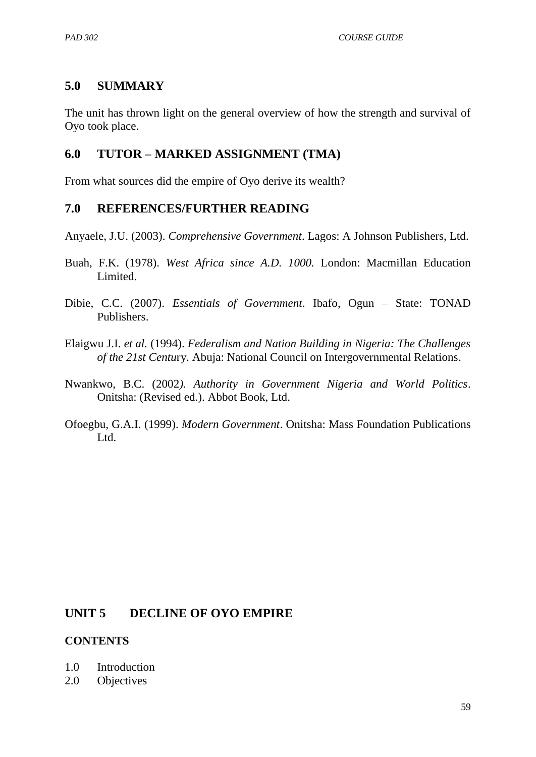### **5.0 SUMMARY**

The unit has thrown light on the general overview of how the strength and survival of Oyo took place.

#### **6.0 TUTOR – MARKED ASSIGNMENT (TMA)**

From what sources did the empire of Oyo derive its wealth?

#### **7.0 REFERENCES/FURTHER READING**

Anyaele, J.U. (2003). *Comprehensive Government*. Lagos: A Johnson Publishers, Ltd.

- Buah, F.K. (1978). *West Africa since A.D. 1000.* London: Macmillan Education Limited.
- Dibie, C.C. (2007). *Essentials of Government*. Ibafo, Ogun State: TONAD Publishers.
- Elaigwu J.I. *et al.* (1994). *Federalism and Nation Building in Nigeria: The Challenges of the 21st Centu*ry. Abuja: National Council on Intergovernmental Relations.
- Nwankwo, B.C. (2002*). Authority in Government Nigeria and World Politics*. Onitsha: (Revised ed.). Abbot Book, Ltd.
- Ofoegbu, G.A.I. (1999). *Modern Government*. Onitsha: Mass Foundation Publications Ltd.

### **UNIT 5 DECLINE OF OYO EMPIRE**

#### **CONTENTS**

- 1.0 Introduction
- 2.0 Objectives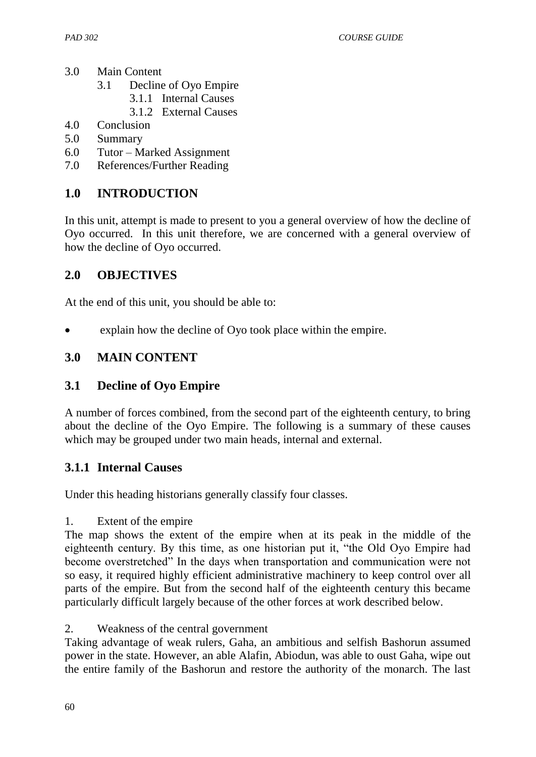- 3.0 Main Content
	- 3.1 Decline of Oyo Empire
		- 3.1.1 Internal Causes
		- 3.1.2 External Causes
- 4.0 Conclusion
- 5.0 Summary
- 6.0 Tutor Marked Assignment
- 7.0 References/Further Reading

## **1.0 INTRODUCTION**

In this unit, attempt is made to present to you a general overview of how the decline of Oyo occurred. In this unit therefore, we are concerned with a general overview of how the decline of Oyo occurred.

### **2.0 OBJECTIVES**

At the end of this unit, you should be able to:

explain how the decline of Oyo took place within the empire.

### **3.0 MAIN CONTENT**

### **3.1 Decline of Oyo Empire**

A number of forces combined, from the second part of the eighteenth century, to bring about the decline of the Oyo Empire. The following is a summary of these causes which may be grouped under two main heads, internal and external.

### **3.1.1 Internal Causes**

Under this heading historians generally classify four classes.

#### 1. Extent of the empire

The map shows the extent of the empire when at its peak in the middle of the eighteenth century. By this time, as one historian put it, "the Old Oyo Empire had become overstretched" In the days when transportation and communication were not so easy, it required highly efficient administrative machinery to keep control over all parts of the empire. But from the second half of the eighteenth century this became particularly difficult largely because of the other forces at work described below.

2. Weakness of the central government

Taking advantage of weak rulers, Gaha, an ambitious and selfish Bashorun assumed power in the state. However, an able Alafin, Abiodun, was able to oust Gaha, wipe out the entire family of the Bashorun and restore the authority of the monarch. The last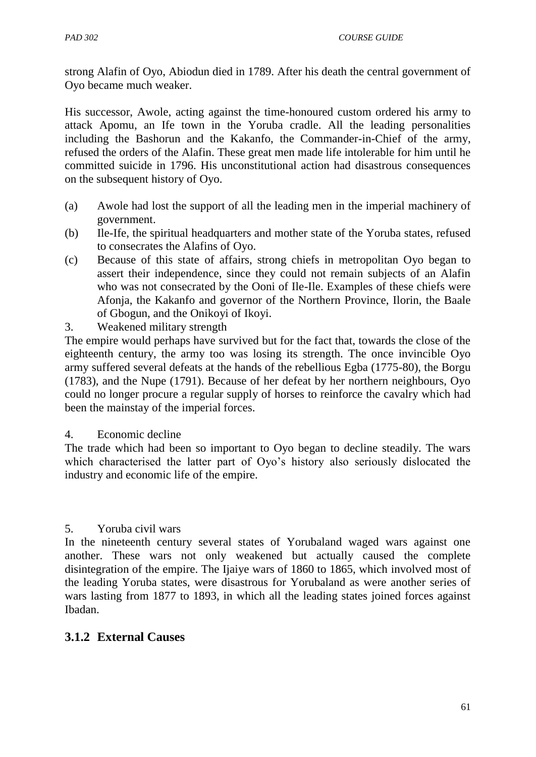strong Alafin of Oyo, Abiodun died in 1789. After his death the central government of Oyo became much weaker.

His successor, Awole, acting against the time-honoured custom ordered his army to attack Apomu, an Ife town in the Yoruba cradle. All the leading personalities including the Bashorun and the Kakanfo, the Commander-in-Chief of the army, refused the orders of the Alafin. These great men made life intolerable for him until he committed suicide in 1796. His unconstitutional action had disastrous consequences on the subsequent history of Oyo.

- (a) Awole had lost the support of all the leading men in the imperial machinery of government.
- (b) Ile-Ife, the spiritual headquarters and mother state of the Yoruba states, refused to consecrates the Alafins of Oyo.
- (c) Because of this state of affairs, strong chiefs in metropolitan Oyo began to assert their independence, since they could not remain subjects of an Alafin who was not consecrated by the Ooni of Ile-Ile. Examples of these chiefs were Afonja, the Kakanfo and governor of the Northern Province, Ilorin, the Baale of Gbogun, and the Onikoyi of Ikoyi.
- 3. Weakened military strength

The empire would perhaps have survived but for the fact that, towards the close of the eighteenth century, the army too was losing its strength. The once invincible Oyo army suffered several defeats at the hands of the rebellious Egba (1775-80), the Borgu (1783), and the Nupe (1791). Because of her defeat by her northern neighbours, Oyo could no longer procure a regular supply of horses to reinforce the cavalry which had been the mainstay of the imperial forces.

#### 4. Economic decline

The trade which had been so important to Oyo began to decline steadily. The wars which characterised the latter part of Oyo's history also seriously dislocated the industry and economic life of the empire.

#### 5. Yoruba civil wars

In the nineteenth century several states of Yorubaland waged wars against one another. These wars not only weakened but actually caused the complete disintegration of the empire. The Ijaiye wars of 1860 to 1865, which involved most of the leading Yoruba states, were disastrous for Yorubaland as were another series of wars lasting from 1877 to 1893, in which all the leading states joined forces against Ibadan.

#### **3.1.2 External Causes**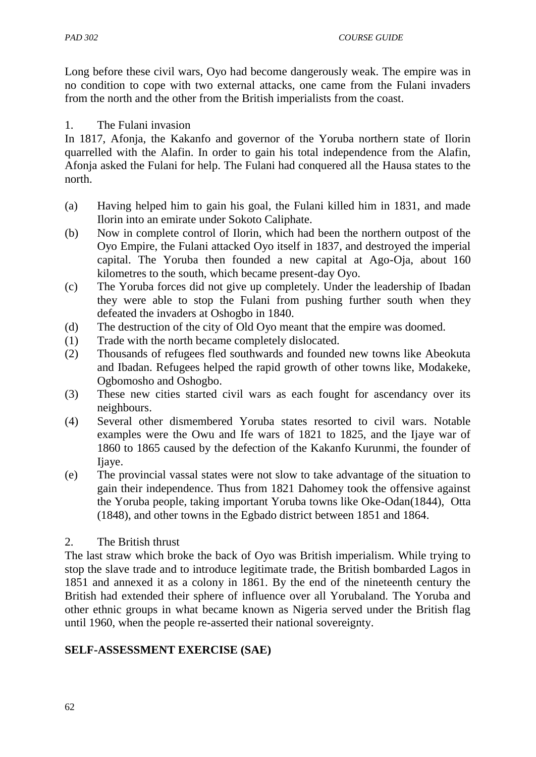Long before these civil wars, Oyo had become dangerously weak. The empire was in no condition to cope with two external attacks, one came from the Fulani invaders from the north and the other from the British imperialists from the coast.

#### 1. The Fulani invasion

In 1817, Afonja, the Kakanfo and governor of the Yoruba northern state of Ilorin quarrelled with the Alafin. In order to gain his total independence from the Alafin, Afonja asked the Fulani for help. The Fulani had conquered all the Hausa states to the north.

- (a) Having helped him to gain his goal, the Fulani killed him in 1831, and made Ilorin into an emirate under Sokoto Caliphate.
- (b) Now in complete control of Ilorin, which had been the northern outpost of the Oyo Empire, the Fulani attacked Oyo itself in 1837, and destroyed the imperial capital. The Yoruba then founded a new capital at Ago-Oja, about 160 kilometres to the south, which became present-day Oyo.
- (c) The Yoruba forces did not give up completely. Under the leadership of Ibadan they were able to stop the Fulani from pushing further south when they defeated the invaders at Oshogbo in 1840.
- (d) The destruction of the city of Old Oyo meant that the empire was doomed.
- (1) Trade with the north became completely dislocated.
- (2) Thousands of refugees fled southwards and founded new towns like Abeokuta and Ibadan. Refugees helped the rapid growth of other towns like, Modakeke, Ogbomosho and Oshogbo.
- (3) These new cities started civil wars as each fought for ascendancy over its neighbours.
- (4) Several other dismembered Yoruba states resorted to civil wars. Notable examples were the Owu and Ife wars of 1821 to 1825, and the Ijaye war of 1860 to 1865 caused by the defection of the Kakanfo Kurunmi, the founder of Ijaye.
- (e) The provincial vassal states were not slow to take advantage of the situation to gain their independence. Thus from 1821 Dahomey took the offensive against the Yoruba people, taking important Yoruba towns like Oke-Odan(1844), Otta (1848), and other towns in the Egbado district between 1851 and 1864.

#### 2. The British thrust

The last straw which broke the back of Oyo was British imperialism. While trying to stop the slave trade and to introduce legitimate trade, the British bombarded Lagos in 1851 and annexed it as a colony in 1861. By the end of the nineteenth century the British had extended their sphere of influence over all Yorubaland. The Yoruba and other ethnic groups in what became known as Nigeria served under the British flag until 1960, when the people re-asserted their national sovereignty.

### **SELF-ASSESSMENT EXERCISE (SAE)**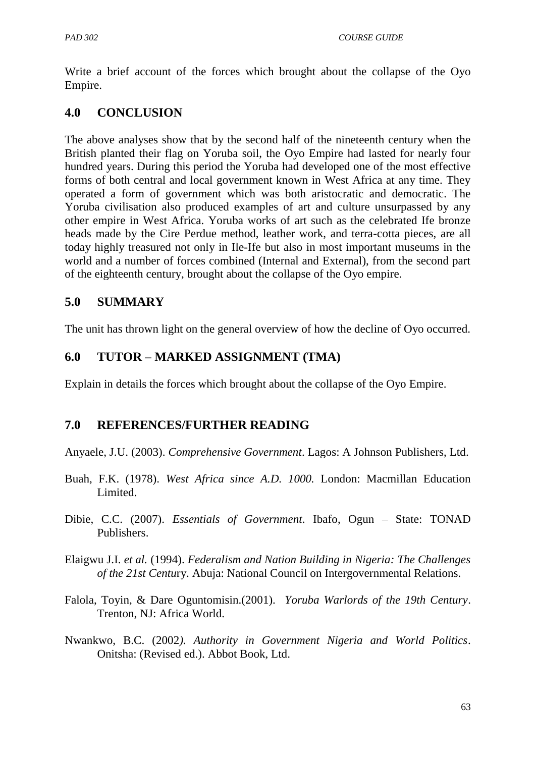Write a brief account of the forces which brought about the collapse of the Oyo Empire.

### **4.0 CONCLUSION**

The above analyses show that by the second half of the nineteenth century when the British planted their flag on Yoruba soil, the Oyo Empire had lasted for nearly four hundred years. During this period the Yoruba had developed one of the most effective forms of both central and local government known in West Africa at any time. They operated a form of government which was both aristocratic and democratic. The Yoruba civilisation also produced examples of art and culture unsurpassed by any other empire in West Africa. Yoruba works of art such as the celebrated Ife bronze heads made by the Cire Perdue method, leather work, and terra-cotta pieces, are all today highly treasured not only in Ile-Ife but also in most important museums in the world and a number of forces combined (Internal and External), from the second part of the eighteenth century, brought about the collapse of the Oyo empire.

### **5.0 SUMMARY**

The unit has thrown light on the general overview of how the decline of Oyo occurred.

#### **6.0 TUTOR – MARKED ASSIGNMENT (TMA)**

Explain in details the forces which brought about the collapse of the Oyo Empire.

#### **7.0 REFERENCES/FURTHER READING**

Anyaele, J.U. (2003). *Comprehensive Government*. Lagos: A Johnson Publishers, Ltd.

- Buah, F.K. (1978). *West Africa since A.D. 1000.* London: Macmillan Education Limited.
- Dibie, C.C. (2007). *Essentials of Government*. Ibafo, Ogun State: TONAD Publishers.
- Elaigwu J.I. *et al.* (1994). *Federalism and Nation Building in Nigeria: The Challenges of the 21st Centu*ry. Abuja: National Council on Intergovernmental Relations.
- Falola, Toyin, & Dare Oguntomisin.(2001). *Yoruba Warlords of the 19th Century*. Trenton, NJ: Africa World.
- Nwankwo, B.C. (2002*). Authority in Government Nigeria and World Politics*. Onitsha: (Revised ed.). Abbot Book, Ltd.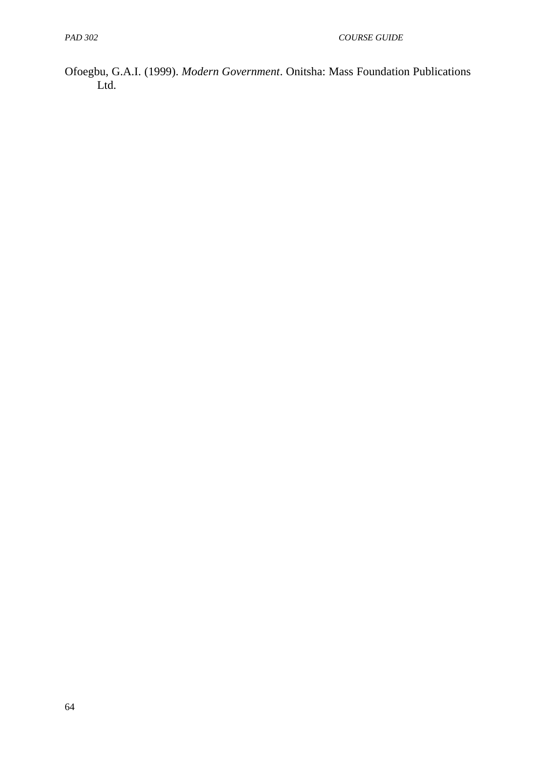Ofoegbu, G.A.I. (1999). *Modern Government*. Onitsha: Mass Foundation Publications Ltd.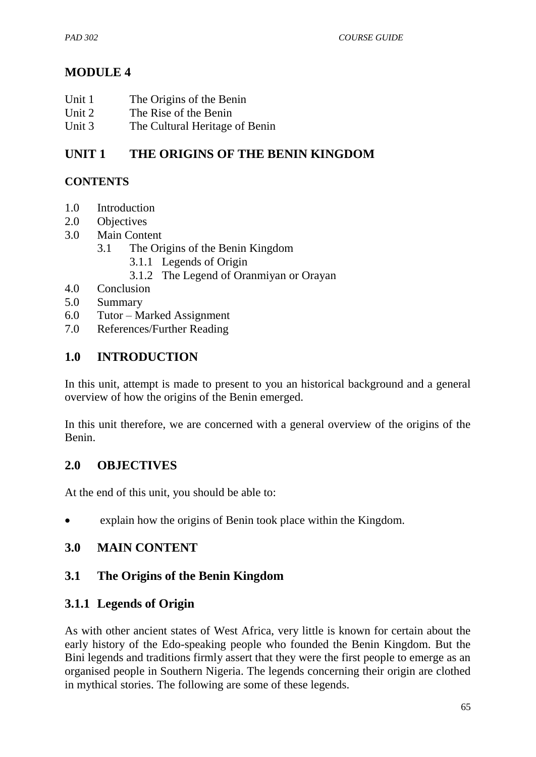# **MODULE 4**

- Unit 1 The Origins of the Benin
- Unit 2 The Rise of the Benin
- Unit 3 The Cultural Heritage of Benin

## **UNIT 1 THE ORIGINS OF THE BENIN KINGDOM**

### **CONTENTS**

- 1.0 Introduction
- 2.0 Objectives
- 3.0 Main Content
	- 3.1 The Origins of the Benin Kingdom
		- 3.1.1 Legends of Origin
		- 3.1.2 The Legend of Oranmiyan or Orayan
- 4.0 Conclusion
- 5.0 Summary
- 6.0 Tutor Marked Assignment
- 7.0 References/Further Reading

### **1.0 INTRODUCTION**

In this unit, attempt is made to present to you an historical background and a general overview of how the origins of the Benin emerged.

In this unit therefore, we are concerned with a general overview of the origins of the Benin.

### **2.0 OBJECTIVES**

At the end of this unit, you should be able to:

explain how the origins of Benin took place within the Kingdom.

### **3.0 MAIN CONTENT**

## **3.1 The Origins of the Benin Kingdom**

### **3.1.1 Legends of Origin**

As with other ancient states of West Africa, very little is known for certain about the early history of the Edo-speaking people who founded the Benin Kingdom. But the Bini legends and traditions firmly assert that they were the first people to emerge as an organised people in Southern Nigeria. The legends concerning their origin are clothed in mythical stories. The following are some of these legends.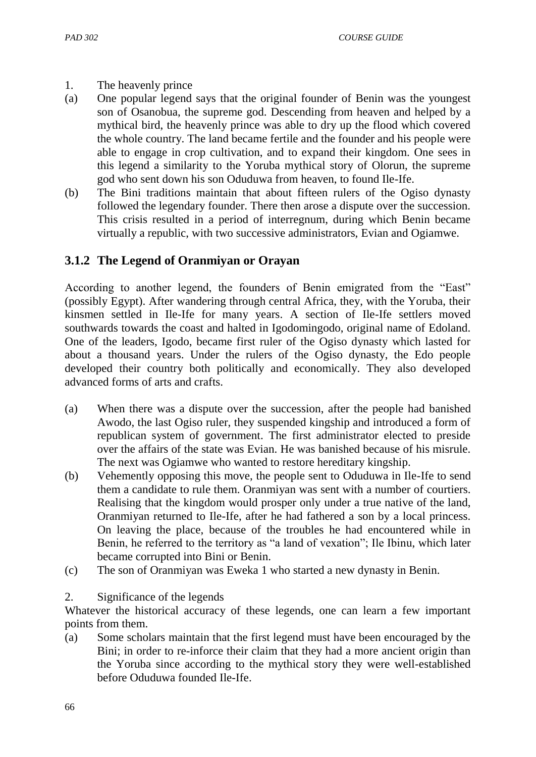#### 1. The heavenly prince

- (a) One popular legend says that the original founder of Benin was the youngest son of Osanobua, the supreme god. Descending from heaven and helped by a mythical bird, the heavenly prince was able to dry up the flood which covered the whole country. The land became fertile and the founder and his people were able to engage in crop cultivation, and to expand their kingdom. One sees in this legend a similarity to the Yoruba mythical story of Olorun, the supreme god who sent down his son Oduduwa from heaven, to found Ile-Ife.
- (b) The Bini traditions maintain that about fifteen rulers of the Ogiso dynasty followed the legendary founder. There then arose a dispute over the succession. This crisis resulted in a period of interregnum, during which Benin became virtually a republic, with two successive administrators, Evian and Ogiamwe.

## **3.1.2 The Legend of Oranmiyan or Orayan**

According to another legend, the founders of Benin emigrated from the "East" (possibly Egypt). After wandering through central Africa, they, with the Yoruba, their kinsmen settled in Ile-Ife for many years. A section of Ile-Ife settlers moved southwards towards the coast and halted in Igodomingodo, original name of Edoland. One of the leaders, Igodo, became first ruler of the Ogiso dynasty which lasted for about a thousand years. Under the rulers of the Ogiso dynasty, the Edo people developed their country both politically and economically. They also developed advanced forms of arts and crafts.

- (a) When there was a dispute over the succession, after the people had banished Awodo, the last Ogiso ruler, they suspended kingship and introduced a form of republican system of government. The first administrator elected to preside over the affairs of the state was Evian. He was banished because of his misrule. The next was Ogiamwe who wanted to restore hereditary kingship.
- (b) Vehemently opposing this move, the people sent to Oduduwa in Ile-Ife to send them a candidate to rule them. Oranmiyan was sent with a number of courtiers. Realising that the kingdom would prosper only under a true native of the land, Oranmiyan returned to Ile-Ife, after he had fathered a son by a local princess. On leaving the place, because of the troubles he had encountered while in Benin, he referred to the territory as "a land of vexation"; Ile Ibinu, which later became corrupted into Bini or Benin.
- (c) The son of Oranmiyan was Eweka 1 who started a new dynasty in Benin.
- 2. Significance of the legends

Whatever the historical accuracy of these legends, one can learn a few important points from them.

(a) Some scholars maintain that the first legend must have been encouraged by the Bini; in order to re-inforce their claim that they had a more ancient origin than the Yoruba since according to the mythical story they were well-established before Oduduwa founded Ile-Ife.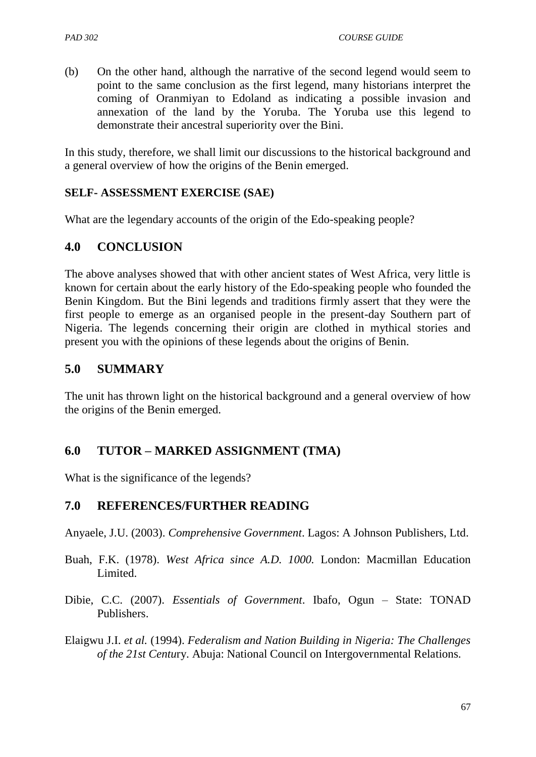(b) On the other hand, although the narrative of the second legend would seem to point to the same conclusion as the first legend, many historians interpret the coming of Oranmiyan to Edoland as indicating a possible invasion and annexation of the land by the Yoruba. The Yoruba use this legend to demonstrate their ancestral superiority over the Bini.

In this study, therefore, we shall limit our discussions to the historical background and a general overview of how the origins of the Benin emerged.

#### **SELF- ASSESSMENT EXERCISE (SAE)**

What are the legendary accounts of the origin of the Edo-speaking people?

## **4.0 CONCLUSION**

The above analyses showed that with other ancient states of West Africa, very little is known for certain about the early history of the Edo-speaking people who founded the Benin Kingdom. But the Bini legends and traditions firmly assert that they were the first people to emerge as an organised people in the present-day Southern part of Nigeria. The legends concerning their origin are clothed in mythical stories and present you with the opinions of these legends about the origins of Benin.

### **5.0 SUMMARY**

The unit has thrown light on the historical background and a general overview of how the origins of the Benin emerged.

### **6.0 TUTOR – MARKED ASSIGNMENT (TMA)**

What is the significance of the legends?

### **7.0 REFERENCES/FURTHER READING**

Anyaele, J.U. (2003). *Comprehensive Government*. Lagos: A Johnson Publishers, Ltd.

- Buah, F.K. (1978). *West Africa since A.D. 1000.* London: Macmillan Education Limited.
- Dibie, C.C. (2007). *Essentials of Government*. Ibafo, Ogun State: TONAD Publishers.

Elaigwu J.I. *et al.* (1994). *Federalism and Nation Building in Nigeria: The Challenges of the 21st Centu*ry. Abuja: National Council on Intergovernmental Relations.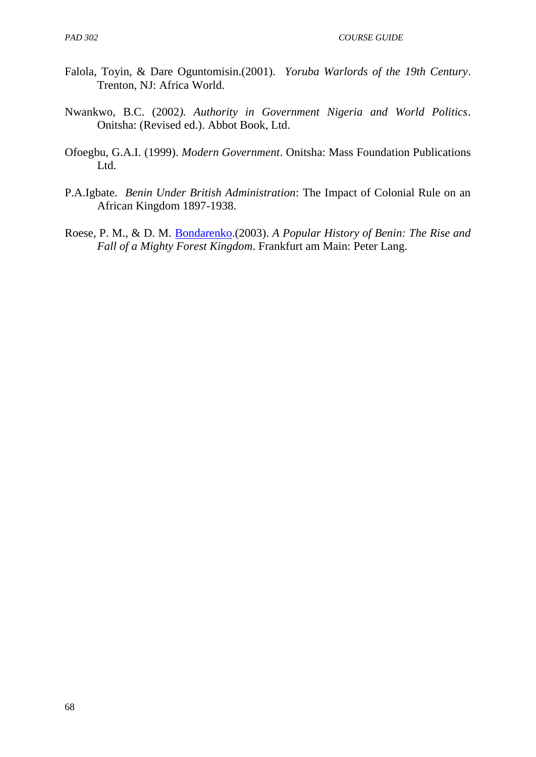- Falola, Toyin, & Dare Oguntomisin.(2001). *Yoruba Warlords of the 19th Century*. Trenton, NJ: Africa World.
- Nwankwo, B.C. (2002*). Authority in Government Nigeria and World Politics*. Onitsha: (Revised ed.). Abbot Book, Ltd.
- Ofoegbu, G.A.I. (1999). *Modern Government*. Onitsha: Mass Foundation Publications Ltd.
- P.A.Igbate. *Benin Under British Administration*: The Impact of Colonial Rule on an African Kingdom 1897-1938.
- Roese, P. M., & D. M. [Bondarenko.](http://en.wikipedia.org/wiki/Dmitri_Bondarenko)(2003). *A Popular History of Benin: The Rise and Fall of a Mighty Forest Kingdom*. Frankfurt am Main: Peter Lang.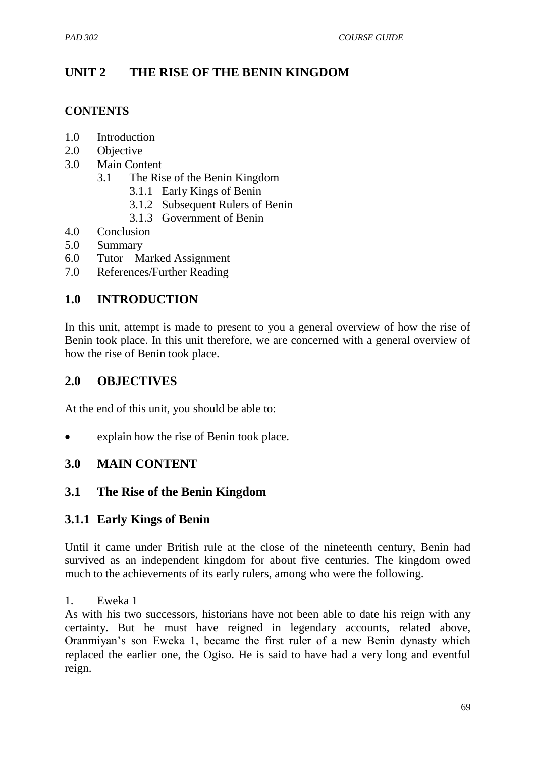# **UNIT 2 THE RISE OF THE BENIN KINGDOM**

#### **CONTENTS**

- 1.0 Introduction
- 2.0 Objective
- 3.0 Main Content
	- 3.1 The Rise of the Benin Kingdom
		- 3.1.1 Early Kings of Benin
		- 3.1.2 Subsequent Rulers of Benin
		- 3.1.3 Government of Benin
- 4.0 Conclusion
- 5.0 Summary
- 6.0 Tutor Marked Assignment
- 7.0 References/Further Reading

## **1.0 INTRODUCTION**

In this unit, attempt is made to present to you a general overview of how the rise of Benin took place. In this unit therefore, we are concerned with a general overview of how the rise of Benin took place.

### **2.0 OBJECTIVES**

At the end of this unit, you should be able to:

explain how the rise of Benin took place.

### **3.0 MAIN CONTENT**

### **3.1 The Rise of the Benin Kingdom**

### **3.1.1 Early Kings of Benin**

Until it came under British rule at the close of the nineteenth century, Benin had survived as an independent kingdom for about five centuries. The kingdom owed much to the achievements of its early rulers, among who were the following.

#### 1. Eweka 1

As with his two successors, historians have not been able to date his reign with any certainty. But he must have reigned in legendary accounts, related above, Oranmiyan"s son Eweka 1, became the first ruler of a new Benin dynasty which replaced the earlier one, the Ogiso. He is said to have had a very long and eventful reign.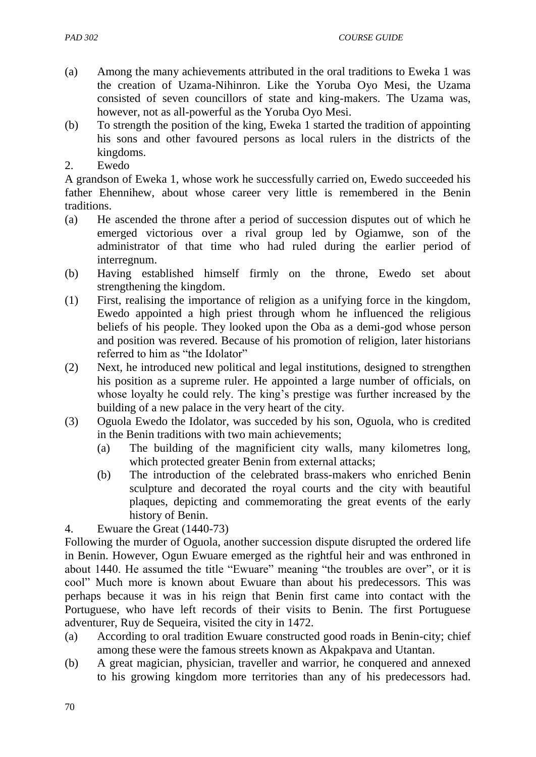- (a) Among the many achievements attributed in the oral traditions to Eweka 1 was the creation of Uzama-Nihinron. Like the Yoruba Oyo Mesi, the Uzama consisted of seven councillors of state and king-makers. The Uzama was, however, not as all-powerful as the Yoruba Oyo Mesi.
- (b) To strength the position of the king, Eweka 1 started the tradition of appointing his sons and other favoured persons as local rulers in the districts of the kingdoms.
- 2. Ewedo

A grandson of Eweka 1, whose work he successfully carried on, Ewedo succeeded his father Ehennihew, about whose career very little is remembered in the Benin traditions.

- (a) He ascended the throne after a period of succession disputes out of which he emerged victorious over a rival group led by Ogiamwe, son of the administrator of that time who had ruled during the earlier period of interregnum.
- (b) Having established himself firmly on the throne, Ewedo set about strengthening the kingdom.
- (1) First, realising the importance of religion as a unifying force in the kingdom, Ewedo appointed a high priest through whom he influenced the religious beliefs of his people. They looked upon the Oba as a demi-god whose person and position was revered. Because of his promotion of religion, later historians referred to him as "the Idolator"
- (2) Next, he introduced new political and legal institutions, designed to strengthen his position as a supreme ruler. He appointed a large number of officials, on whose loyalty he could rely. The king's prestige was further increased by the building of a new palace in the very heart of the city.
- (3) Oguola Ewedo the Idolator, was succeded by his son, Oguola, who is credited in the Benin traditions with two main achievements;
	- (a) The building of the magnificient city walls, many kilometres long, which protected greater Benin from external attacks;
	- (b) The introduction of the celebrated brass-makers who enriched Benin sculpture and decorated the royal courts and the city with beautiful plaques, depicting and commemorating the great events of the early history of Benin.
- 4. Ewuare the Great (1440-73)

Following the murder of Oguola, another succession dispute disrupted the ordered life in Benin. However, Ogun Ewuare emerged as the rightful heir and was enthroned in about 1440. He assumed the title "Ewuare" meaning "the troubles are over", or it is cool" Much more is known about Ewuare than about his predecessors. This was perhaps because it was in his reign that Benin first came into contact with the Portuguese, who have left records of their visits to Benin. The first Portuguese adventurer, Ruy de Sequeira, visited the city in 1472.

- (a) According to oral tradition Ewuare constructed good roads in Benin-city; chief among these were the famous streets known as Akpakpava and Utantan.
- (b) A great magician, physician, traveller and warrior, he conquered and annexed to his growing kingdom more territories than any of his predecessors had.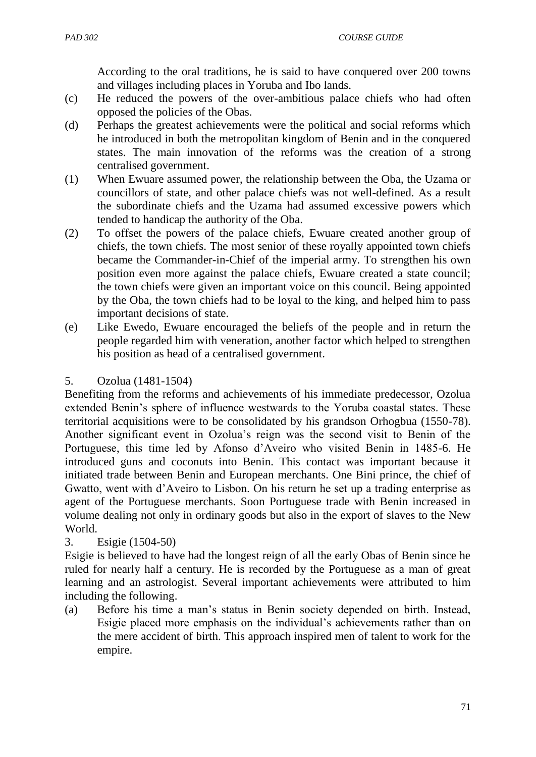According to the oral traditions, he is said to have conquered over 200 towns and villages including places in Yoruba and Ibo lands.

- (c) He reduced the powers of the over-ambitious palace chiefs who had often opposed the policies of the Obas.
- (d) Perhaps the greatest achievements were the political and social reforms which he introduced in both the metropolitan kingdom of Benin and in the conquered states. The main innovation of the reforms was the creation of a strong centralised government.
- (1) When Ewuare assumed power, the relationship between the Oba, the Uzama or councillors of state, and other palace chiefs was not well-defined. As a result the subordinate chiefs and the Uzama had assumed excessive powers which tended to handicap the authority of the Oba.
- (2) To offset the powers of the palace chiefs, Ewuare created another group of chiefs, the town chiefs. The most senior of these royally appointed town chiefs became the Commander-in-Chief of the imperial army. To strengthen his own position even more against the palace chiefs, Ewuare created a state council; the town chiefs were given an important voice on this council. Being appointed by the Oba, the town chiefs had to be loyal to the king, and helped him to pass important decisions of state.
- (e) Like Ewedo, Ewuare encouraged the beliefs of the people and in return the people regarded him with veneration, another factor which helped to strengthen his position as head of a centralised government.

#### 5. Ozolua (1481-1504)

Benefiting from the reforms and achievements of his immediate predecessor, Ozolua extended Benin"s sphere of influence westwards to the Yoruba coastal states. These territorial acquisitions were to be consolidated by his grandson Orhogbua (1550-78). Another significant event in Ozolua"s reign was the second visit to Benin of the Portuguese, this time led by Afonso d"Aveiro who visited Benin in 1485-6. He introduced guns and coconuts into Benin. This contact was important because it initiated trade between Benin and European merchants. One Bini prince, the chief of Gwatto, went with d"Aveiro to Lisbon. On his return he set up a trading enterprise as agent of the Portuguese merchants. Soon Portuguese trade with Benin increased in volume dealing not only in ordinary goods but also in the export of slaves to the New World.

### 3. Esigie (1504-50)

Esigie is believed to have had the longest reign of all the early Obas of Benin since he ruled for nearly half a century. He is recorded by the Portuguese as a man of great learning and an astrologist. Several important achievements were attributed to him including the following.

(a) Before his time a man"s status in Benin society depended on birth. Instead, Esigie placed more emphasis on the individual"s achievements rather than on the mere accident of birth. This approach inspired men of talent to work for the empire.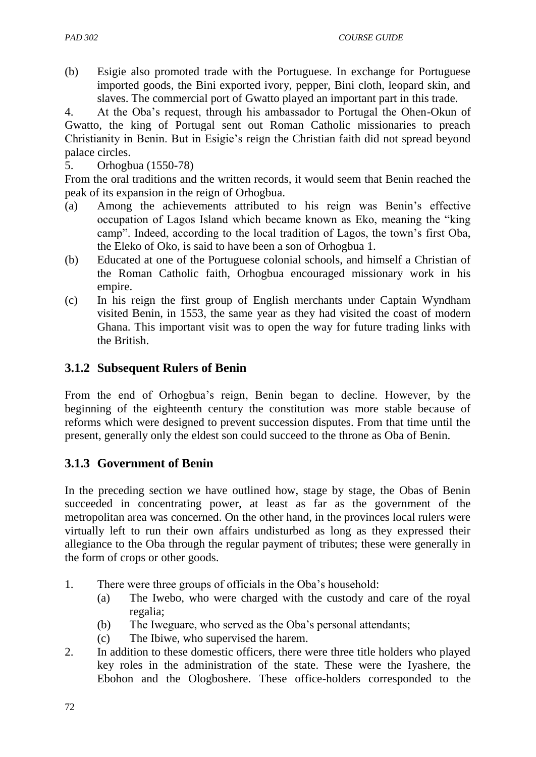(b) Esigie also promoted trade with the Portuguese. In exchange for Portuguese imported goods, the Bini exported ivory, pepper, Bini cloth, leopard skin, and slaves. The commercial port of Gwatto played an important part in this trade.

4. At the Oba"s request, through his ambassador to Portugal the Ohen-Okun of Gwatto, the king of Portugal sent out Roman Catholic missionaries to preach Christianity in Benin. But in Esigie"s reign the Christian faith did not spread beyond palace circles.

5. Orhogbua (1550-78)

From the oral traditions and the written records, it would seem that Benin reached the peak of its expansion in the reign of Orhogbua.

- (a) Among the achievements attributed to his reign was Benin"s effective occupation of Lagos Island which became known as Eko, meaning the "king camp". Indeed, according to the local tradition of Lagos, the town"s first Oba, the Eleko of Oko, is said to have been a son of Orhogbua 1.
- (b) Educated at one of the Portuguese colonial schools, and himself a Christian of the Roman Catholic faith, Orhogbua encouraged missionary work in his empire.
- (c) In his reign the first group of English merchants under Captain Wyndham visited Benin, in 1553, the same year as they had visited the coast of modern Ghana. This important visit was to open the way for future trading links with the British.

### **3.1.2 Subsequent Rulers of Benin**

From the end of Orhogbua"s reign, Benin began to decline. However, by the beginning of the eighteenth century the constitution was more stable because of reforms which were designed to prevent succession disputes. From that time until the present, generally only the eldest son could succeed to the throne as Oba of Benin.

## **3.1.3 Government of Benin**

In the preceding section we have outlined how, stage by stage, the Obas of Benin succeeded in concentrating power, at least as far as the government of the metropolitan area was concerned. On the other hand, in the provinces local rulers were virtually left to run their own affairs undisturbed as long as they expressed their allegiance to the Oba through the regular payment of tributes; these were generally in the form of crops or other goods.

- 1. There were three groups of officials in the Oba"s household:
	- (a) The Iwebo, who were charged with the custody and care of the royal regalia;
	- (b) The Iweguare, who served as the Oba"s personal attendants;
	- (c) The Ibiwe, who supervised the harem.
- 2. In addition to these domestic officers, there were three title holders who played key roles in the administration of the state. These were the Iyashere, the Ebohon and the Ologboshere. These office-holders corresponded to the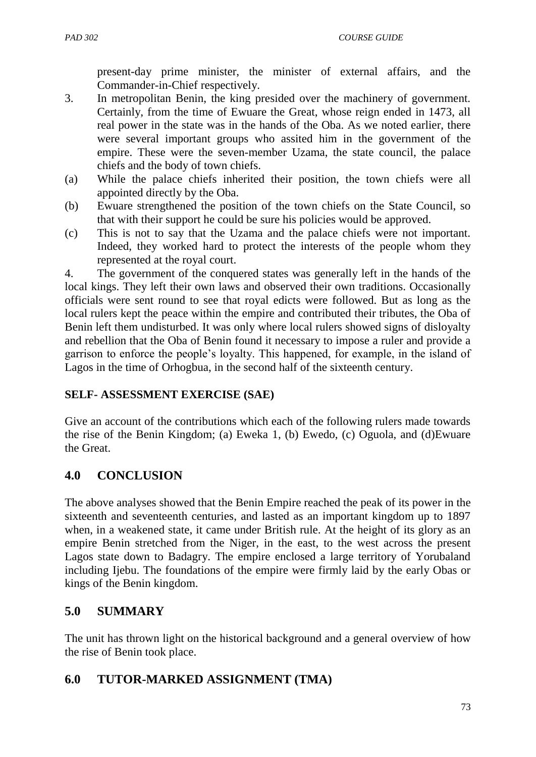present-day prime minister, the minister of external affairs, and the Commander-in-Chief respectively.

- 3. In metropolitan Benin, the king presided over the machinery of government. Certainly, from the time of Ewuare the Great, whose reign ended in 1473, all real power in the state was in the hands of the Oba. As we noted earlier, there were several important groups who assited him in the government of the empire. These were the seven-member Uzama, the state council, the palace chiefs and the body of town chiefs.
- (a) While the palace chiefs inherited their position, the town chiefs were all appointed directly by the Oba.
- (b) Ewuare strengthened the position of the town chiefs on the State Council, so that with their support he could be sure his policies would be approved.
- (c) This is not to say that the Uzama and the palace chiefs were not important. Indeed, they worked hard to protect the interests of the people whom they represented at the royal court.

4. The government of the conquered states was generally left in the hands of the local kings. They left their own laws and observed their own traditions. Occasionally officials were sent round to see that royal edicts were followed. But as long as the local rulers kept the peace within the empire and contributed their tributes, the Oba of Benin left them undisturbed. It was only where local rulers showed signs of disloyalty and rebellion that the Oba of Benin found it necessary to impose a ruler and provide a garrison to enforce the people"s loyalty. This happened, for example, in the island of Lagos in the time of Orhogbua, in the second half of the sixteenth century.

### **SELF- ASSESSMENT EXERCISE (SAE)**

Give an account of the contributions which each of the following rulers made towards the rise of the Benin Kingdom; (a) Eweka 1, (b) Ewedo, (c) Oguola, and (d)Ewuare the Great.

## **4.0 CONCLUSION**

The above analyses showed that the Benin Empire reached the peak of its power in the sixteenth and seventeenth centuries, and lasted as an important kingdom up to 1897 when, in a weakened state, it came under British rule. At the height of its glory as an empire Benin stretched from the Niger, in the east, to the west across the present Lagos state down to Badagry. The empire enclosed a large territory of Yorubaland including Ijebu. The foundations of the empire were firmly laid by the early Obas or kings of the Benin kingdom.

## **5.0 SUMMARY**

The unit has thrown light on the historical background and a general overview of how the rise of Benin took place.

## **6.0 TUTOR-MARKED ASSIGNMENT (TMA)**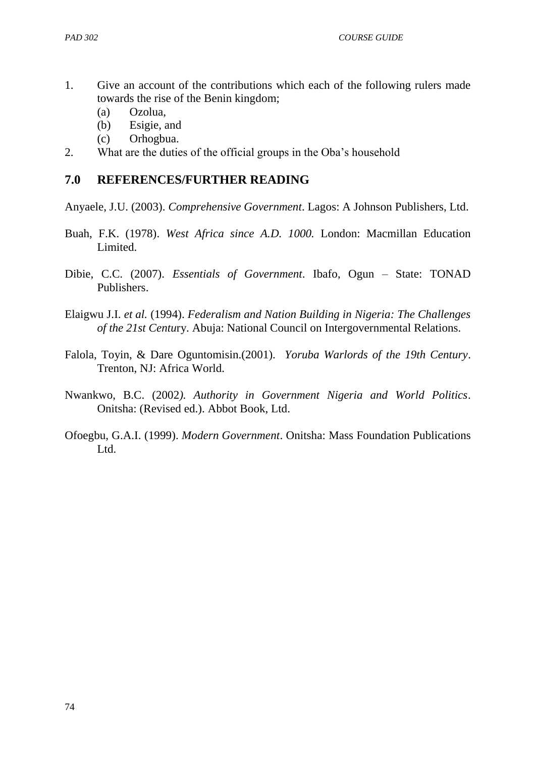- 1. Give an account of the contributions which each of the following rulers made towards the rise of the Benin kingdom;
	- (a) Ozolua,
	- (b) Esigie, and
	- (c) Orhogbua.
- 2. What are the duties of the official groups in the Oba"s household

#### **7.0 REFERENCES/FURTHER READING**

Anyaele, J.U. (2003). *Comprehensive Government*. Lagos: A Johnson Publishers, Ltd.

- Buah, F.K. (1978). *West Africa since A.D. 1000.* London: Macmillan Education Limited.
- Dibie, C.C. (2007). *Essentials of Government*. Ibafo, Ogun State: TONAD Publishers.
- Elaigwu J.I. *et al.* (1994). *Federalism and Nation Building in Nigeria: The Challenges of the 21st Centu*ry. Abuja: National Council on Intergovernmental Relations.
- Falola, Toyin, & Dare Oguntomisin.(2001). *Yoruba Warlords of the 19th Century*. Trenton, NJ: Africa World.
- Nwankwo, B.C. (2002*). Authority in Government Nigeria and World Politics*. Onitsha: (Revised ed.). Abbot Book, Ltd.
- Ofoegbu, G.A.I. (1999). *Modern Government*. Onitsha: Mass Foundation Publications Ltd.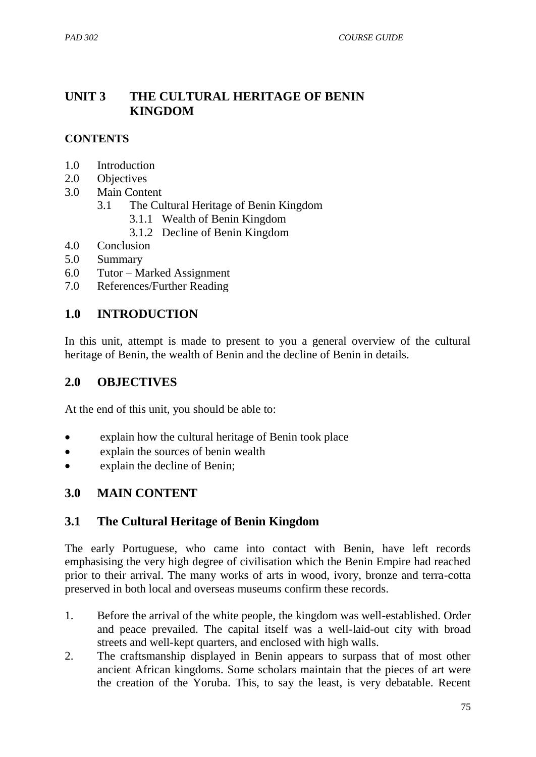### **UNIT 3 THE CULTURAL HERITAGE OF BENIN KINGDOM**

#### **CONTENTS**

- 1.0 Introduction
- 2.0 Objectives
- 3.0 Main Content
	- 3.1 The Cultural Heritage of Benin Kingdom
		- 3.1.1 Wealth of Benin Kingdom
		- 3.1.2 Decline of Benin Kingdom
- 4.0 Conclusion
- 5.0 Summary
- 6.0 Tutor Marked Assignment
- 7.0 References/Further Reading

### **1.0 INTRODUCTION**

In this unit, attempt is made to present to you a general overview of the cultural heritage of Benin, the wealth of Benin and the decline of Benin in details.

### **2.0 OBJECTIVES**

At the end of this unit, you should be able to:

- explain how the cultural heritage of Benin took place
- explain the sources of benin wealth
- explain the decline of Benin;

### **3.0 MAIN CONTENT**

## **3.1 The Cultural Heritage of Benin Kingdom**

The early Portuguese, who came into contact with Benin, have left records emphasising the very high degree of civilisation which the Benin Empire had reached prior to their arrival. The many works of arts in wood, ivory, bronze and terra-cotta preserved in both local and overseas museums confirm these records.

- 1. Before the arrival of the white people, the kingdom was well-established. Order and peace prevailed. The capital itself was a well-laid-out city with broad streets and well-kept quarters, and enclosed with high walls.
- 2. The craftsmanship displayed in Benin appears to surpass that of most other ancient African kingdoms. Some scholars maintain that the pieces of art were the creation of the Yoruba. This, to say the least, is very debatable. Recent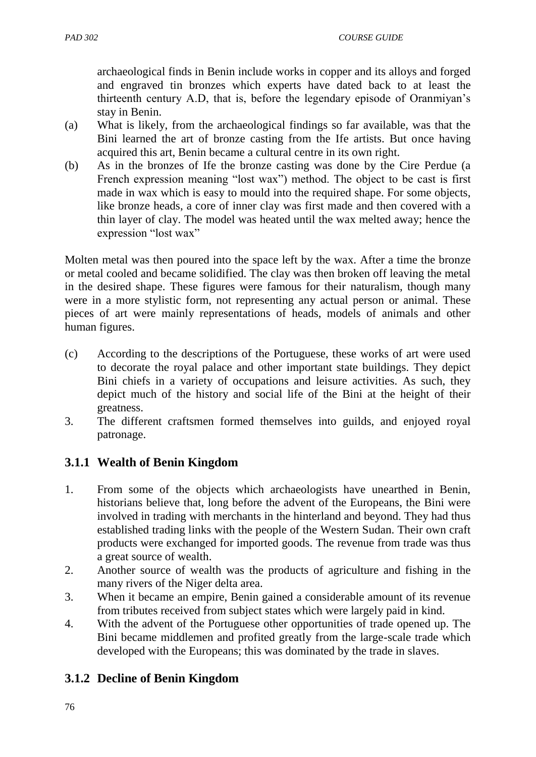archaeological finds in Benin include works in copper and its alloys and forged and engraved tin bronzes which experts have dated back to at least the thirteenth century A.D, that is, before the legendary episode of Oranmiyan"s stay in Benin.

- (a) What is likely, from the archaeological findings so far available, was that the Bini learned the art of bronze casting from the Ife artists. But once having acquired this art, Benin became a cultural centre in its own right.
- (b) As in the bronzes of Ife the bronze casting was done by the Cire Perdue (a French expression meaning "lost wax") method. The object to be cast is first made in wax which is easy to mould into the required shape. For some objects, like bronze heads, a core of inner clay was first made and then covered with a thin layer of clay. The model was heated until the wax melted away; hence the expression "lost wax"

Molten metal was then poured into the space left by the wax. After a time the bronze or metal cooled and became solidified. The clay was then broken off leaving the metal in the desired shape. These figures were famous for their naturalism, though many were in a more stylistic form, not representing any actual person or animal. These pieces of art were mainly representations of heads, models of animals and other human figures.

- (c) According to the descriptions of the Portuguese, these works of art were used to decorate the royal palace and other important state buildings. They depict Bini chiefs in a variety of occupations and leisure activities. As such, they depict much of the history and social life of the Bini at the height of their greatness.
- 3. The different craftsmen formed themselves into guilds, and enjoyed royal patronage.

# **3.1.1 Wealth of Benin Kingdom**

- 1. From some of the objects which archaeologists have unearthed in Benin, historians believe that, long before the advent of the Europeans, the Bini were involved in trading with merchants in the hinterland and beyond. They had thus established trading links with the people of the Western Sudan. Their own craft products were exchanged for imported goods. The revenue from trade was thus a great source of wealth.
- 2. Another source of wealth was the products of agriculture and fishing in the many rivers of the Niger delta area.
- 3. When it became an empire, Benin gained a considerable amount of its revenue from tributes received from subject states which were largely paid in kind.
- 4. With the advent of the Portuguese other opportunities of trade opened up. The Bini became middlemen and profited greatly from the large-scale trade which developed with the Europeans; this was dominated by the trade in slaves.

# **3.1.2 Decline of Benin Kingdom**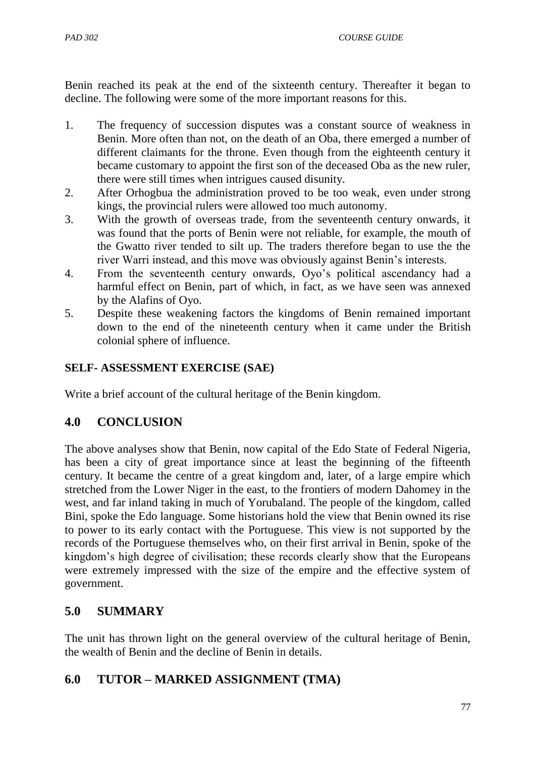Benin reached its peak at the end of the sixteenth century. Thereafter it began to decline. The following were some of the more important reasons for this.

- 1. The frequency of succession disputes was a constant source of weakness in Benin. More often than not, on the death of an Oba, there emerged a number of different claimants for the throne. Even though from the eighteenth century it became customary to appoint the first son of the deceased Oba as the new ruler, there were still times when intrigues caused disunity.
- 2. After Orhogbua the administration proved to be too weak, even under strong kings, the provincial rulers were allowed too much autonomy.
- 3. With the growth of overseas trade, from the seventeenth century onwards, it was found that the ports of Benin were not reliable, for example, the mouth of the Gwatto river tended to silt up. The traders therefore began to use the the river Warri instead, and this move was obviously against Benin"s interests.
- 4. From the seventeenth century onwards, Oyo"s political ascendancy had a harmful effect on Benin, part of which, in fact, as we have seen was annexed by the Alafins of Oyo.
- 5. Despite these weakening factors the kingdoms of Benin remained important down to the end of the nineteenth century when it came under the British colonial sphere of influence.

### **SELF- ASSESSMENT EXERCISE (SAE)**

Write a brief account of the cultural heritage of the Benin kingdom.

## **4.0 CONCLUSION**

The above analyses show that Benin, now capital of the Edo State of Federal Nigeria, has been a city of great importance since at least the beginning of the fifteenth century. It became the centre of a great kingdom and, later, of a large empire which stretched from the Lower Niger in the east, to the frontiers of modern Dahomey in the west, and far inland taking in much of Yorubaland. The people of the kingdom, called Bini, spoke the Edo language. Some historians hold the view that Benin owned its rise to power to its early contact with the Portuguese. This view is not supported by the records of the Portuguese themselves who, on their first arrival in Benin, spoke of the kingdom"s high degree of civilisation; these records clearly show that the Europeans were extremely impressed with the size of the empire and the effective system of government.

# **5.0 SUMMARY**

The unit has thrown light on the general overview of the cultural heritage of Benin, the wealth of Benin and the decline of Benin in details.

## **6.0 TUTOR – MARKED ASSIGNMENT (TMA)**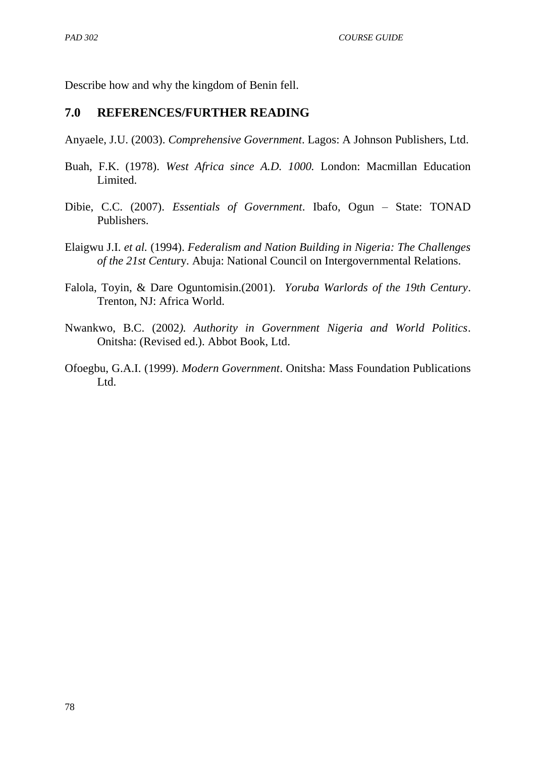Describe how and why the kingdom of Benin fell.

#### **7.0 REFERENCES/FURTHER READING**

Anyaele, J.U. (2003). *Comprehensive Government*. Lagos: A Johnson Publishers, Ltd.

- Buah, F.K. (1978). *West Africa since A.D. 1000.* London: Macmillan Education Limited.
- Dibie, C.C. (2007). *Essentials of Government*. Ibafo, Ogun State: TONAD Publishers.
- Elaigwu J.I. *et al.* (1994). *Federalism and Nation Building in Nigeria: The Challenges of the 21st Centu*ry. Abuja: National Council on Intergovernmental Relations.
- Falola, Toyin, & Dare Oguntomisin.(2001). *Yoruba Warlords of the 19th Century*. Trenton, NJ: Africa World.
- Nwankwo, B.C. (2002*). Authority in Government Nigeria and World Politics*. Onitsha: (Revised ed.). Abbot Book, Ltd.
- Ofoegbu, G.A.I. (1999). *Modern Government*. Onitsha: Mass Foundation Publications L<sub>td</sub>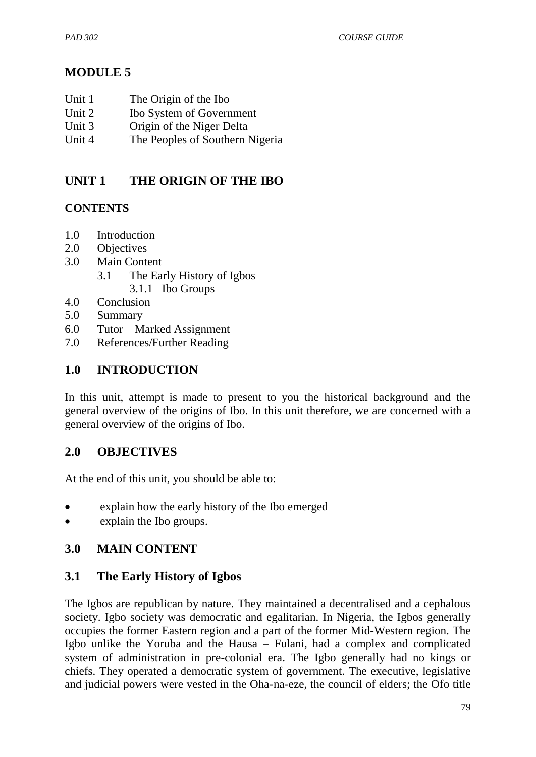# **MODULE 5**

- Unit 1 The Origin of the Ibo
- Unit 2 Ibo System of Government
- Unit 3 Origin of the Niger Delta
- Unit 4 The Peoples of Southern Nigeria

## **UNIT 1 THE ORIGIN OF THE IBO**

### **CONTENTS**

- 1.0 Introduction
- 2.0 Objectives
- 3.0 Main Content
	- 3.1 The Early History of Igbos
		- 3.1.1 Ibo Groups
- 4.0 Conclusion
- 5.0 Summary
- 6.0 Tutor Marked Assignment
- 7.0 References/Further Reading

### **1.0 INTRODUCTION**

In this unit, attempt is made to present to you the historical background and the general overview of the origins of Ibo. In this unit therefore, we are concerned with a general overview of the origins of Ibo.

### **2.0 OBJECTIVES**

At the end of this unit, you should be able to:

- explain how the early history of the Ibo emerged
- explain the Ibo groups.

## **3.0 MAIN CONTENT**

### **3.1 The Early History of Igbos**

The Igbos are republican by nature. They maintained a decentralised and a cephalous society. Igbo society was democratic and egalitarian. In Nigeria, the Igbos generally occupies the former Eastern region and a part of the former Mid-Western region. The Igbo unlike the Yoruba and the Hausa – Fulani, had a complex and complicated system of administration in pre-colonial era. The Igbo generally had no kings or chiefs. They operated a democratic system of government. The executive, legislative and judicial powers were vested in the Oha-na-eze, the council of elders; the Ofo title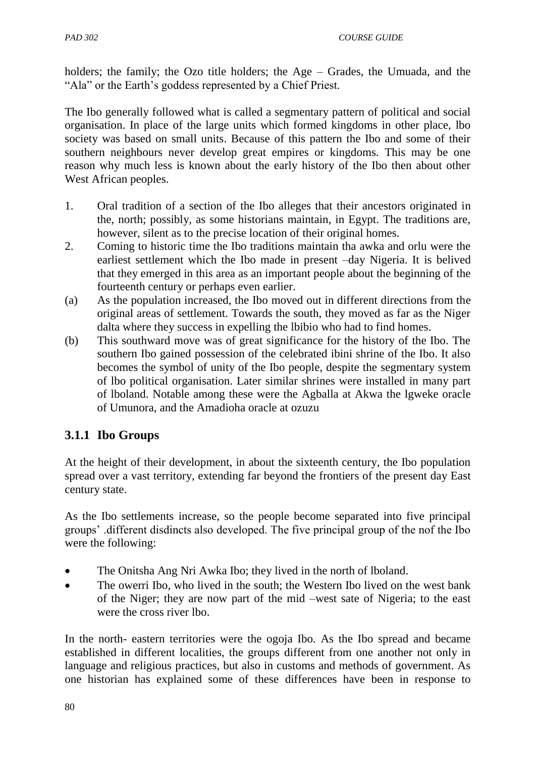holders; the family; the Ozo title holders; the Age – Grades, the Umuada, and the "Ala" or the Earth's goddess represented by a Chief Priest.

The Ibo generally followed what is called a segmentary pattern of political and social organisation. In place of the large units which formed kingdoms in other place, lbo society was based on small units. Because of this pattern the Ibo and some of their southern neighbours never develop great empires or kingdoms. This may be one reason why much less is known about the early history of the Ibo then about other West African peoples.

- 1. Oral tradition of a section of the Ibo alleges that their ancestors originated in the, north; possibly, as some historians maintain, in Egypt. The traditions are, however, silent as to the precise location of their original homes.
- 2. Coming to historic time the Ibo traditions maintain tha awka and orlu were the earliest settlement which the Ibo made in present –day Nigeria. It is belived that they emerged in this area as an important people about the beginning of the fourteenth century or perhaps even earlier.
- (a) As the population increased, the Ibo moved out in different directions from the original areas of settlement. Towards the south, they moved as far as the Niger dalta where they success in expelling the lbibio who had to find homes.
- (b) This southward move was of great significance for the history of the Ibo. The southern Ibo gained possession of the celebrated ibini shrine of the Ibo. It also becomes the symbol of unity of the Ibo people, despite the segmentary system of lbo political organisation. Later similar shrines were installed in many part of lboland. Notable among these were the Agballa at Akwa the lgweke oracle of Umunora, and the Amadioha oracle at ozuzu

# **3.1.1 Ibo Groups**

At the height of their development, in about the sixteenth century, the Ibo population spread over a vast territory, extending far beyond the frontiers of the present day East century state.

As the Ibo settlements increase, so the people become separated into five principal groups" .different disdincts also developed. The five principal group of the nof the Ibo were the following:

- The Onitsha Ang Nri Awka Ibo; they lived in the north of lboland.
- The owerri Ibo, who lived in the south; the Western Ibo lived on the west bank of the Niger; they are now part of the mid –west sate of Nigeria; to the east were the cross river lbo.

In the north- eastern territories were the ogoja Ibo. As the Ibo spread and became established in different localities, the groups different from one another not only in language and religious practices, but also in customs and methods of government. As one historian has explained some of these differences have been in response to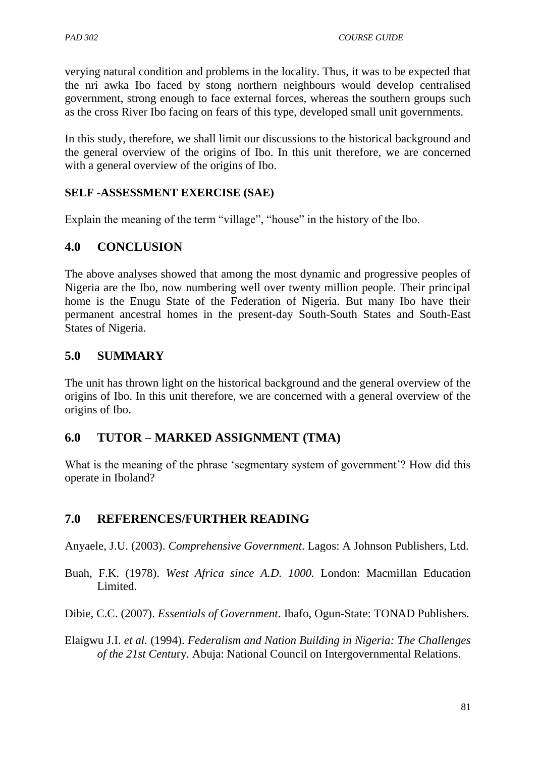verying natural condition and problems in the locality. Thus, it was to be expected that the nri awka Ibo faced by stong northern neighbours would develop centralised government, strong enough to face external forces, whereas the southern groups such as the cross River Ibo facing on fears of this type, developed small unit governments.

In this study, therefore, we shall limit our discussions to the historical background and the general overview of the origins of Ibo. In this unit therefore, we are concerned with a general overview of the origins of Ibo.

### **SELF -ASSESSMENT EXERCISE (SAE)**

Explain the meaning of the term "village", "house" in the history of the Ibo.

## **4.0 CONCLUSION**

The above analyses showed that among the most dynamic and progressive peoples of Nigeria are the Ibo, now numbering well over twenty million people. Their principal home is the Enugu State of the Federation of Nigeria. But many Ibo have their permanent ancestral homes in the present-day South-South States and South-East States of Nigeria.

## **5.0 SUMMARY**

The unit has thrown light on the historical background and the general overview of the origins of Ibo. In this unit therefore, we are concerned with a general overview of the origins of Ibo.

## **6.0 TUTOR – MARKED ASSIGNMENT (TMA)**

What is the meaning of the phrase 'segmentary system of government'? How did this operate in Iboland?

## **7.0 REFERENCES/FURTHER READING**

Anyaele, J.U. (2003). *Comprehensive Government*. Lagos: A Johnson Publishers, Ltd.

Buah, F.K. (1978). *West Africa since A.D. 1000.* London: Macmillan Education Limited.

Dibie, C.C. (2007). *Essentials of Government*. Ibafo, Ogun-State: TONAD Publishers.

Elaigwu J.I. *et al.* (1994). *Federalism and Nation Building in Nigeria: The Challenges of the 21st Centu*ry. Abuja: National Council on Intergovernmental Relations.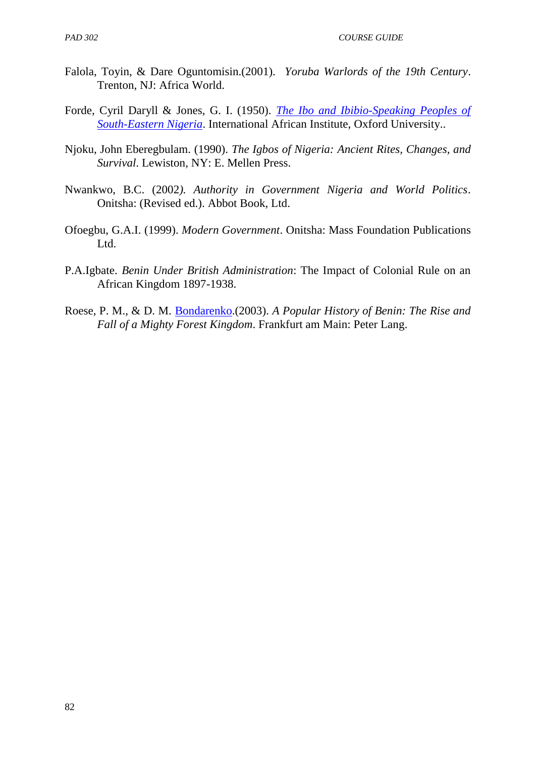- Falola, Toyin, & Dare Oguntomisin.(2001). *Yoruba Warlords of the 19th Century*. Trenton, NJ: Africa World.
- Forde, Cyril Daryll & Jones, G. I. (1950). *[The Ibo and Ibibio-Speaking Peoples of](http://www.opensourceguinea.org/2013/02/cyril-daryll-forde-and-g-i-jones-ibo.html)  [South-Eastern Nigeria](http://www.opensourceguinea.org/2013/02/cyril-daryll-forde-and-g-i-jones-ibo.html)*. International African Institute, Oxford University..
- Njoku, John Eberegbulam. (1990). *The Igbos of Nigeria: Ancient Rites, Changes, and Survival*. Lewiston, NY: E. Mellen Press.
- Nwankwo, B.C. (2002*). Authority in Government Nigeria and World Politics*. Onitsha: (Revised ed.). Abbot Book, Ltd.
- Ofoegbu, G.A.I. (1999). *Modern Government*. Onitsha: Mass Foundation Publications Ltd.
- P.A.Igbate. *Benin Under British Administration*: The Impact of Colonial Rule on an African Kingdom 1897-1938.
- Roese, P. M., & D. M. [Bondarenko.](http://en.wikipedia.org/wiki/Dmitri_Bondarenko)(2003). *A Popular History of Benin: The Rise and Fall of a Mighty Forest Kingdom*. Frankfurt am Main: Peter Lang.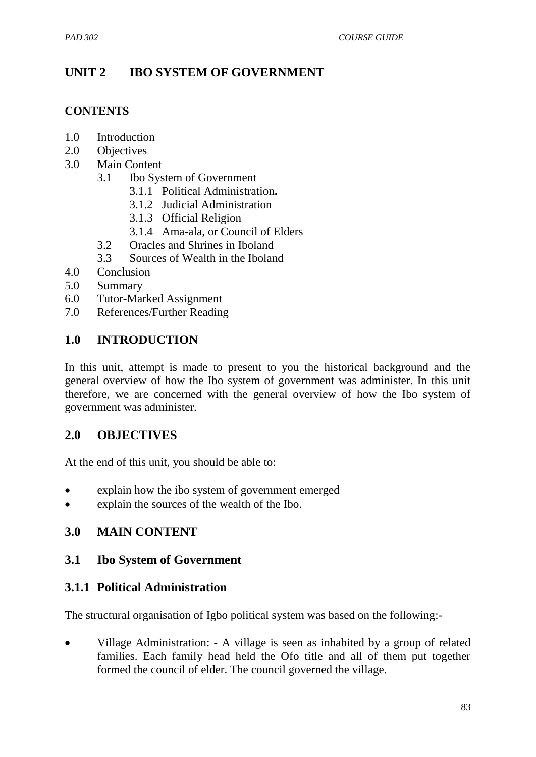# **UNIT 2 IBO SYSTEM OF GOVERNMENT**

#### **CONTENTS**

- 1.0 Introduction
- 2.0 Objectives
- 3.0 Main Content
	- 3.1 Ibo System of Government
		- 3.1.1 Political Administration**.**
		- 3.1.2 Judicial Administration
		- 3.1.3 Official Religion
		- 3.1.4 Ama-ala, or Council of Elders
	- 3.2 Oracles and Shrines in Iboland
	- 3.3 Sources of Wealth in the Iboland
- 4.0 Conclusion
- 5.0 Summary
- 6.0 Tutor-Marked Assignment
- 7.0 References/Further Reading

### **1.0 INTRODUCTION**

In this unit, attempt is made to present to you the historical background and the general overview of how the Ibo system of government was administer. In this unit therefore, we are concerned with the general overview of how the Ibo system of government was administer.

### **2.0 OBJECTIVES**

At the end of this unit, you should be able to:

- explain how the ibo system of government emerged
- explain the sources of the wealth of the Ibo.

### **3.0 MAIN CONTENT**

### **3.1 Ibo System of Government**

### **3.1.1 Political Administration**

The structural organisation of Igbo political system was based on the following:-

• Village Administration: - A village is seen as inhabited by a group of related families. Each family head held the Ofo title and all of them put together formed the council of elder. The council governed the village.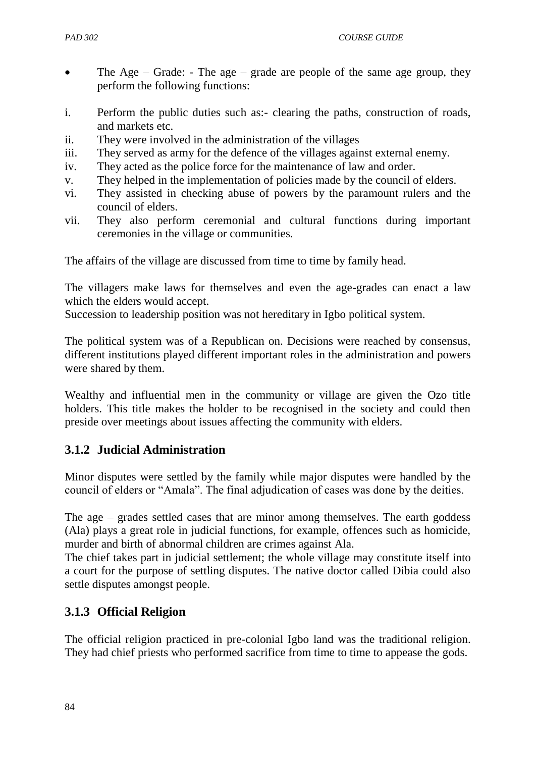- The Age Grade: The age grade are people of the same age group, they perform the following functions:
- i. Perform the public duties such as:- clearing the paths, construction of roads, and markets etc.
- ii. They were involved in the administration of the villages
- iii. They served as army for the defence of the villages against external enemy.
- iv. They acted as the police force for the maintenance of law and order.
- v. They helped in the implementation of policies made by the council of elders.
- vi. They assisted in checking abuse of powers by the paramount rulers and the council of elders.
- vii. They also perform ceremonial and cultural functions during important ceremonies in the village or communities.

The affairs of the village are discussed from time to time by family head.

The villagers make laws for themselves and even the age-grades can enact a law which the elders would accept.

Succession to leadership position was not hereditary in Igbo political system.

The political system was of a Republican on. Decisions were reached by consensus, different institutions played different important roles in the administration and powers were shared by them.

Wealthy and influential men in the community or village are given the Ozo title holders. This title makes the holder to be recognised in the society and could then preside over meetings about issues affecting the community with elders.

## **3.1.2 Judicial Administration**

Minor disputes were settled by the family while major disputes were handled by the council of elders or "Amala". The final adjudication of cases was done by the deities.

The age – grades settled cases that are minor among themselves. The earth goddess (Ala) plays a great role in judicial functions, for example, offences such as homicide, murder and birth of abnormal children are crimes against Ala.

The chief takes part in judicial settlement; the whole village may constitute itself into a court for the purpose of settling disputes. The native doctor called Dibia could also settle disputes amongst people.

## **3.1.3 Official Religion**

The official religion practiced in pre-colonial Igbo land was the traditional religion. They had chief priests who performed sacrifice from time to time to appease the gods.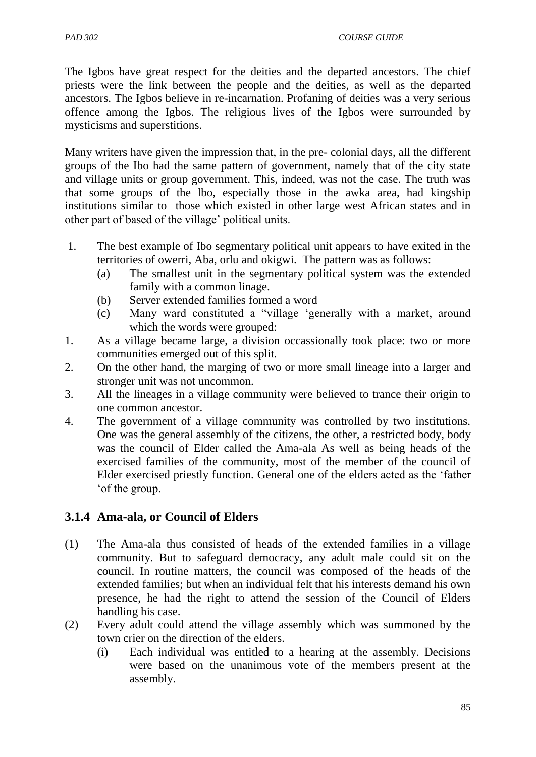The Igbos have great respect for the deities and the departed ancestors. The chief priests were the link between the people and the deities, as well as the departed ancestors. The Igbos believe in re-incarnation. Profaning of deities was a very serious offence among the Igbos. The religious lives of the Igbos were surrounded by mysticisms and superstitions.

Many writers have given the impression that, in the pre- colonial days, all the different groups of the Ibo had the same pattern of government, namely that of the city state and village units or group government. This, indeed, was not the case. The truth was that some groups of the lbo, especially those in the awka area, had kingship institutions similar to those which existed in other large west African states and in other part of based of the village" political units.

- 1. The best example of Ibo segmentary political unit appears to have exited in the territories of owerri, Aba, orlu and okigwi. The pattern was as follows:
	- (a) The smallest unit in the segmentary political system was the extended family with a common linage.
	- (b) Server extended families formed a word
	- (c) Many ward constituted a "village "generally with a market, around which the words were grouped:
- 1. As a village became large, a division occassionally took place: two or more communities emerged out of this split.
- 2. On the other hand, the marging of two or more small lineage into a larger and stronger unit was not uncommon.
- 3. All the lineages in a village community were believed to trance their origin to one common ancestor.
- 4. The government of a village community was controlled by two institutions. One was the general assembly of the citizens, the other, a restricted body, body was the council of Elder called the Ama-ala As well as being heads of the exercised families of the community, most of the member of the council of Elder exercised priestly function. General one of the elders acted as the "father "of the group.

## **3.1.4 Ama-ala, or Council of Elders**

- (1) The Ama-ala thus consisted of heads of the extended families in a village community. But to safeguard democracy, any adult male could sit on the council. In routine matters, the council was composed of the heads of the extended families; but when an individual felt that his interests demand his own presence, he had the right to attend the session of the Council of Elders handling his case.
- (2) Every adult could attend the village assembly which was summoned by the town crier on the direction of the elders.
	- (i) Each individual was entitled to a hearing at the assembly. Decisions were based on the unanimous vote of the members present at the assembly.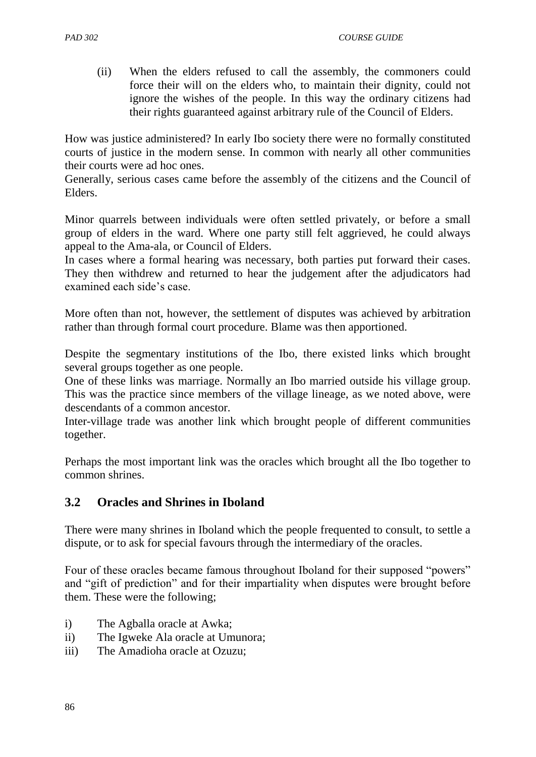(ii) When the elders refused to call the assembly, the commoners could force their will on the elders who, to maintain their dignity, could not ignore the wishes of the people. In this way the ordinary citizens had their rights guaranteed against arbitrary rule of the Council of Elders.

How was justice administered? In early Ibo society there were no formally constituted courts of justice in the modern sense. In common with nearly all other communities their courts were ad hoc ones.

Generally, serious cases came before the assembly of the citizens and the Council of Elders.

Minor quarrels between individuals were often settled privately, or before a small group of elders in the ward. Where one party still felt aggrieved, he could always appeal to the Ama-ala, or Council of Elders.

In cases where a formal hearing was necessary, both parties put forward their cases. They then withdrew and returned to hear the judgement after the adjudicators had examined each side"s case.

More often than not, however, the settlement of disputes was achieved by arbitration rather than through formal court procedure. Blame was then apportioned.

Despite the segmentary institutions of the Ibo, there existed links which brought several groups together as one people.

One of these links was marriage. Normally an Ibo married outside his village group. This was the practice since members of the village lineage, as we noted above, were descendants of a common ancestor.

Inter-village trade was another link which brought people of different communities together.

Perhaps the most important link was the oracles which brought all the Ibo together to common shrines.

## **3.2 Oracles and Shrines in Iboland**

There were many shrines in Iboland which the people frequented to consult, to settle a dispute, or to ask for special favours through the intermediary of the oracles.

Four of these oracles became famous throughout Iboland for their supposed "powers" and "gift of prediction" and for their impartiality when disputes were brought before them. These were the following;

- i) The Agballa oracle at Awka;
- ii) The Igweke Ala oracle at Umunora;
- iii) The Amadioha oracle at Ozuzu;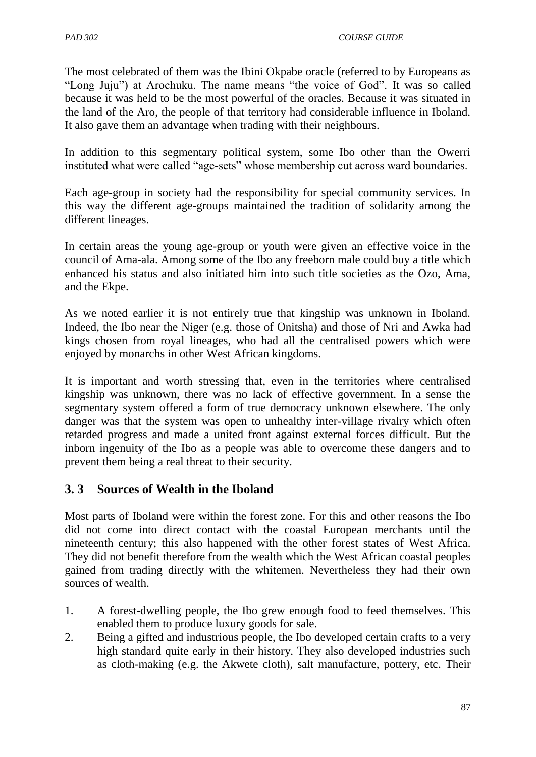The most celebrated of them was the Ibini Okpabe oracle (referred to by Europeans as "Long Juju") at Arochuku. The name means "the voice of God". It was so called because it was held to be the most powerful of the oracles. Because it was situated in the land of the Aro, the people of that territory had considerable influence in Iboland. It also gave them an advantage when trading with their neighbours.

In addition to this segmentary political system, some Ibo other than the Owerri instituted what were called "age-sets" whose membership cut across ward boundaries.

Each age-group in society had the responsibility for special community services. In this way the different age-groups maintained the tradition of solidarity among the different lineages.

In certain areas the young age-group or youth were given an effective voice in the council of Ama-ala. Among some of the Ibo any freeborn male could buy a title which enhanced his status and also initiated him into such title societies as the Ozo, Ama, and the Ekpe.

As we noted earlier it is not entirely true that kingship was unknown in Iboland. Indeed, the Ibo near the Niger (e.g. those of Onitsha) and those of Nri and Awka had kings chosen from royal lineages, who had all the centralised powers which were enjoyed by monarchs in other West African kingdoms.

It is important and worth stressing that, even in the territories where centralised kingship was unknown, there was no lack of effective government. In a sense the segmentary system offered a form of true democracy unknown elsewhere. The only danger was that the system was open to unhealthy inter-village rivalry which often retarded progress and made a united front against external forces difficult. But the inborn ingenuity of the Ibo as a people was able to overcome these dangers and to prevent them being a real threat to their security.

## **3. 3 Sources of Wealth in the Iboland**

Most parts of Iboland were within the forest zone. For this and other reasons the Ibo did not come into direct contact with the coastal European merchants until the nineteenth century; this also happened with the other forest states of West Africa. They did not benefit therefore from the wealth which the West African coastal peoples gained from trading directly with the whitemen. Nevertheless they had their own sources of wealth.

- 1. A forest-dwelling people, the Ibo grew enough food to feed themselves. This enabled them to produce luxury goods for sale.
- 2. Being a gifted and industrious people, the Ibo developed certain crafts to a very high standard quite early in their history. They also developed industries such as cloth-making (e.g. the Akwete cloth), salt manufacture, pottery, etc. Their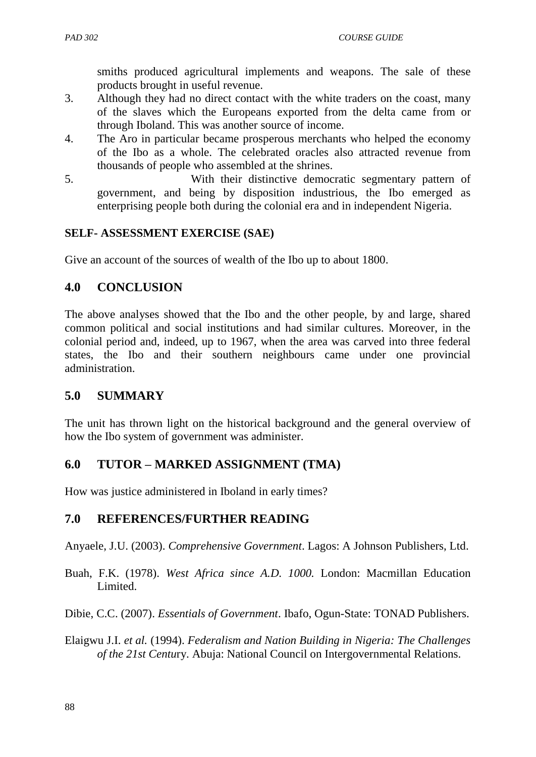smiths produced agricultural implements and weapons. The sale of these products brought in useful revenue.

- 3. Although they had no direct contact with the white traders on the coast, many of the slaves which the Europeans exported from the delta came from or through Iboland. This was another source of income.
- 4. The Aro in particular became prosperous merchants who helped the economy of the Ibo as a whole. The celebrated oracles also attracted revenue from thousands of people who assembled at the shrines.
- 5. With their distinctive democratic segmentary pattern of government, and being by disposition industrious, the Ibo emerged as enterprising people both during the colonial era and in independent Nigeria.

### **SELF- ASSESSMENT EXERCISE (SAE)**

Give an account of the sources of wealth of the Ibo up to about 1800.

# **4.0 CONCLUSION**

The above analyses showed that the Ibo and the other people, by and large, shared common political and social institutions and had similar cultures. Moreover, in the colonial period and, indeed, up to 1967, when the area was carved into three federal states, the Ibo and their southern neighbours came under one provincial administration.

## **5.0 SUMMARY**

The unit has thrown light on the historical background and the general overview of how the Ibo system of government was administer.

## **6.0 TUTOR – MARKED ASSIGNMENT (TMA)**

How was justice administered in Iboland in early times?

## **7.0 REFERENCES/FURTHER READING**

Anyaele, J.U. (2003). *Comprehensive Government*. Lagos: A Johnson Publishers, Ltd.

Buah, F.K. (1978). *West Africa since A.D. 1000.* London: Macmillan Education Limited.

Dibie, C.C. (2007). *Essentials of Government*. Ibafo, Ogun-State: TONAD Publishers.

Elaigwu J.I. *et al.* (1994). *Federalism and Nation Building in Nigeria: The Challenges of the 21st Centu*ry. Abuja: National Council on Intergovernmental Relations.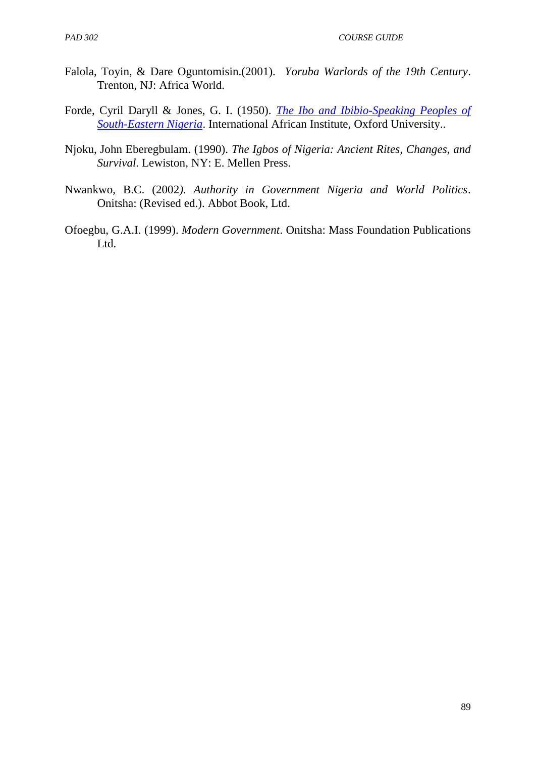- Falola, Toyin, & Dare Oguntomisin.(2001). *Yoruba Warlords of the 19th Century*. Trenton, NJ: Africa World.
- Forde, Cyril Daryll & Jones, G. I. (1950). *[The Ibo and Ibibio-Speaking Peoples of](http://www.opensourceguinea.org/2013/02/cyril-daryll-forde-and-g-i-jones-ibo.html)  [South-Eastern Nigeria](http://www.opensourceguinea.org/2013/02/cyril-daryll-forde-and-g-i-jones-ibo.html)*. International African Institute, Oxford University..
- Njoku, John Eberegbulam. (1990). *The Igbos of Nigeria: Ancient Rites, Changes, and Survival*. Lewiston, NY: E. Mellen Press.
- Nwankwo, B.C. (2002*). Authority in Government Nigeria and World Politics*. Onitsha: (Revised ed.). Abbot Book, Ltd.
- Ofoegbu, G.A.I. (1999). *Modern Government*. Onitsha: Mass Foundation Publications Ltd.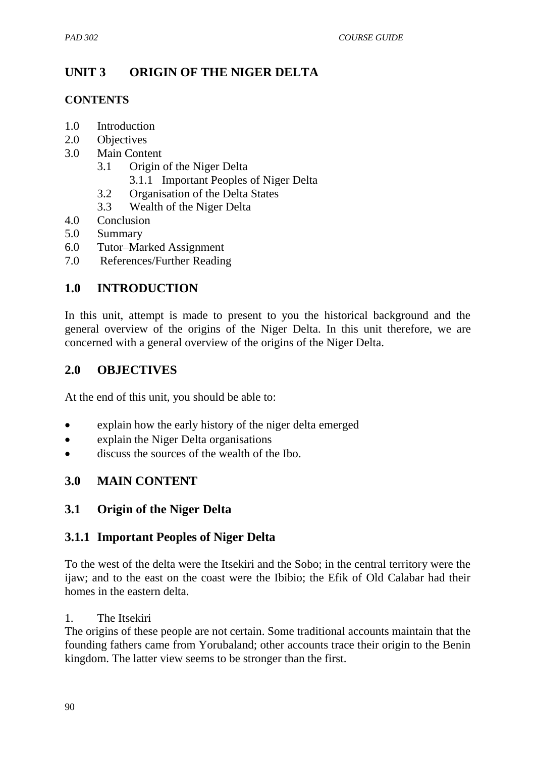# **UNIT 3 ORIGIN OF THE NIGER DELTA**

#### **CONTENTS**

- 1.0 Introduction
- 2.0 Objectives
- 3.0 Main Content
	- 3.1 Origin of the Niger Delta
		- 3.1.1 Important Peoples of Niger Delta
	- 3.2 Organisation of the Delta States
	- 3.3 Wealth of the Niger Delta
- 4.0 Conclusion
- 5.0 Summary
- 6.0 Tutor–Marked Assignment
- 7.0 References/Further Reading

# **1.0 INTRODUCTION**

In this unit, attempt is made to present to you the historical background and the general overview of the origins of the Niger Delta. In this unit therefore, we are concerned with a general overview of the origins of the Niger Delta.

## **2.0 OBJECTIVES**

At the end of this unit, you should be able to:

- explain how the early history of the niger delta emerged
- explain the Niger Delta organisations
- discuss the sources of the wealth of the Ibo.

## **3.0 MAIN CONTENT**

## **3.1 Origin of the Niger Delta**

## **3.1.1 Important Peoples of Niger Delta**

To the west of the delta were the Itsekiri and the Sobo; in the central territory were the ijaw; and to the east on the coast were the Ibibio; the Efik of Old Calabar had their homes in the eastern delta.

### 1. The Itsekiri

The origins of these people are not certain. Some traditional accounts maintain that the founding fathers came from Yorubaland; other accounts trace their origin to the Benin kingdom. The latter view seems to be stronger than the first.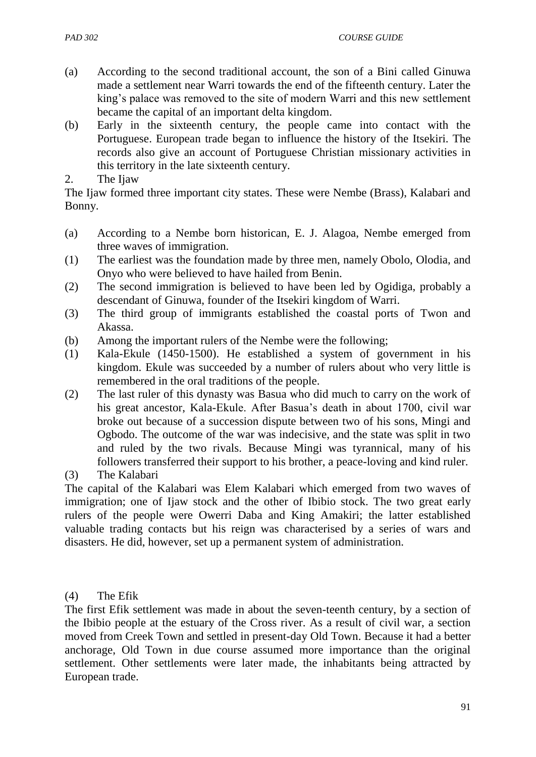- (a) According to the second traditional account, the son of a Bini called Ginuwa made a settlement near Warri towards the end of the fifteenth century. Later the king"s palace was removed to the site of modern Warri and this new settlement became the capital of an important delta kingdom.
- (b) Early in the sixteenth century, the people came into contact with the Portuguese. European trade began to influence the history of the Itsekiri. The records also give an account of Portuguese Christian missionary activities in this territory in the late sixteenth century.
- 2. The Ijaw

The Ijaw formed three important city states. These were Nembe (Brass), Kalabari and Bonny.

- (a) According to a Nembe born historican, E. J. Alagoa, Nembe emerged from three waves of immigration.
- (1) The earliest was the foundation made by three men, namely Obolo, Olodia, and Onyo who were believed to have hailed from Benin.
- (2) The second immigration is believed to have been led by Ogidiga, probably a descendant of Ginuwa, founder of the Itsekiri kingdom of Warri.
- (3) The third group of immigrants established the coastal ports of Twon and Akassa.
- (b) Among the important rulers of the Nembe were the following;
- (1) Kala-Ekule (1450-1500). He established a system of government in his kingdom. Ekule was succeeded by a number of rulers about who very little is remembered in the oral traditions of the people.
- (2) The last ruler of this dynasty was Basua who did much to carry on the work of his great ancestor, Kala-Ekule. After Basua"s death in about 1700, civil war broke out because of a succession dispute between two of his sons, Mingi and Ogbodo. The outcome of the war was indecisive, and the state was split in two and ruled by the two rivals. Because Mingi was tyrannical, many of his followers transferred their support to his brother, a peace-loving and kind ruler.
- (3) The Kalabari

The capital of the Kalabari was Elem Kalabari which emerged from two waves of immigration; one of Ijaw stock and the other of Ibibio stock. The two great early rulers of the people were Owerri Daba and King Amakiri; the latter established valuable trading contacts but his reign was characterised by a series of wars and disasters. He did, however, set up a permanent system of administration.

#### (4) The Efik

The first Efik settlement was made in about the seven-teenth century, by a section of the Ibibio people at the estuary of the Cross river. As a result of civil war, a section moved from Creek Town and settled in present-day Old Town. Because it had a better anchorage, Old Town in due course assumed more importance than the original settlement. Other settlements were later made, the inhabitants being attracted by European trade.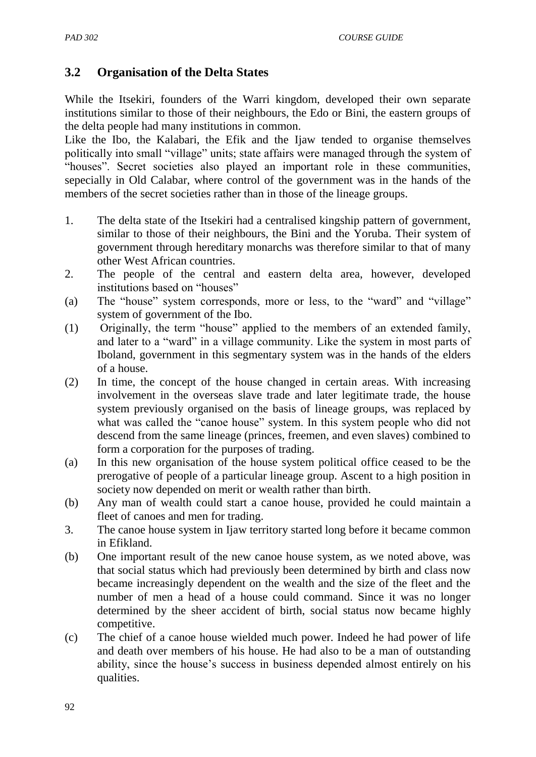## **3.2 Organisation of the Delta States**

While the Itsekiri, founders of the Warri kingdom, developed their own separate institutions similar to those of their neighbours, the Edo or Bini, the eastern groups of the delta people had many institutions in common.

Like the Ibo, the Kalabari, the Efik and the Ijaw tended to organise themselves politically into small "village" units; state affairs were managed through the system of "houses". Secret societies also played an important role in these communities, sepecially in Old Calabar, where control of the government was in the hands of the members of the secret societies rather than in those of the lineage groups.

- 1. The delta state of the Itsekiri had a centralised kingship pattern of government, similar to those of their neighbours, the Bini and the Yoruba. Their system of government through hereditary monarchs was therefore similar to that of many other West African countries.
- 2. The people of the central and eastern delta area, however, developed institutions based on "houses"
- (a) The "house" system corresponds, more or less, to the "ward" and "village" system of government of the Ibo.
- (1) Originally, the term "house" applied to the members of an extended family, and later to a "ward" in a village community. Like the system in most parts of Iboland, government in this segmentary system was in the hands of the elders of a house.
- (2) In time, the concept of the house changed in certain areas. With increasing involvement in the overseas slave trade and later legitimate trade, the house system previously organised on the basis of lineage groups, was replaced by what was called the "canoe house" system. In this system people who did not descend from the same lineage (princes, freemen, and even slaves) combined to form a corporation for the purposes of trading.
- (a) In this new organisation of the house system political office ceased to be the prerogative of people of a particular lineage group. Ascent to a high position in society now depended on merit or wealth rather than birth.
- (b) Any man of wealth could start a canoe house, provided he could maintain a fleet of canoes and men for trading.
- 3. The canoe house system in Ijaw territory started long before it became common in Efikland.
- (b) One important result of the new canoe house system, as we noted above, was that social status which had previously been determined by birth and class now became increasingly dependent on the wealth and the size of the fleet and the number of men a head of a house could command. Since it was no longer determined by the sheer accident of birth, social status now became highly competitive.
- (c) The chief of a canoe house wielded much power. Indeed he had power of life and death over members of his house. He had also to be a man of outstanding ability, since the house"s success in business depended almost entirely on his qualities.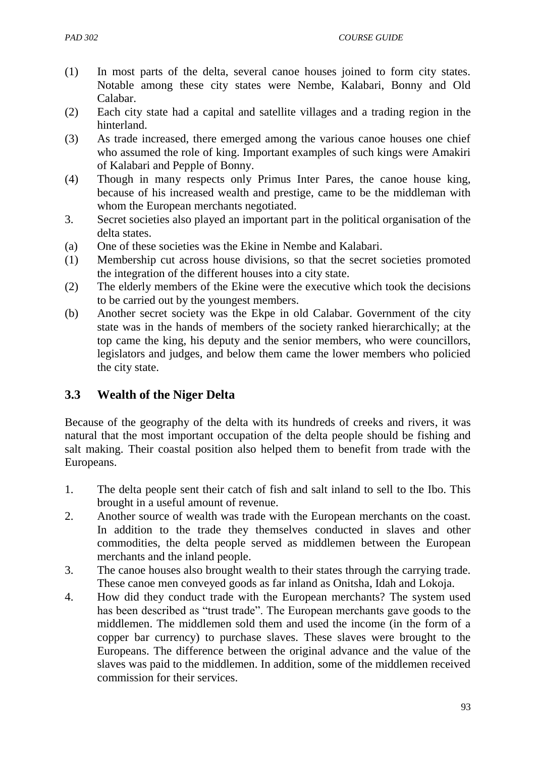- (1) In most parts of the delta, several canoe houses joined to form city states. Notable among these city states were Nembe, Kalabari, Bonny and Old Calabar.
- (2) Each city state had a capital and satellite villages and a trading region in the hinterland.
- (3) As trade increased, there emerged among the various canoe houses one chief who assumed the role of king. Important examples of such kings were Amakiri of Kalabari and Pepple of Bonny.
- (4) Though in many respects only Primus Inter Pares, the canoe house king, because of his increased wealth and prestige, came to be the middleman with whom the European merchants negotiated.
- 3. Secret societies also played an important part in the political organisation of the delta states.
- (a) One of these societies was the Ekine in Nembe and Kalabari.
- (1) Membership cut across house divisions, so that the secret societies promoted the integration of the different houses into a city state.
- (2) The elderly members of the Ekine were the executive which took the decisions to be carried out by the youngest members.
- (b) Another secret society was the Ekpe in old Calabar. Government of the city state was in the hands of members of the society ranked hierarchically; at the top came the king, his deputy and the senior members, who were councillors, legislators and judges, and below them came the lower members who policied the city state.

## **3.3 Wealth of the Niger Delta**

Because of the geography of the delta with its hundreds of creeks and rivers, it was natural that the most important occupation of the delta people should be fishing and salt making. Their coastal position also helped them to benefit from trade with the Europeans.

- 1. The delta people sent their catch of fish and salt inland to sell to the Ibo. This brought in a useful amount of revenue.
- 2. Another source of wealth was trade with the European merchants on the coast. In addition to the trade they themselves conducted in slaves and other commodities, the delta people served as middlemen between the European merchants and the inland people.
- 3. The canoe houses also brought wealth to their states through the carrying trade. These canoe men conveyed goods as far inland as Onitsha, Idah and Lokoja.
- 4. How did they conduct trade with the European merchants? The system used has been described as "trust trade". The European merchants gave goods to the middlemen. The middlemen sold them and used the income (in the form of a copper bar currency) to purchase slaves. These slaves were brought to the Europeans. The difference between the original advance and the value of the slaves was paid to the middlemen. In addition, some of the middlemen received commission for their services.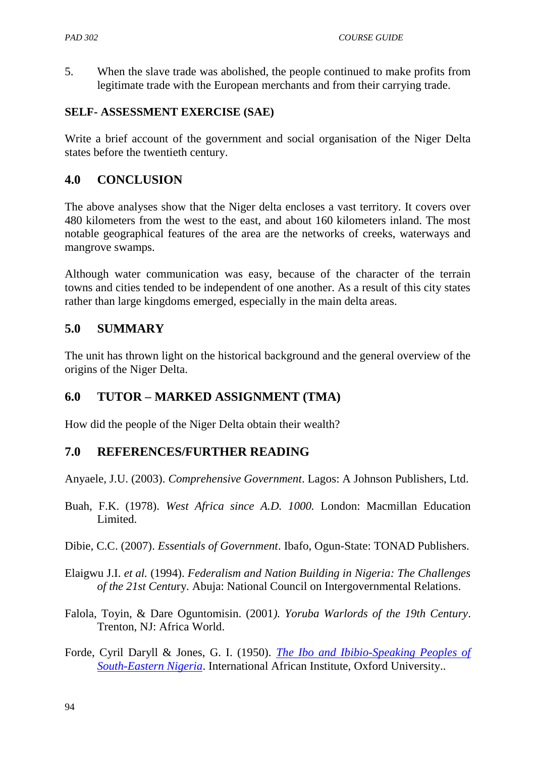5. When the slave trade was abolished, the people continued to make profits from legitimate trade with the European merchants and from their carrying trade.

#### **SELF- ASSESSMENT EXERCISE (SAE)**

Write a brief account of the government and social organisation of the Niger Delta states before the twentieth century.

#### **4.0 CONCLUSION**

The above analyses show that the Niger delta encloses a vast territory. It covers over 480 kilometers from the west to the east, and about 160 kilometers inland. The most notable geographical features of the area are the networks of creeks, waterways and mangrove swamps.

Although water communication was easy, because of the character of the terrain towns and cities tended to be independent of one another. As a result of this city states rather than large kingdoms emerged, especially in the main delta areas.

#### **5.0 SUMMARY**

The unit has thrown light on the historical background and the general overview of the origins of the Niger Delta.

### **6.0 TUTOR – MARKED ASSIGNMENT (TMA)**

How did the people of the Niger Delta obtain their wealth?

#### **7.0 REFERENCES/FURTHER READING**

Anyaele, J.U. (2003). *Comprehensive Government*. Lagos: A Johnson Publishers, Ltd.

- Buah, F.K. (1978). *West Africa since A.D. 1000.* London: Macmillan Education Limited.
- Dibie, C.C. (2007). *Essentials of Government*. Ibafo, Ogun-State: TONAD Publishers.
- Elaigwu J.I. *et al.* (1994). *Federalism and Nation Building in Nigeria: The Challenges of the 21st Centu*ry. Abuja: National Council on Intergovernmental Relations.
- Falola, Toyin, & Dare Oguntomisin. (2001*). Yoruba Warlords of the 19th Century*. Trenton, NJ: Africa World.
- Forde, Cyril Daryll & Jones, G. I. (1950). *[The Ibo and Ibibio-Speaking Peoples of](http://www.opensourceguinea.org/2013/02/cyril-daryll-forde-and-g-i-jones-ibo.html)  [South-Eastern Nigeria](http://www.opensourceguinea.org/2013/02/cyril-daryll-forde-and-g-i-jones-ibo.html)*. International African Institute, Oxford University..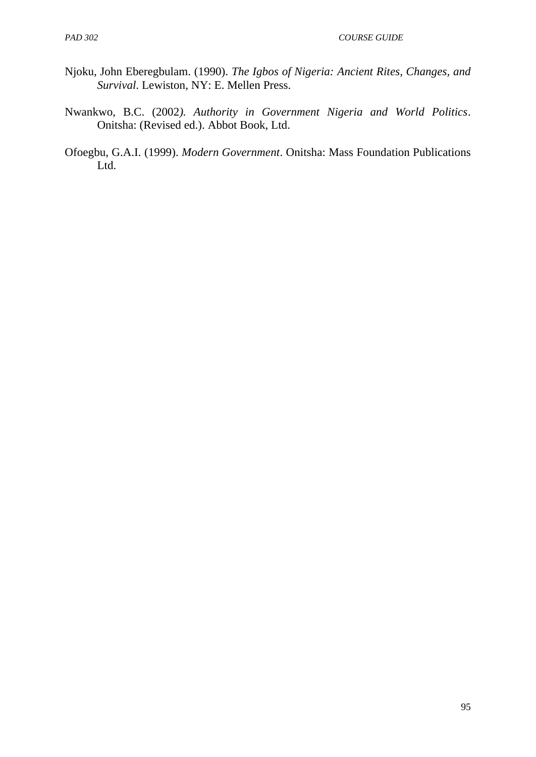- Njoku, John Eberegbulam. (1990). *The Igbos of Nigeria: Ancient Rites, Changes, and Survival*. Lewiston, NY: E. Mellen Press.
- Nwankwo, B.C. (2002*). Authority in Government Nigeria and World Politics*. Onitsha: (Revised ed.). Abbot Book, Ltd.
- Ofoegbu, G.A.I. (1999). *Modern Government*. Onitsha: Mass Foundation Publications Ltd.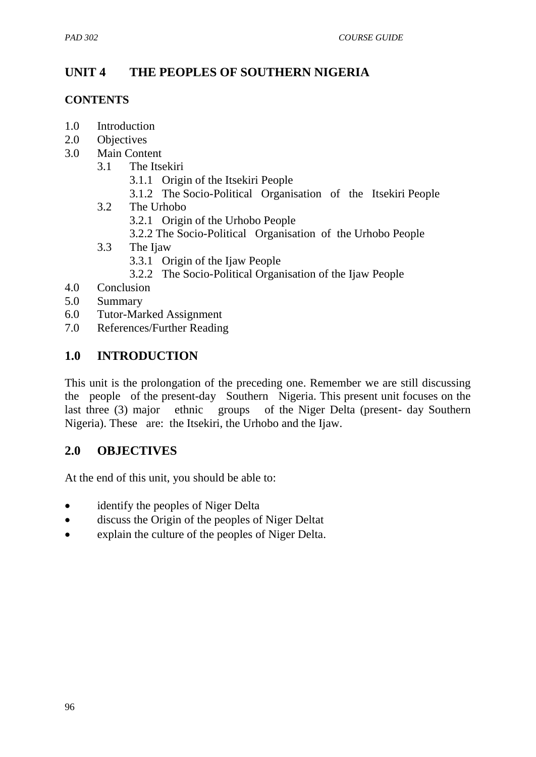# **UNIT 4 THE PEOPLES OF SOUTHERN NIGERIA**

#### **CONTENTS**

- 1.0 Introduction
- 2.0 Objectives
- 3.0 Main Content
	- 3.1 The Itsekiri
		- 3.1.1 Origin of the Itsekiri People
		- 3.1.2 The Socio-Political Organisation of the Itsekiri People
	- 3.2 The Urhobo
		- 3.2.1 Origin of the Urhobo People
		- 3.2.2 The Socio-Political Organisation of the Urhobo People
	- 3.3 The Ijaw
		- 3.3.1 Origin of the Ijaw People
		- 3.2.2 The Socio-Political Organisation of the Ijaw People
- 4.0 Conclusion
- 5.0 Summary
- 6.0 Tutor-Marked Assignment
- 7.0 References/Further Reading

### **1.0 INTRODUCTION**

This unit is the prolongation of the preceding one. Remember we are still discussing the people of the present-day Southern Nigeria. This present unit focuses on the last three (3) major ethnic groups of the Niger Delta (present- day Southern Nigeria). These are: the Itsekiri, the Urhobo and the Ijaw.

### **2.0 OBJECTIVES**

At the end of this unit, you should be able to:

- identify the peoples of Niger Delta
- discuss the Origin of the peoples of Niger Deltat
- explain the culture of the peoples of Niger Delta.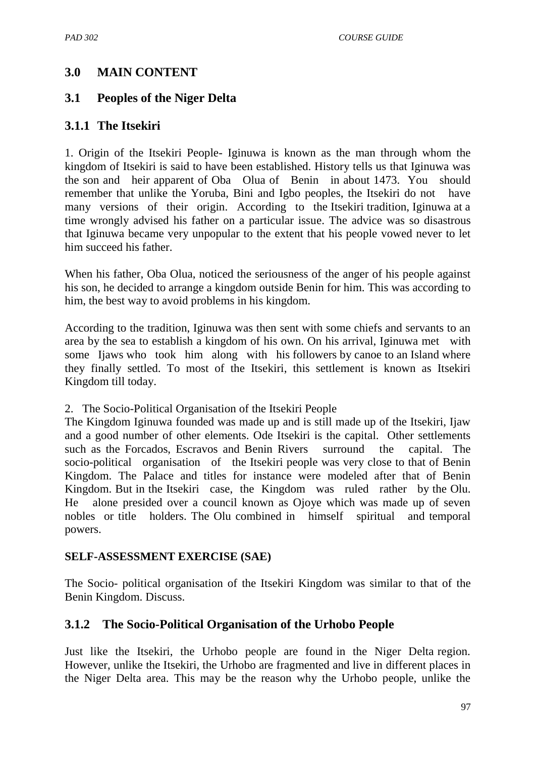## **3.0 MAIN CONTENT**

## **3.1 Peoples of the Niger Delta**

## **3.1.1 The Itsekiri**

1. Origin of the Itsekiri People- Iginuwa is known as the man through whom the kingdom of Itsekiri is said to have been established. History tells us that Iginuwa was the son and heir apparent of Oba Olua of Benin in about 1473. You should remember that unlike the Yoruba, Bini and Igbo peoples, the Itsekiri do not have many versions of their origin. According to the Itsekiri tradition, Iginuwa at a time wrongly advised his father on a particular issue. The advice was so disastrous that Iginuwa became very unpopular to the extent that his people vowed never to let him succeed his father.

When his father, Oba Olua, noticed the seriousness of the anger of his people against his son, he decided to arrange a kingdom outside Benin for him. This was according to him, the best way to avoid problems in his kingdom.

According to the tradition, Iginuwa was then sent with some chiefs and servants to an area by the sea to establish a kingdom of his own. On his arrival, Iginuwa met with some Ijaws who took him along with his followers by canoe to an Island where they finally settled. To most of the Itsekiri, this settlement is known as Itsekiri Kingdom till today.

2. The Socio-Political Organisation of the Itsekiri People

The Kingdom Iginuwa founded was made up and is still made up of the Itsekiri, Ijaw and a good number of other elements. Ode Itsekiri is the capital. Other settlements such as the Forcados, Escravos and Benin Rivers surround the capital. The socio-political organisation of the Itsekiri people was very close to that of Benin Kingdom. The Palace and titles for instance were modeled after that of Benin Kingdom. But in the Itsekiri case, the Kingdom was ruled rather by the Olu. He alone presided over a council known as Ojoye which was made up of seven nobles or title holders. The Olu combined in himself spiritual and temporal powers.

#### **SELF-ASSESSMENT EXERCISE (SAE)**

The Socio- political organisation of the Itsekiri Kingdom was similar to that of the Benin Kingdom. Discuss.

## **3.1.2 The Socio-Political Organisation of the Urhobo People**

Just like the Itsekiri, the Urhobo people are found in the Niger Delta region. However, unlike the Itsekiri, the Urhobo are fragmented and live in different places in the Niger Delta area. This may be the reason why the Urhobo people, unlike the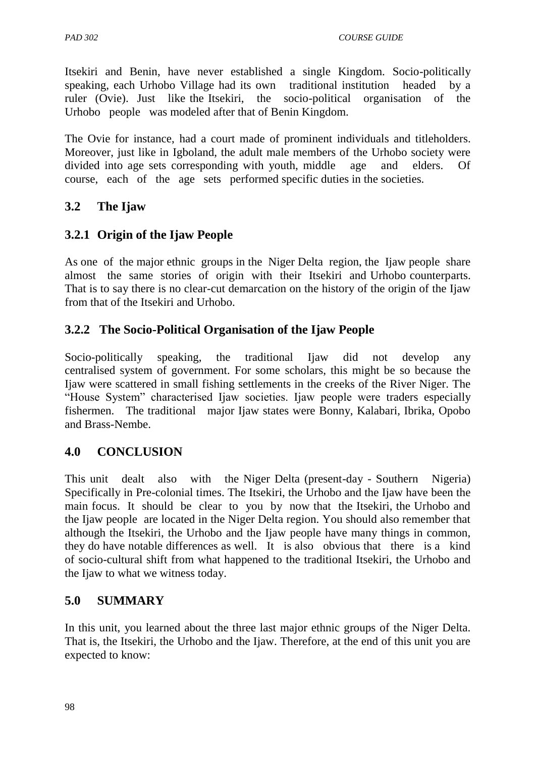Itsekiri and Benin, have never established a single Kingdom. Socio-politically speaking, each Urhobo Village had its own traditional institution headed by a ruler (Ovie). Just like the Itsekiri, the socio-political organisation of the Urhobo people was modeled after that of Benin Kingdom.

The Ovie for instance, had a court made of prominent individuals and titleholders. Moreover, just like in Igboland, the adult male members of the Urhobo society were divided into age sets corresponding with youth, middle age and elders. Of course, each of the age sets performed specific duties in the societies.

# **3.2 The Ijaw**

## **3.2.1 Origin of the Ijaw People**

As one of the major ethnic groups in the Niger Delta region, the Ijaw people share almost the same stories of origin with their Itsekiri and Urhobo counterparts. That is to say there is no clear-cut demarcation on the history of the origin of the Ijaw from that of the Itsekiri and Urhobo.

## **3.2.2 The Socio-Political Organisation of the Ijaw People**

Socio-politically speaking, the traditional Ijaw did not develop any centralised system of government. For some scholars, this might be so because the Ijaw were scattered in small fishing settlements in the creeks of the River Niger. The "House System" characterised Ijaw societies. Ijaw people were traders especially fishermen. The traditional major Ijaw states were Bonny, Kalabari, Ibrika, Opobo and Brass-Nembe.

## **4.0 CONCLUSION**

This unit dealt also with the Niger Delta (present-day - Southern Nigeria) Specifically in Pre-colonial times. The Itsekiri, the Urhobo and the Ijaw have been the main focus. It should be clear to you by now that the Itsekiri, the Urhobo and the Ijaw people are located in the Niger Delta region. You should also remember that although the Itsekiri, the Urhobo and the Ijaw people have many things in common, they do have notable differences as well. It is also obvious that there is a kind of socio-cultural shift from what happened to the traditional Itsekiri, the Urhobo and the Ijaw to what we witness today.

## **5.0 SUMMARY**

In this unit, you learned about the three last major ethnic groups of the Niger Delta. That is, the Itsekiri, the Urhobo and the Ijaw. Therefore, at the end of this unit you are expected to know: